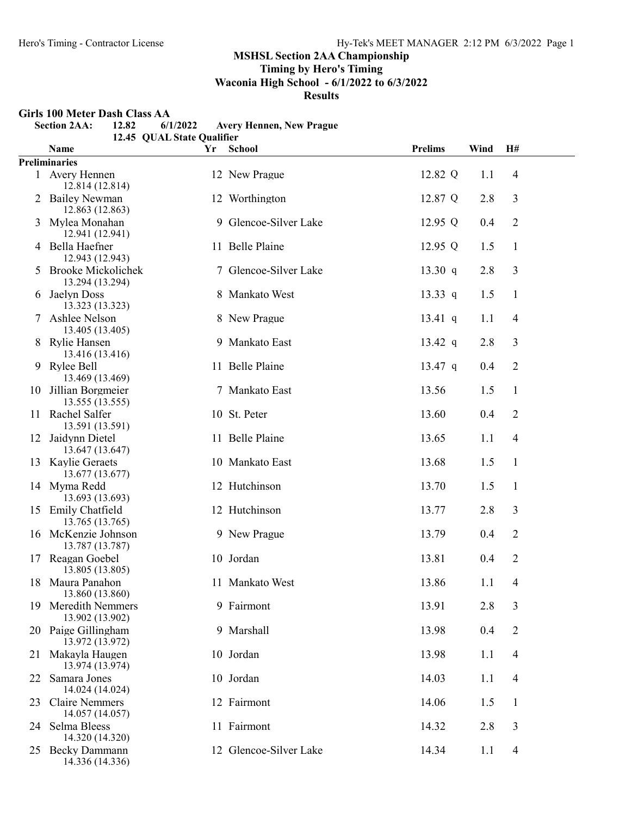Timing by Hero's Timing

Waconia High School - 6/1/2022 to 6/3/2022

Results

Girls 100 Meter Dash Class AA<br>Section 2AA: 12.82 6/1/2022 Avery Hennen, New Prague

12.45 QUAL State Qualifier

|                 | Name                                         | Yr | <b>School</b>          | <b>Prelims</b> | Wind | H#             |  |
|-----------------|----------------------------------------------|----|------------------------|----------------|------|----------------|--|
|                 | <b>Preliminaries</b>                         |    |                        |                |      |                |  |
|                 | 1 Avery Hennen<br>12.814 (12.814)            |    | 12 New Prague          | 12.82 Q        | 1.1  | $\overline{4}$ |  |
| 2               | <b>Bailey Newman</b><br>12.863 (12.863)      |    | 12 Worthington         | 12.87 Q        | 2.8  | 3              |  |
|                 | 3 Mylea Monahan<br>12.941 (12.941)           |    | 9 Glencoe-Silver Lake  | 12.95 Q        | 0.4  | $\overline{2}$ |  |
|                 | 4 Bella Haefner<br>12.943 (12.943)           |    | 11 Belle Plaine        | 12.95 Q        | 1.5  | $\mathbf{1}$   |  |
| 5               | <b>Brooke Mickolichek</b><br>13.294 (13.294) |    | 7 Glencoe-Silver Lake  | 13.30 q        | 2.8  | 3              |  |
| 6               | Jaelyn Doss<br>13.323 (13.323)               |    | 8 Mankato West         | 13.33 q        | 1.5  | $\mathbf{1}$   |  |
| $7\overline{ }$ | Ashlee Nelson<br>13.405 (13.405)             |    | 8 New Prague           | 13.41 q        | 1.1  | $\overline{4}$ |  |
| 8               | Rylie Hansen<br>13.416 (13.416)              |    | 9 Mankato East         | 13.42 $q$      | 2.8  | 3              |  |
|                 | 9 Rylee Bell<br>13.469 (13.469)              |    | 11 Belle Plaine        | $13.47$ q      | 0.4  | $\overline{2}$ |  |
|                 | 10 Jillian Borgmeier<br>13.555 (13.555)      |    | 7 Mankato East         | 13.56          | 1.5  | $\mathbf{1}$   |  |
|                 | 11 Rachel Salfer<br>13.591 (13.591)          |    | 10 St. Peter           | 13.60          | 0.4  | $\overline{2}$ |  |
|                 | 12 Jaidynn Dietel<br>13.647 (13.647)         |    | 11 Belle Plaine        | 13.65          | 1.1  | $\overline{4}$ |  |
|                 | 13 Kaylie Geraets<br>13.677 (13.677)         |    | 10 Mankato East        | 13.68          | 1.5  | $\mathbf{1}$   |  |
|                 | 14 Myma Redd<br>13.693 (13.693)              |    | 12 Hutchinson          | 13.70          | 1.5  | $\mathbf{1}$   |  |
| 15              | Emily Chatfield<br>13.765 (13.765)           |    | 12 Hutchinson          | 13.77          | 2.8  | 3              |  |
| 16              | McKenzie Johnson<br>13.787 (13.787)          |    | 9 New Prague           | 13.79          | 0.4  | $\overline{2}$ |  |
| 17              | Reagan Goebel<br>13.805 (13.805)             |    | 10 Jordan              | 13.81          | 0.4  | $\overline{2}$ |  |
|                 | 18 Maura Panahon<br>13.860 (13.860)          |    | 11 Mankato West        | 13.86          | 1.1  | $\overline{4}$ |  |
|                 | 19 Meredith Nemmers<br>13.902 (13.902)       |    | 9 Fairmont             | 13.91          | 2.8  | 3              |  |
|                 | 20 Paige Gillingham<br>13.972 (13.972)       |    | 9 Marshall             | 13.98          | 0.4  | $\overline{2}$ |  |
| 21              | Makayla Haugen<br>13.974 (13.974)            |    | 10 Jordan              | 13.98          | 1.1  | $\overline{4}$ |  |
| 22              | Samara Jones<br>14.024 (14.024)              |    | 10 Jordan              | 14.03          | 1.1  | $\overline{4}$ |  |
| 23              | <b>Claire Nemmers</b><br>14.057 (14.057)     |    | 12 Fairmont            | 14.06          | 1.5  | $\mathbf{1}$   |  |
| 24              | Selma Bleess<br>14.320 (14.320)              |    | 11 Fairmont            | 14.32          | 2.8  | 3              |  |
| 25              | Becky Dammann<br>14.336 (14.336)             |    | 12 Glencoe-Silver Lake | 14.34          | 1.1  | $\overline{4}$ |  |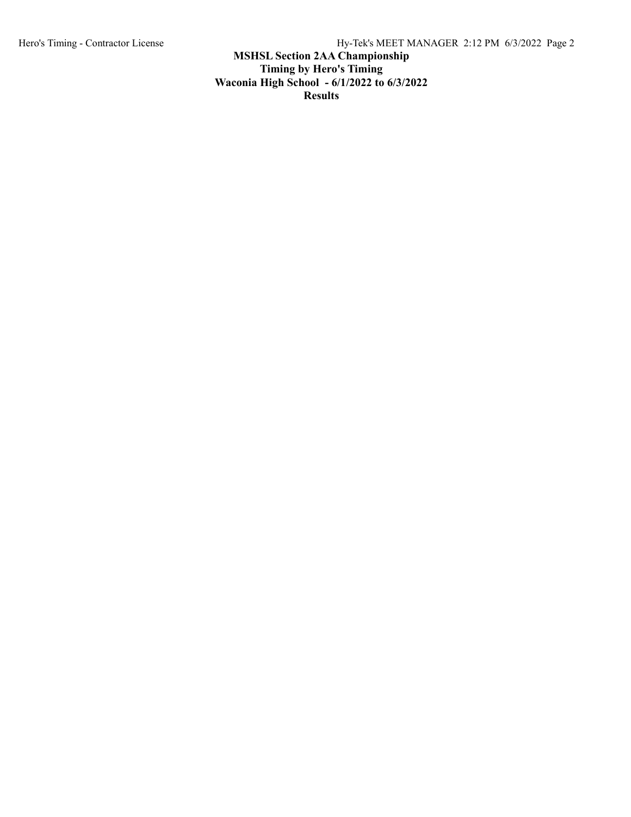# MSHSL Section 2AA Championship Timing by Hero's Timing Waconia High School - 6/1/2022 to 6/3/2022 Results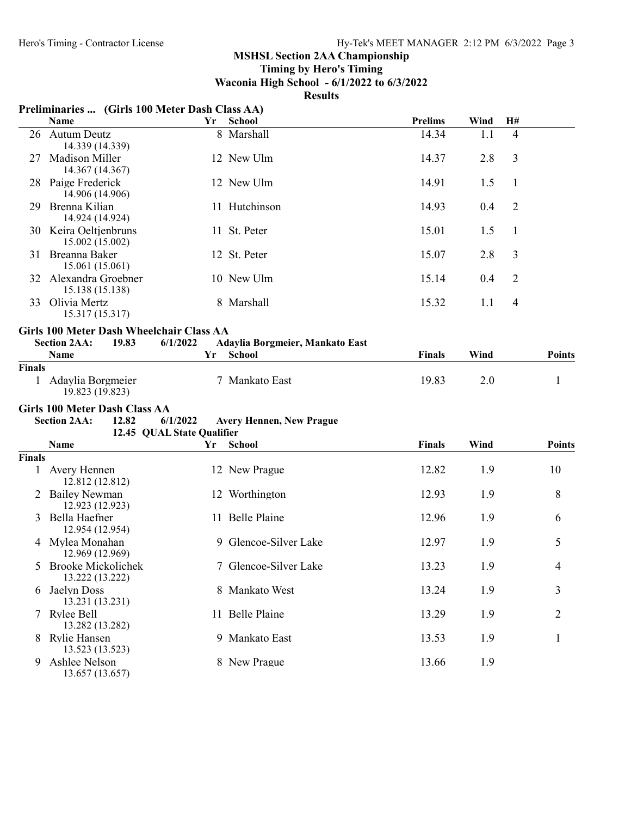Timing by Hero's Timing

Waconia High School - 6/1/2022 to 6/3/2022

Results

| Preliminaries  (Girls 100 Meter Dash Class AA) |  |  |  |
|------------------------------------------------|--|--|--|
|                                                |  |  |  |

|               | Name                                         | Yr                         | <b>School</b>                   | <b>Prelims</b> | Wind | H#             |               |
|---------------|----------------------------------------------|----------------------------|---------------------------------|----------------|------|----------------|---------------|
|               | 26 Autum Deutz<br>14.339 (14.339)            |                            | 8 Marshall                      | 14.34          | 1.1  | 4              |               |
| 27            | Madison Miller<br>14.367 (14.367)            |                            | 12 New Ulm                      | 14.37          | 2.8  | 3              |               |
|               | 28 Paige Frederick<br>14.906 (14.906)        |                            | 12 New Ulm                      | 14.91          | 1.5  | 1              |               |
| 29            | Brenna Kilian<br>14.924 (14.924)             |                            | 11 Hutchinson                   | 14.93          | 0.4  | $\overline{2}$ |               |
|               | 30 Keira Oeltjenbruns<br>15.002 (15.002)     |                            | 11 St. Peter                    | 15.01          | 1.5  | $\mathbf{1}$   |               |
|               | 31 Breanna Baker<br>15.061 (15.061)          |                            | 12 St. Peter                    | 15.07          | 2.8  | 3              |               |
|               | 32 Alexandra Groebner<br>15.138 (15.138)     |                            | 10 New Ulm                      | 15.14          | 0.4  | $\overline{2}$ |               |
| 33            | Olivia Mertz<br>15.317 (15.317)              |                            | 8 Marshall                      | 15.32          | 1.1  | 4              |               |
|               | Girls 100 Meter Dash Wheelchair Class AA     |                            |                                 |                |      |                |               |
|               | <b>Section 2AA:</b><br>19.83                 | 6/1/2022                   | Adaylia Borgmeier, Mankato East |                |      |                |               |
|               | Name                                         | Yr                         | <b>School</b>                   | <b>Finals</b>  | Wind |                | <b>Points</b> |
| <b>Finals</b> |                                              |                            |                                 |                |      |                |               |
|               | 1 Adaylia Borgmeier<br>19.823 (19.823)       |                            | 7 Mankato East                  | 19.83          | 2.0  |                | 1             |
|               | <b>Girls 100 Meter Dash Class AA</b>         |                            |                                 |                |      |                |               |
|               | <b>Section 2AA:</b><br>12.82                 | 6/1/2022                   | <b>Avery Hennen, New Prague</b> |                |      |                |               |
|               |                                              | 12.45 QUAL State Qualifier |                                 |                |      |                |               |
|               |                                              |                            |                                 |                |      |                |               |
|               | <b>Name</b>                                  | Yr                         | <b>School</b>                   | <b>Finals</b>  | Wind |                | <b>Points</b> |
| <b>Finals</b> |                                              |                            |                                 |                |      |                |               |
| 1             | Avery Hennen<br>12.812 (12.812)              |                            | 12 New Prague                   | 12.82          | 1.9  |                | 10            |
|               | <b>Bailey Newman</b><br>12.923 (12.923)      |                            | 12 Worthington                  | 12.93          | 1.9  |                | 8             |
| 3             | Bella Haefner<br>12.954 (12.954)             |                            | 11 Belle Plaine                 | 12.96          | 1.9  |                | 6             |
| 4             | Mylea Monahan<br>12.969 (12.969)             |                            | 9 Glencoe-Silver Lake           | 12.97          | 1.9  |                | 5             |
| 5             | <b>Brooke Mickolichek</b><br>13.222 (13.222) |                            | 7 Glencoe-Silver Lake           | 13.23          | 1.9  |                | 4             |
| 6             | Jaelyn Doss<br>13.231 (13.231)               |                            | 8 Mankato West                  | 13.24          | 1.9  |                | 3             |
|               | Rylee Bell<br>13.282 (13.282)                |                            | 11 Belle Plaine                 | 13.29          | 1.9  |                | 2             |
| 8.            | Rylie Hansen<br>13.523 (13.523)              |                            | 9 Mankato East                  | 13.53          | 1.9  |                | $\mathbf{1}$  |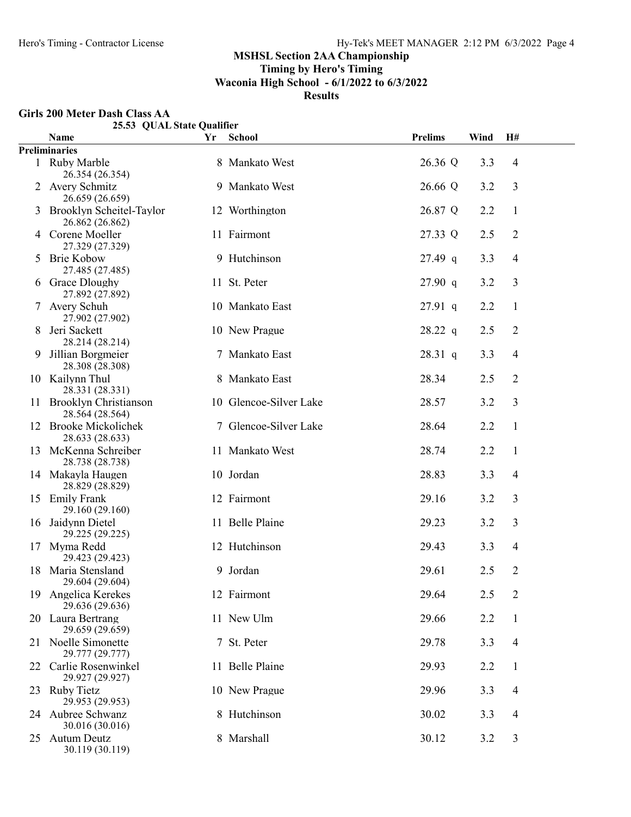### MSHSL Section 2AA Championship Timing by Hero's Timing

Waconia High School - 6/1/2022 to 6/3/2022

Results

#### Girls 200 Meter Dash Class AA

25.53 QUAL State Qualifier

|    | VULLE Statt Vu<br>Name                      | Yr<br><b>School</b>    | <b>Prelims</b> | Wind | H#             |  |
|----|---------------------------------------------|------------------------|----------------|------|----------------|--|
|    | <b>Preliminaries</b>                        |                        |                |      |                |  |
|    | 1 Ruby Marble<br>26.354 (26.354)            | 8 Mankato West         | 26.36 Q        | 3.3  | $\overline{4}$ |  |
|    | 2 Avery Schmitz<br>26.659 (26.659)          | 9 Mankato West         | 26.66 Q        | 3.2  | 3              |  |
| 3  | Brooklyn Scheitel-Taylor<br>26.862 (26.862) | 12 Worthington         | 26.87 Q        | 2.2  | $\mathbf{1}$   |  |
|    | 4 Corene Moeller<br>27.329 (27.329)         | 11 Fairmont            | 27.33 Q        | 2.5  | $\overline{2}$ |  |
| 5  | <b>Brie Kobow</b><br>27.485 (27.485)        | 9 Hutchinson           | $27.49$ q      | 3.3  | $\overline{4}$ |  |
| 6  | Grace Dloughy<br>27.892 (27.892)            | 11 St. Peter           | 27.90 q        | 3.2  | 3              |  |
|    | Avery Schuh<br>27.902 (27.902)              | 10 Mankato East        | $27.91$ q      | 2.2  | $\mathbf{1}$   |  |
| 8  | Jeri Sackett<br>28.214 (28.214)             | 10 New Prague          | $28.22$ q      | 2.5  | $\overline{2}$ |  |
| 9  | Jillian Borgmeier<br>28.308 (28.308)        | 7 Mankato East         | $28.31$ q      | 3.3  | $\overline{4}$ |  |
|    | 10 Kailynn Thul<br>28.331 (28.331)          | 8 Mankato East         | 28.34          | 2.5  | $\overline{2}$ |  |
|    | 11 Brooklyn Christianson<br>28.564 (28.564) | 10 Glencoe-Silver Lake | 28.57          | 3.2  | 3              |  |
|    | 12 Brooke Mickolichek<br>28.633 (28.633)    | 7 Glencoe-Silver Lake  | 28.64          | 2.2  | $\mathbf{1}$   |  |
|    | 13 McKenna Schreiber<br>28.738 (28.738)     | 11 Mankato West        | 28.74          | 2.2  | $\mathbf{1}$   |  |
|    | 14 Makayla Haugen<br>28.829 (28.829)        | 10 Jordan              | 28.83          | 3.3  | $\overline{4}$ |  |
|    | 15 Emily Frank<br>29.160 (29.160)           | 12 Fairmont            | 29.16          | 3.2  | 3              |  |
|    | 16 Jaidynn Dietel<br>29.225 (29.225)        | 11 Belle Plaine        | 29.23          | 3.2  | 3              |  |
|    | 17 Myma Redd<br>29.423 (29.423)             | 12 Hutchinson          | 29.43          | 3.3  | $\overline{4}$ |  |
| 18 | Maria Stensland<br>29.604 (29.604)          | 9 Jordan               | 29.61          | 2.5  | $\overline{2}$ |  |
| 19 | Angelica Kerekes<br>29.636 (29.636)         | 12 Fairmont            | 29.64          | 2.5  | 2              |  |
|    | 20 Laura Bertrang<br>29.659 (29.659)        | 11 New Ulm             | 29.66          | 2.2  | $\mathbf{1}$   |  |
|    | 21 Noelle Simonette<br>29.777 (29.777)      | 7 St. Peter            | 29.78          | 3.3  | $\overline{4}$ |  |
|    | 22 Carlie Rosenwinkel<br>29.927 (29.927)    | 11 Belle Plaine        | 29.93          | 2.2  | $\mathbf{1}$   |  |
|    | 23 Ruby Tietz<br>29.953 (29.953)            | 10 New Prague          | 29.96          | 3.3  | $\overline{4}$ |  |
|    | 24 Aubree Schwanz<br>30.016 (30.016)        | 8 Hutchinson           | 30.02          | 3.3  | $\overline{4}$ |  |
| 25 | <b>Autum Deutz</b><br>30.119 (30.119)       | 8 Marshall             | 30.12          | 3.2  | 3              |  |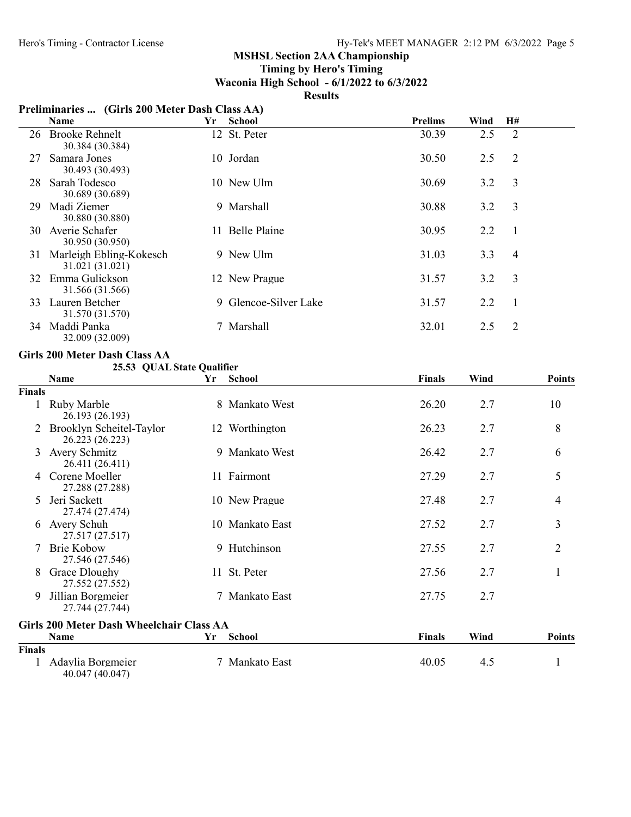Timing by Hero's Timing

Waconia High School - 6/1/2022 to 6/3/2022

Results

# Preliminaries ... (Girls 200 Meter Dash Class AA)

|     | <b>Name</b>                                | Yr | <b>School</b>         | <b>Prelims</b> | Wind | H#             |  |
|-----|--------------------------------------------|----|-----------------------|----------------|------|----------------|--|
| 26  | <b>Brooke Rehnelt</b><br>30.384 (30.384)   |    | 12 St. Peter          | 30.39          | 2.5  | 2              |  |
| 27  | Samara Jones<br>30.493 (30.493)            |    | 10 Jordan             | 30.50          | 2.5  | 2              |  |
| 28  | Sarah Todesco<br>30.689 (30.689)           |    | 10 New Ulm            | 30.69          | 3.2  | 3              |  |
| 29. | Madi Ziemer<br>30.880 (30.880)             |    | 9 Marshall            | 30.88          | 3.2  | 3              |  |
| 30  | Averie Schafer<br>30.950 (30.950)          |    | 11 Belle Plaine       | 30.95          | 2.2  | - 1            |  |
| 31  | Marleigh Ebling-Kokesch<br>31.021 (31.021) |    | 9 New Ulm             | 31.03          | 3.3  | 4              |  |
| 32  | Emma Gulickson<br>31.566 (31.566)          |    | 12 New Prague         | 31.57          | 3.2  | $\overline{3}$ |  |
| 33. | Lauren Betcher<br>31.570 (31.570)          |    | 9 Glencoe-Silver Lake | 31.57          | 2.2  | $\overline{1}$ |  |
| 34  | Maddi Panka<br>32.009 (32.009)             |    | 7 Marshall            | 32.01          | 2.5  | 2              |  |

### Girls 200 Meter Dash Class AA

#### 25.53 QUAL State Qualifier

|               | Name                                        | Yr | <b>School</b>   | <b>Finals</b> | Wind | <b>Points</b>  |
|---------------|---------------------------------------------|----|-----------------|---------------|------|----------------|
| <b>Finals</b> |                                             |    |                 |               |      |                |
| $\mathbf{1}$  | <b>Ruby Marble</b><br>26.193 (26.193)       |    | 8 Mankato West  | 26.20         | 2.7  | 10             |
|               | Brooklyn Scheitel-Taylor<br>26.223 (26.223) |    | 12 Worthington  | 26.23         | 2.7  | 8              |
| 3             | Avery Schmitz<br>26.411 (26.411)            |    | 9 Mankato West  | 26.42         | 2.7  | 6              |
| 4             | Corene Moeller<br>27.288 (27.288)           |    | 11 Fairmont     | 27.29         | 2.7  | 5              |
| 5             | Jeri Sackett<br>27.474 (27.474)             |    | 10 New Prague   | 27.48         | 2.7  | 4              |
| 6             | Avery Schuh<br>27.517 (27.517)              |    | 10 Mankato East | 27.52         | 2.7  | 3              |
|               | <b>Brie Kobow</b><br>27.546 (27.546)        |    | 9 Hutchinson    | 27.55         | 2.7  | $\overline{2}$ |
| 8             | Grace Dloughy<br>27.552 (27.552)            |    | 11 St. Peter    | 27.56         | 2.7  |                |
| 9             | Jillian Borgmeier<br>27.744 (27.744)        |    | 7 Mankato East  | 27.75         | 2.7  |                |
|               | Girls 200 Meter Dash Wheelchair Class AA    |    |                 |               |      |                |
|               | Name                                        | Yr | <b>School</b>   | <b>Finals</b> | Wind | <b>Points</b>  |
| <b>Finals</b> |                                             |    |                 |               |      |                |
|               | Adaylia Borgmeier<br>40.047 (40.047)        |    | 7 Mankato East  | 40.05         | 4.5  |                |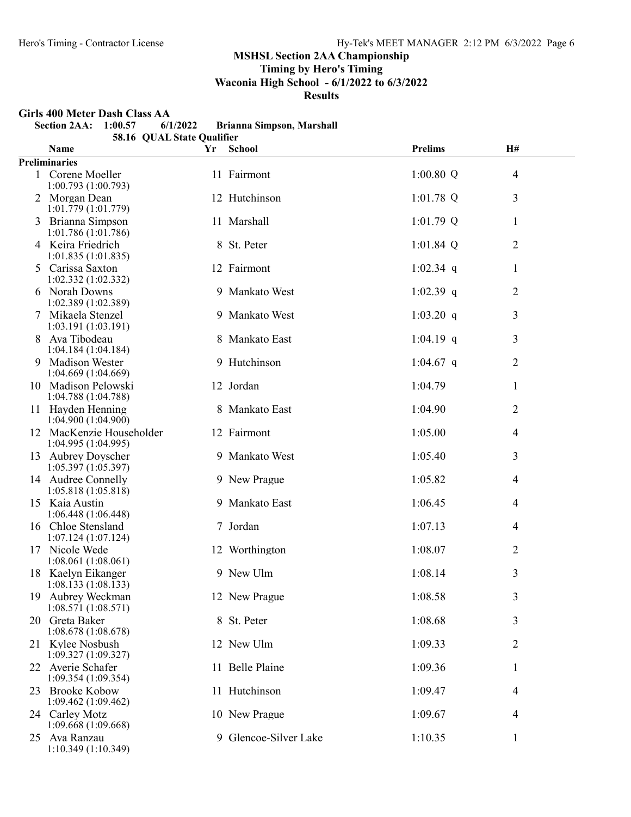Timing by Hero's Timing

Waconia High School - 6/1/2022 to 6/3/2022

Results

Girls 400 Meter Dash Class AA<br>Section 2AA: 1:00.57 6/1/2022 Brianna Simpson, Marshall

58.16 QUAL State Qualifier

|    | <b>Name</b>                                     | Yr | <b>School</b>         | <b>Prelims</b> | H#             |  |
|----|-------------------------------------------------|----|-----------------------|----------------|----------------|--|
|    | <b>Preliminaries</b>                            |    |                       |                |                |  |
|    | 1 Corene Moeller<br>1:00.793 (1:00.793)         |    | 11 Fairmont           | $1:00.80$ Q    | $\overline{4}$ |  |
|    | 2 Morgan Dean<br>1:01.779(1:01.779)             |    | 12 Hutchinson         | $1:01.78$ Q    | 3              |  |
| 3  | Brianna Simpson<br>1:01.786 (1:01.786)          |    | 11 Marshall           | $1:01.79$ Q    | $\mathbf{1}$   |  |
|    | 4 Keira Friedrich<br>1:01.835(1:01.835)         |    | 8 St. Peter           | $1:01.84$ Q    | $\overline{2}$ |  |
|    | 5 Carissa Saxton<br>1:02.332 (1:02.332)         |    | 12 Fairmont           | $1:02.34$ q    | 1              |  |
|    | 6 Norah Downs<br>1:02.389 (1:02.389)            |    | 9 Mankato West        | $1:02.39$ q    | 2              |  |
|    | 7 Mikaela Stenzel<br>1:03.191(1:03.191)         |    | 9 Mankato West        | $1:03.20$ q    | 3              |  |
|    | 8 Ava Tibodeau<br>1:04.184(1:04.184)            |    | 8 Mankato East        | $1:04.19$ q    | 3              |  |
|    | 9 Madison Wester<br>1:04.669(1:04.669)          |    | 9 Hutchinson          | $1:04.67$ q    | 2              |  |
|    | 10 Madison Pelowski<br>1:04.788 (1:04.788)      |    | 12 Jordan             | 1:04.79        | 1              |  |
|    | 11 Hayden Henning<br>1:04.900 (1:04.900)        |    | 8 Mankato East        | 1:04.90        | 2              |  |
|    | 12 MacKenzie Householder<br>1:04.995 (1:04.995) |    | 12 Fairmont           | 1:05.00        | 4              |  |
|    | 13 Aubrey Doyscher<br>1:05.397 (1:05.397)       |    | 9 Mankato West        | 1:05.40        | 3              |  |
|    | 14 Audree Connelly<br>1:05.818(1:05.818)        |    | 9 New Prague          | 1:05.82        | 4              |  |
|    | 15 Kaia Austin<br>1:06.448 (1:06.448)           |    | 9 Mankato East        | 1:06.45        | 4              |  |
|    | 16 Chloe Stensland<br>1:07.124(1:07.124)        |    | 7 Jordan              | 1:07.13        | $\overline{4}$ |  |
|    | 17 Nicole Wede<br>1:08.061(1:08.061)            |    | 12 Worthington        | 1:08.07        | 2              |  |
|    | 18 Kaelyn Eikanger<br>1:08.133(1:08.133)        |    | 9 New Ulm             | 1:08.14        | 3              |  |
|    | 19 Aubrey Weckman<br>1:08.571(1:08.571)         |    | 12 New Prague         | 1:08.58        | 3              |  |
| 20 | Greta Baker<br>1:08.678 (1:08.678)              |    | 8 St. Peter           | 1:08.68        | 3              |  |
|    | 21 Kylee Nosbush<br>1:09.327(1:09.327)          |    | 12 New Ulm            | 1:09.33        | 2              |  |
|    | 22 Averie Schafer<br>1:09.354 (1:09.354)        |    | 11 Belle Plaine       | 1:09.36        | 1              |  |
| 23 | <b>Brooke Kobow</b><br>1:09.462 (1:09.462)      |    | 11 Hutchinson         | 1:09.47        | 4              |  |
|    | 24 Carley Motz<br>1:09.668 (1:09.668)           |    | 10 New Prague         | 1:09.67        | 4              |  |
| 25 | Ava Ranzau<br>1:10.349 (1:10.349)               |    | 9 Glencoe-Silver Lake | 1:10.35        | $\mathbf{1}$   |  |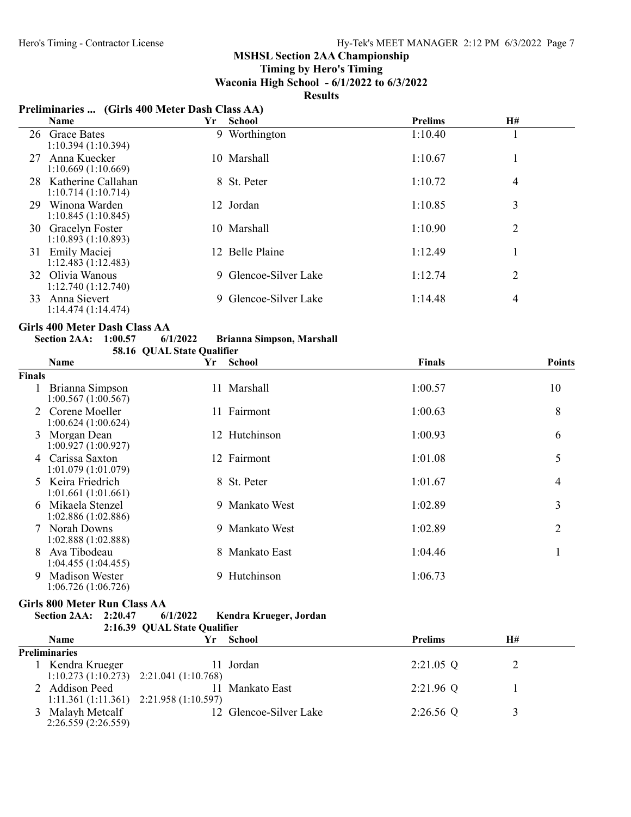Timing by Hero's Timing

Waconia High School - 6/1/2022 to 6/3/2022

Results

### Preliminaries ... (Girls 400 Meter Dash Class AA)

|     | <b>Name</b>                                  | Yr | <b>School</b>         | <b>Prelims</b> | <b>H#</b> |
|-----|----------------------------------------------|----|-----------------------|----------------|-----------|
|     | 26 Grace Bates<br>1:10.394(1:10.394)         |    | 9 Worthington         | 1:10.40        |           |
| 27  | Anna Kuecker<br>1:10.669(1:10.669)           |    | 10 Marshall           | 1:10.67        |           |
|     | 28 Katherine Callahan<br>1:10.714(1:10.714)  |    | 8 St. Peter           | 1:10.72        | 4         |
| 29. | Winona Warden<br>1:10.845(1:10.845)          |    | 12 Jordan             | 1:10.85        | 3         |
| 30  | <b>Gracelyn Foster</b><br>1:10.893(1:10.893) |    | 10 Marshall           | 1:10.90        | 2         |
| 31  | Emily Maciej<br>1:12.483(1:12.483)           |    | 12 Belle Plaine       | 1:12.49        |           |
|     | 32 Olivia Wanous<br>1:12.740(1:12.740)       |    | 9 Glencoe-Silver Lake | 1:12.74        | 2         |
| 33  | Anna Sievert<br>1:14.474(1:14.474)           | 9. | Glencoe-Silver Lake   | 1:14.48        | 4         |

# Girls 400 Meter Dash Class AA<br>Section 2AA: 1:00.57 6/1/2022

# Brianna Simpson, Marshall

58.16 QUAL State Qualifier

|                | Name                                         | Yr | <b>School</b>  | <b>Finals</b> | <b>Points</b> |
|----------------|----------------------------------------------|----|----------------|---------------|---------------|
| <b>Finals</b>  |                                              |    |                |               |               |
|                | Brianna Simpson<br>1:00.567(1:00.567)        |    | 11 Marshall    | 1:00.57       | 10            |
| 2              | Corene Moeller<br>1:00.624(1:00.624)         |    | 11 Fairmont    | 1:00.63       | 8             |
| 3              | Morgan Dean<br>1:00.927(1:00.927)            |    | 12 Hutchinson  | 1:00.93       | 6             |
| $\overline{4}$ | Carissa Saxton<br>1:01.079(1:01.079)         |    | 12 Fairmont    | 1:01.08       | 5             |
| 5.             | Keira Friedrich<br>1:01.661(1:01.661)        |    | 8 St. Peter    | 1:01.67       | 4             |
| 6              | Mikaela Stenzel<br>1:02.886(1:02.886)        |    | 9 Mankato West | 1:02.89       | 3             |
|                | Norah Downs<br>1:02.888(1:02.888)            |    | 9 Mankato West | 1:02.89       | 2             |
| 8              | Ava Tibodeau<br>1:04.455(1:04.455)           |    | 8 Mankato East | 1:04.46       | 1             |
| 9              | <b>Madison Wester</b><br>1:06.726 (1:06.726) |    | 9 Hutchinson   | 1:06.73       |               |

#### Girls 800 Meter Run Class AA

| <b>Section 2AA: 2:20.47</b> | 6/1/2022                     | Kendra Krueger, Jordan |
|-----------------------------|------------------------------|------------------------|
|                             | 2.16.39 OUAL State Qualifier |                        |

|                                             | $\mu$ . 10.07 OUTED blanc Oualing |                        |                |    |  |  |
|---------------------------------------------|-----------------------------------|------------------------|----------------|----|--|--|
| <b>Name</b>                                 | Yr.                               | School                 | <b>Prelims</b> | Н# |  |  |
| Preliminaries                               |                                   |                        |                |    |  |  |
| Kendra Krueger                              | $\mathbf{L}$                      | Jordan                 | $2:21.05$ Q    |    |  |  |
| $1:10.273(1:10.273)$ $2:21.041(1:10.768)$   |                                   |                        |                |    |  |  |
| 2 Addison Peed                              | 11.                               | Mankato East           | $2:21.96$ Q    |    |  |  |
| $1:11.361 (1:11.361)$ $2:21.958 (1:10.597)$ |                                   |                        |                |    |  |  |
| 3 Malayh Metcalf                            |                                   | 12 Glencoe-Silver Lake | $2:26.56$ Q    |    |  |  |
| 2:26.559 (2:26.559)                         |                                   |                        |                |    |  |  |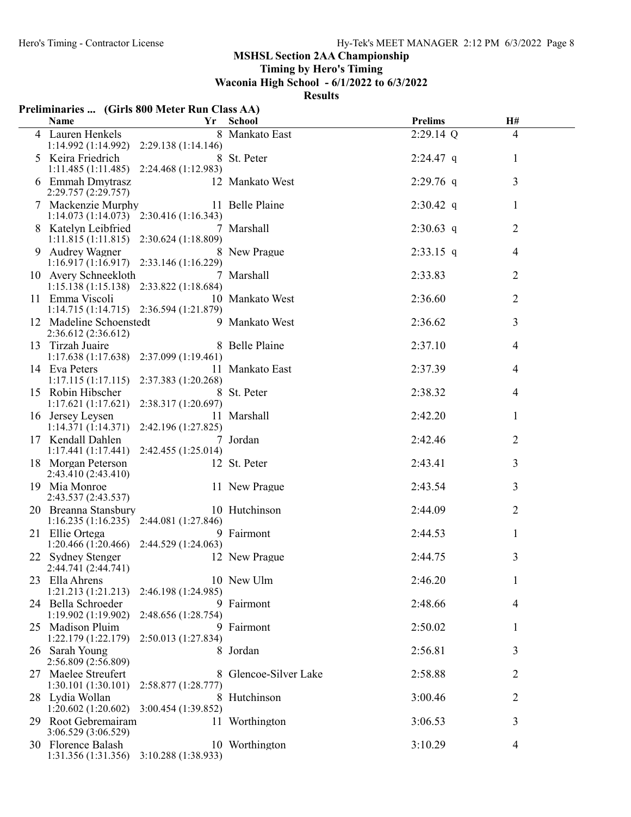Timing by Hero's Timing

Waconia High School - 6/1/2022 to 6/3/2022

Results

# Preliminaries ... (Girls 800 Meter Run Class AA)

|     | Name                                                              | Yr                       | School                | <b>Prelims</b> | H#             |  |
|-----|-------------------------------------------------------------------|--------------------------|-----------------------|----------------|----------------|--|
|     | 4 Lauren Henkels<br>$1:14.992(1:14.992)$ $2:29.138(1:14.146)$     |                          | 8 Mankato East        | $2:29.14$ Q    | $\overline{4}$ |  |
|     | 5 Keira Friedrich<br>1:11.485(1:11.485)                           | 2:24.468 (1:12.983)      | 8 St. Peter           | $2:24.47$ q    | 1              |  |
|     | 6 Emmah Dmytrasz<br>2:29.757 (2:29.757)                           |                          | 12 Mankato West       | $2:29.76$ q    | 3              |  |
|     | 7 Mackenzie Murphy<br>$1:14.073(1:14.073)$ $2:30.416(1:16.343)$   |                          | 11 Belle Plaine       | $2:30.42$ q    | 1              |  |
|     | 8 Katelyn Leibfried<br>$1:11.815(1:11.815)$ $2:30.624(1:18.809)$  |                          | 7 Marshall            | $2:30.63$ q    | $\overline{2}$ |  |
|     | 9 Audrey Wagner<br>$1:16.917(1:16.917)$ $2:33.146(1:16.229)$      |                          | 8 New Prague          | $2:33.15$ q    | 4              |  |
|     | 10 Avery Schneekloth<br>1:15.138 (1:15.138) 2:33.822 (1:18.684)   |                          | 7 Marshall            | 2:33.83        | 2              |  |
|     | 11 Emma Viscoli<br>$1:14.715(1:14.715)$ $2:36.594(1:21.879)$      |                          | 10 Mankato West       | 2:36.60        | $\overline{2}$ |  |
|     | 12 Madeline Schoenstedt<br>2:36.612 (2:36.612)                    |                          | 9 Mankato West        | 2:36.62        | 3              |  |
|     | 13 Tirzah Juaire<br>1:17.638 (1:17.638) 2:37.099 (1:19.461)       |                          | 8 Belle Plaine        | 2:37.10        | $\overline{4}$ |  |
|     | 14 Eva Peters<br>1:17.115(1:17.115)                               | 2:37.383 (1:20.268)      | 11 Mankato East       | 2:37.39        | $\overline{4}$ |  |
|     | 15 Robin Hibscher<br>1:17.621(1:17.621)                           | 2:38.317 (1:20.697)      | 8 St. Peter           | 2:38.32        | $\overline{4}$ |  |
|     | 16 Jersey Leysen<br>$1:14.371 (1:14.371)$ $2:42.196 (1:27.825)$   |                          | 11 Marshall           | 2:42.20        | 1              |  |
|     | 17 Kendall Dahlen<br>$1:17.441(1:17.441)$ $2:42.455(1:25.014)$    |                          | 7 Jordan              | 2:42.46        | $\overline{2}$ |  |
|     | 18 Morgan Peterson<br>2:43.410 (2:43.410)                         |                          | 12 St. Peter          | 2:43.41        | 3              |  |
|     | 19 Mia Monroe<br>2:43.537 (2:43.537)                              |                          | 11 New Prague         | 2:43.54        | 3              |  |
|     | 20 Breanna Stansbury<br>$1:16.235(1:16.235)$ $2:44.081(1:27.846)$ |                          | 10 Hutchinson         | 2:44.09        | $\overline{2}$ |  |
|     | 21 Ellie Ortega<br>$1:20.466(1:20.466)$ $2:44.529(1:24.063)$      |                          | 9 Fairmont            | 2:44.53        | $\mathbf{1}$   |  |
|     | 22 Sydney Stenger<br>2:44.741 (2:44.741)                          |                          | 12 New Prague         | 2:44.75        | 3              |  |
|     | 23 Ella Ahrens<br>1:21.213(1:21.213)                              | 2:46.198 (1:24.985)      | 10 New Ulm            | 2:46.20        | 1              |  |
|     | 24 Bella Schroeder<br>1:19.902 (1:19.902)                         | 9<br>2:48.656 (1:28.754) | Fairmont              | 2:48.66        | 4              |  |
|     | 25 Madison Pluim<br>1:22.179 (1:22.179)                           | 2:50.013 (1:27.834)      | 9 Fairmont            | 2:50.02        | 1              |  |
|     | 26 Sarah Young<br>2:56.809 (2:56.809)                             |                          | 8 Jordan              | 2:56.81        | 3              |  |
| 27. | Maelee Streufert<br>1:30.101(1:30.101)                            | 2:58.877 (1:28.777)      | 8 Glencoe-Silver Lake | 2:58.88        | 2              |  |
|     | 28 Lydia Wollan<br>1:20.602(1:20.602)                             | 3:00.454 (1:39.852)      | 8 Hutchinson          | 3:00.46        | 2              |  |
|     | 29 Root Gebremairam<br>3:06.529 (3:06.529)                        |                          | 11 Worthington        | 3:06.53        | 3              |  |
|     | 30 Florence Balash<br>1:31.356 (1:31.356)                         | 3:10.288 (1:38.933)      | 10 Worthington        | 3:10.29        | $\overline{4}$ |  |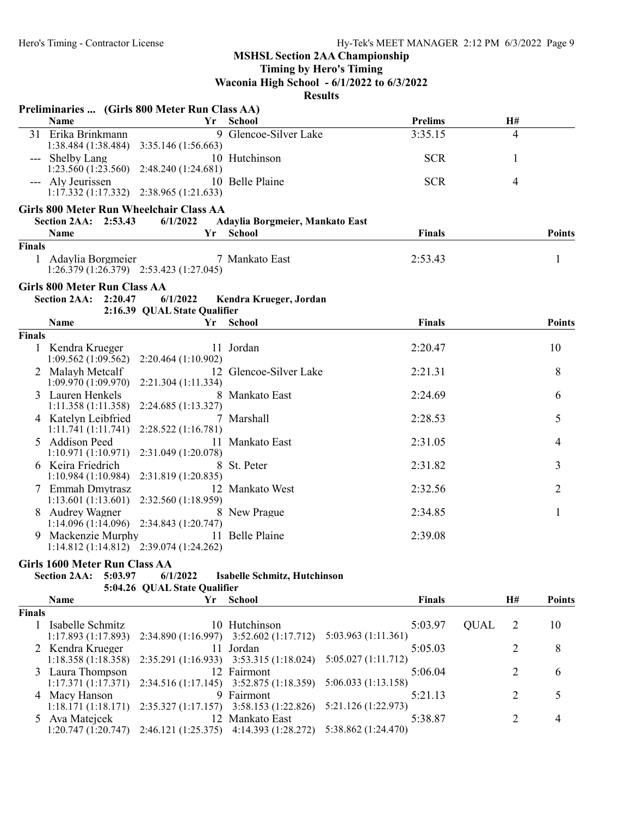Timing by Hero's Timing

Waconia High School - 6/1/2022 to 6/3/2022

#### Results

|               | Preliminaries  (Girls 800 Meter Run Class AA)                  |                              |                                        |                                |                      |               |  |  |  |
|---------------|----------------------------------------------------------------|------------------------------|----------------------------------------|--------------------------------|----------------------|---------------|--|--|--|
|               | <b>Name</b><br>31 Erika Brinkmann                              | Yr                           | <b>School</b><br>9 Glencoe-Silver Lake | <b>Prelims</b><br>3:35.15      | H#<br>$\overline{4}$ |               |  |  |  |
|               | 1:38.484(1:38.484)                                             | 3:35.146 (1:56.663)          |                                        |                                |                      |               |  |  |  |
|               | --- Shelby Lang                                                |                              | 10 Hutchinson                          | <b>SCR</b>                     | 1                    |               |  |  |  |
|               | 1:23.560(1:23.560)                                             | 2:48.240 (1:24.681)          |                                        |                                |                      |               |  |  |  |
|               | --- Aly Jeurissen<br>$1:17.332(1:17.332)$ $2:38.965(1:21.633)$ |                              | 10 Belle Plaine                        | <b>SCR</b>                     | 4                    |               |  |  |  |
|               | <b>Girls 800 Meter Run Wheelchair Class AA</b>                 |                              |                                        |                                |                      |               |  |  |  |
|               | Section 2AA: 2:53.43                                           | 6/1/2022                     | Adaylia Borgmeier, Mankato East        |                                |                      |               |  |  |  |
|               | <b>Name</b>                                                    | Yr                           | <b>School</b>                          | <b>Finals</b>                  |                      | <b>Points</b> |  |  |  |
| <b>Finals</b> |                                                                |                              |                                        |                                |                      |               |  |  |  |
|               | 1 Adaylia Borgmeier<br>1:26.379 (1:26.379) 2:53.423 (1:27.045) |                              | 7 Mankato East                         | 2:53.43                        |                      | 1             |  |  |  |
|               | <b>Girls 800 Meter Run Class AA</b>                            |                              |                                        |                                |                      |               |  |  |  |
|               | 6/1/2022<br>Section 2AA: 2:20.47<br>Kendra Krueger, Jordan     |                              |                                        |                                |                      |               |  |  |  |
|               |                                                                | 2:16.39 QUAL State Qualifier |                                        |                                |                      |               |  |  |  |
|               | Name                                                           | Yr                           | <b>School</b>                          | <b>Finals</b>                  |                      | <b>Points</b> |  |  |  |
| Finals        | 1 Kendra Krueger                                               |                              | 11 Jordan                              | 2:20.47                        |                      | 10            |  |  |  |
|               | 1:09.562(1:09.562)                                             | 2:20.464 (1:10.902)          |                                        |                                |                      |               |  |  |  |
|               | 2 Malayh Metcalf                                               |                              | 12 Glencoe-Silver Lake                 | 2:21.31                        |                      | 8             |  |  |  |
|               | 1:09.970(1:09.970)<br>3 Lauren Henkels                         | 2:21.304 (1:11.334)          | 8 Mankato East                         | 2:24.69                        |                      | 6             |  |  |  |
|               | 1:11.358(1:11.358)                                             | 2:24.685 (1:13.327)          |                                        |                                |                      |               |  |  |  |
|               | 4 Katelyn Leibfried                                            |                              | 7 Marshall                             | 2:28.53                        |                      | 5             |  |  |  |
|               | 1:11.741(1:11.741)                                             | 2:28.522(1:16.781)           |                                        |                                |                      |               |  |  |  |
| 5             | <b>Addison Peed</b><br>1:10.971(1:10.971)                      | 2:31.049 (1:20.078)          | 11 Mankato East                        | 2:31.05                        |                      | 4             |  |  |  |
|               | 6 Keira Friedrich                                              |                              | 8 St. Peter                            | 2:31.82                        |                      | 3             |  |  |  |
|               | 1:10.984(1:10.984)                                             | 2:31.819 (1:20.835)          |                                        |                                |                      |               |  |  |  |
|               | 7 Emmah Dmytrasz<br>$1:13.601(1:13.601)$ $2:32.560(1:18.959)$  |                              | 12 Mankato West                        | 2:32.56                        |                      | 2             |  |  |  |
|               | 8 Audrey Wagner                                                |                              | 8 New Prague                           | 2:34.85                        |                      | 1             |  |  |  |
|               | 1:14.096 (1:14.096) 2:34.843 (1:20.747)                        |                              |                                        |                                |                      |               |  |  |  |
|               | 9 Mackenzie Murphy<br>1:14.812 (1:14.812) 2:39.074 (1:24.262)  |                              | 11 Belle Plaine                        | 2:39.08                        |                      |               |  |  |  |
|               | Girls 1600 Meter Run Class AA                                  |                              |                                        |                                |                      |               |  |  |  |
|               | <b>Section 2AA:</b><br>5:03.97                                 | 6/1/2022                     | <b>Isabelle Schmitz, Hutchinson</b>    |                                |                      |               |  |  |  |
|               |                                                                | 5:04.26 QUAL State Qualifier |                                        |                                |                      |               |  |  |  |
|               | Name                                                           | Yr                           | <b>School</b>                          | <b>Finals</b>                  | <b>H#</b>            | <b>Points</b> |  |  |  |
| <b>Finals</b> | 1 Isabelle Schmitz                                             |                              | 10 Hutchinson                          |                                |                      |               |  |  |  |
|               | 1:17.893(1:17.893)                                             | 2:34.890 (1:16.997)          | 3:52.602(1:17.712)                     | 5:03.97<br>5:03.963 (1:11.361) | <b>QUAL</b><br>2     | 10            |  |  |  |
|               | 2 Kendra Krueger                                               |                              | 11 Jordan                              | 5:05.03                        | 2                    | 8             |  |  |  |
|               | 1:18.358(1:18.358)                                             | 2:35.291(1:16.933)           | 3:53.315 (1:18.024)                    | 5:05.027(1:11.712)             |                      |               |  |  |  |
|               | 3 Laura Thompson<br>1:17.371(1:17.371)                         | 2:34.516(1:17.145)           | 12 Fairmont<br>3:52.875 (1:18.359)     | 5:06.04<br>5:06.033 (1:13.158) | 2                    | 6             |  |  |  |
|               | 4 Macy Hanson                                                  |                              | 9 Fairmont                             | 5:21.13                        | 2                    | 5             |  |  |  |
|               | 1:18.171(1:18.171)<br>Ava Matejcek                             | 2:35.327 (1:17.157)          | 3:58.153 (1:22.826)                    | 5:21.126 (1:22.973)            |                      |               |  |  |  |
| 5             | 1:20.747(1:20.747)                                             | 2:46.121 (1:25.375)          | 12 Mankato East<br>4:14.393 (1:28.272) | 5:38.87<br>5:38.862 (1:24.470) | 2                    | 4             |  |  |  |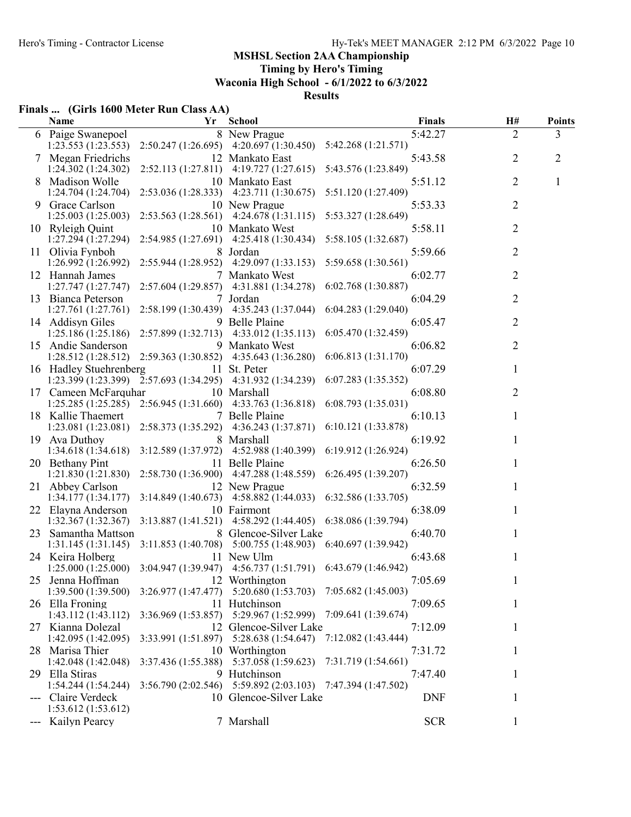Timing by Hero's Timing

Waconia High School - 6/1/2022 to 6/3/2022

#### Results

### Finals ... (Girls 1600 Meter Run Class AA)

|     | Name                                  | Yr                  | <b>School</b>                                                                   | <b>Finals</b>                  | H# | <b>Points</b>  |
|-----|---------------------------------------|---------------------|---------------------------------------------------------------------------------|--------------------------------|----|----------------|
|     | 6 Paige Swanepoel                     |                     | 8 New Prague                                                                    | 5:42.27                        | 2  | 3              |
|     | 1:23.553(1:23.553)                    |                     | $2:50.247(1:26.695)$ 4:20.697 (1:30.450)                                        | 5:42.268 (1:21.571)            |    |                |
|     | 7 Megan Friedrichs                    |                     | 12 Mankato East                                                                 | 5:43.58                        | 2  | $\overline{2}$ |
|     | 1:24.302(1:24.302)                    | 2:52.113(1:27.811)  | 4:19.727 (1:27.615)                                                             | 5:43.576 (1:23.849)            |    |                |
|     | 8 Madison Wolle                       |                     | 10 Mankato East                                                                 | 5:51.12                        | 2  | $\mathbf{1}$   |
|     | 1:24.704(1:24.704)                    |                     | 2:53.036 (1:28.333) 4:23.711 (1:30.675)                                         | 5:51.120 (1:27.409)            |    |                |
|     | 9 Grace Carlson<br>1:25.003(1:25.003) |                     | 10 New Prague<br>2:53.563 (1:28.561) 4:24.678 (1:31.115)                        | 5:53.33<br>5:53.327 (1:28.649) | 2  |                |
|     | 10 Ryleigh Quint                      |                     | 10 Mankato West                                                                 | 5:58.11                        | 2  |                |
|     | 1:27.294(1:27.294)                    |                     | 2:54.985 (1:27.691) 4:25.418 (1:30.434)                                         | 5:58.105 (1:32.687)            |    |                |
|     | 11 Olivia Fynboh                      |                     | 8 Jordan                                                                        | 5:59.66                        | 2  |                |
|     | 1:26.992 (1:26.992)                   |                     | 2:55.944 (1:28.952) 4:29.097 (1:33.153)                                         | 5:59.658 (1:30.561)            |    |                |
|     | 12 Hannah James                       |                     | 7 Mankato West                                                                  | 6:02.77                        | 2  |                |
|     | 1:27.747(1:27.747)                    |                     | 2:57.604 (1:29.857) 4:31.881 (1:34.278)                                         | 6:02.768 (1:30.887)            |    |                |
|     | 13 Bianca Peterson                    |                     | 7 Jordan                                                                        | 6:04.29                        | 2  |                |
|     | 1:27.761(1:27.761)                    |                     | 2:58.199 (1:30.439) 4:35.243 (1:37.044)                                         | 6:04.283 (1:29.040)            |    |                |
|     | 14 Addisyn Giles                      |                     | 9 Belle Plaine                                                                  | 6:05.47                        | 2  |                |
|     |                                       |                     | $1:25.186 (1:25.186)$ $2:57.899 (1:32.713)$ $4:33.012 (1:35.113)$               | 6:05.470 (1:32.459)            |    |                |
|     | 15 Andie Sanderson                    |                     | 9 Mankato West                                                                  | 6:06.82                        | 2  |                |
|     |                                       |                     | $1:28.512(1:28.512)$ $2:59.363(1:30.852)$ $4:35.643(1:36.280)$                  | 6:06.813 (1:31.170)            |    |                |
|     | 16 Hadley Stuehrenberg                |                     | 11 St. Peter                                                                    | 6:07.29                        | 1  |                |
|     |                                       |                     | 1:23.399 (1:23.399) 2:57.693 (1:34.295) 4:31.932 (1:34.239)                     | 6:07.283 (1:35.352)            |    |                |
|     | 17 Cameen McFarquhar                  |                     | 10 Marshall                                                                     | 6:08.80                        | 2  |                |
|     |                                       |                     | $1:25.285(1:25.285)$ $2:56.945(1:31.660)$ $4:33.763(1:36.818)$                  | 6:08.793(1:35.031)             |    |                |
|     | 18 Kallie Thaemert                    |                     | 7 Belle Plaine                                                                  | 6:10.13                        | 1  |                |
|     | 1:23.081(1:23.081)                    |                     | $2:58.373(1:35.292)$ $4:36.243(1:37.871)$                                       | 6:10.121(1:33.878)             |    |                |
|     | 19 Ava Duthoy<br>1:34.618(1:34.618)   |                     | 8 Marshall<br>3:12.589 (1:37.972) 4:52.988 (1:40.399)                           | 6:19.92<br>6:19.912 (1:26.924) | 1  |                |
|     | 20 Bethany Pint                       |                     | 11 Belle Plaine                                                                 | 6:26.50                        | 1  |                |
|     | 1:21.830(1:21.830)                    |                     | 2:58.730 (1:36.900) 4:47.288 (1:48.559)                                         | 6:26.495 (1:39.207)            |    |                |
|     | 21 Abbey Carlson                      |                     | 12 New Prague                                                                   | 6:32.59                        | 1  |                |
|     | 1:34.177(1:34.177)                    |                     | 3:14.849 (1:40.673) 4:58.882 (1:44.033) 6:32.586 (1:33.705)                     |                                |    |                |
|     | 22 Elayna Anderson                    |                     | 10 Fairmont                                                                     | 6:38.09                        | 1  |                |
|     | 1:32.367(1:32.367)                    |                     | 3:13.887 (1:41.521) 4:58.292 (1:44.405) 6:38.086 (1:39.794)                     |                                |    |                |
|     | 23 Samantha Mattson                   |                     | 8 Glencoe-Silver Lake                                                           | 6:40.70                        | 1  |                |
|     |                                       |                     | 1:31.145 (1:31.145) 3:11.853 (1:40.708) 5:00.755 (1:48.903) 6:40.697 (1:39.942) |                                |    |                |
|     | 24 Keira Holberg                      |                     | 11 New Ulm                                                                      | 6:43.68                        | 1  |                |
|     |                                       |                     | 1:25.000 (1:25.000) 3:04.947 (1:39.947) 4:56.737 (1:51.791) 6:43.679 (1:46.942) |                                |    |                |
| 25  | Jenna Hoffman                         |                     | 12 Worthington                                                                  | 7:05.69                        |    |                |
|     | 1:39.500(1:39.500)                    | 3:26.977(1:47.477)  | 5:20.680 (1:53.703)                                                             | 7:05.682 (1:45.003)            |    |                |
|     | 26 Ella Froning                       |                     | 11 Hutchinson                                                                   | 7:09.65                        | 1  |                |
|     | 1:43.112(1:43.112)                    | 3:36.969 (1:53.857) | 5:29.967 (1:52.999)                                                             | 7:09.641 (1:39.674)            |    |                |
|     | 27 Kianna Dolezal                     |                     | 12 Glencoe-Silver Lake                                                          | 7:12.09<br>7:12.082 (1:43.444) | 1  |                |
|     | 1:42.095(1:42.095)<br>28 Marisa Thier | 3:33.991 (1:51.897) | 5:28.638 (1:54.647)<br>10 Worthington                                           |                                | 1  |                |
|     | 1:42.048 (1:42.048)                   | 3:37.436 (1:55.388) | 5:37.058 (1:59.623)                                                             | 7:31.72<br>7:31.719 (1:54.661) |    |                |
|     | 29 Ella Stiras                        |                     | 9 Hutchinson                                                                    | 7:47.40                        | 1  |                |
|     | 1:54.244(1:54.244)                    | 3:56.790(2:02.546)  | 5:59.892 (2:03.103)                                                             | 7:47.394 (1:47.502)            |    |                |
|     | Claire Verdeck                        |                     | 10 Glencoe-Silver Lake                                                          | <b>DNF</b>                     |    |                |
|     | 1:53.612(1:53.612)                    |                     |                                                                                 |                                |    |                |
| --- | Kailyn Pearcy                         |                     | 7 Marshall                                                                      | <b>SCR</b>                     | 1  |                |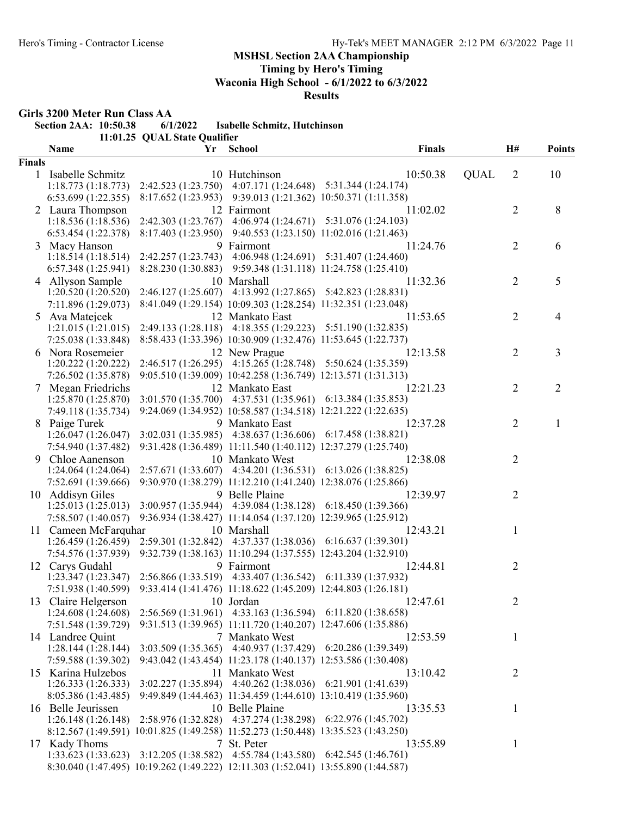Timing by Hero's Timing

Waconia High School - 6/1/2022 to 6/3/2022

Results

Girls 3200 Meter Run Class AA<br>Section 2AA: 10:50.38 6/1/2022

Isabelle Schmitz, Hutchinson

11:01.25 QUAL State Qualifier

|        | Name                 | Yr                  | <b>School</b>                                                                      | <b>Finals</b>                            |             | H#             | <b>Points</b>  |
|--------|----------------------|---------------------|------------------------------------------------------------------------------------|------------------------------------------|-------------|----------------|----------------|
| Finals |                      |                     |                                                                                    |                                          |             |                |                |
|        | 1 Isabelle Schmitz   |                     | 10 Hutchinson                                                                      | 10:50.38                                 | <b>QUAL</b> | 2              | 10             |
|        | 1:18.773(1:18.773)   |                     | 2:42.523 (1:23.750) 4:07.171 (1:24.648) 5:31.344 (1:24.174)                        |                                          |             |                |                |
|        | 6:53.699 (1:22.355)  | 8:17.652 (1:23.953) |                                                                                    | 9:39.013 (1:21.362) 10:50.371 (1:11.358) |             |                |                |
|        | 2 Laura Thompson     |                     | 12 Fairmont                                                                        | 11:02.02                                 |             | 2              | 8              |
|        | 1:18.536(1:18.536)   | 2:42.303(1:23.767)  |                                                                                    | 4:06.974 (1:24.671) 5:31.076 (1:24.103)  |             |                |                |
|        | 6:53.454 (1:22.378)  | 8:17.403 (1:23.950) |                                                                                    | 9:40.553 (1:23.150) 11:02.016 (1:21.463) |             |                |                |
|        |                      |                     | 9 Fairmont                                                                         |                                          |             | $\overline{2}$ |                |
| 3      | Macy Hanson          |                     | 2:42.257 (1:23.743) 4:06.948 (1:24.691) 5:31.407 (1:24.460)                        | 11:24.76                                 |             |                | 6              |
|        | 1:18.514(1:18.514)   |                     |                                                                                    |                                          |             |                |                |
|        | 6:57.348 (1:25.941)  |                     | 8:28.230 (1:30.883) 9:59.348 (1:31.118) 11:24.758 (1:25.410)                       |                                          |             |                |                |
|        | 4 Allyson Sample     |                     | 10 Marshall                                                                        | 11:32.36                                 |             | $\overline{2}$ | 5              |
|        | 1:20.520(1:20.520)   |                     | 2:46.127 (1:25.607) 4:13.992 (1:27.865) 5:42.823 (1:28.831)                        |                                          |             |                |                |
|        | 7:11.896 (1:29.073)  |                     | 8:41.049 (1:29.154) 10:09.303 (1:28.254) 11:32.351 (1:23.048)                      |                                          |             |                |                |
|        | 5 Ava Matejcek       |                     | 12 Mankato East                                                                    | 11:53.65                                 |             | $\overline{2}$ | $\overline{4}$ |
|        | 1:21.015(1:21.015)   |                     | 2:49.133 (1:28.118) 4:18.355 (1:29.223) 5:51.190 (1:32.835)                        |                                          |             |                |                |
|        | 7:25.038 (1:33.848)  |                     | 8:58.433 (1:33.396) 10:30.909 (1:32.476) 11:53.645 (1:22.737)                      |                                          |             |                |                |
|        | 6 Nora Rosemeier     |                     | 12 New Prague                                                                      | 12:13.58                                 |             | $\overline{2}$ | 3              |
|        | 1:20.222(1:20.222)   |                     | 2:46.517 (1:26.295) 4:15.265 (1:28.748) 5:50.624 (1:35.359)                        |                                          |             |                |                |
|        | 7:26.502 (1:35.878)  |                     | 9:05.510 (1:39.009) 10:42.258 (1:36.749) 12:13.571 (1:31.313)                      |                                          |             |                |                |
|        | 7 Megan Friedrichs   |                     | 12 Mankato East                                                                    | 12:21.23                                 |             | $\overline{2}$ | $\overline{2}$ |
|        | 1:25.870 (1:25.870)  |                     | 3:01.570 (1:35.700) 4:37.531 (1:35.961) 6:13.384 (1:35.853)                        |                                          |             |                |                |
|        | 7:49.118 (1:35.734)  |                     | 9:24.069 (1:34.952) 10:58.587 (1:34.518) 12:21.222 (1:22.635)                      |                                          |             |                |                |
|        | 8 Paige Turek        |                     | 9 Mankato East                                                                     | 12:37.28                                 |             | $\overline{2}$ | $\mathbf{1}$   |
|        | 1:26.047(1:26.047)   |                     | 3:02.031 (1:35.985) 4:38.637 (1:36.606) 6:17.458 (1:38.821)                        |                                          |             |                |                |
|        | 7:54.940 (1:37.482)  |                     | 9:31.428 (1:36.489) 11:11.540 (1:40.112) 12:37.279 (1:25.740)                      |                                          |             |                |                |
|        | 9 Chloe Aanenson     |                     | 10 Mankato West                                                                    | 12:38.08                                 |             | $\overline{2}$ |                |
|        | 1:24.064(1:24.064)   |                     | 2:57.671 (1:33.607) 4:34.201 (1:36.531) 6:13.026 (1:38.825)                        |                                          |             |                |                |
|        | 7:52.691 (1:39.666)  |                     | 9:30.970 (1:38.279) 11:12.210 (1:41.240) 12:38.076 (1:25.866)                      |                                          |             |                |                |
|        | 10 Addisyn Giles     |                     | 9 Belle Plaine                                                                     | 12:39.97                                 |             | $\overline{2}$ |                |
|        | 1:25.013(1:25.013)   |                     | 3:00.957 (1:35.944) 4:39.084 (1:38.128) 6:18.450 (1:39.366)                        |                                          |             |                |                |
|        | 7:58.507 (1:40.057)  |                     | 9:36.934 (1:38.427) 11:14.054 (1:37.120) 12:39.965 (1:25.912)                      |                                          |             |                |                |
|        | 11 Cameen McFarquhar |                     | 10 Marshall                                                                        | 12:43.21                                 |             | 1              |                |
|        | 1:26.459(1:26.459)   |                     | 2:59.301 (1:32.842) 4:37.337 (1:38.036) 6:16.637 (1:39.301)                        |                                          |             |                |                |
|        | 7:54.576 (1:37.939)  |                     | 9:32.739 (1:38.163) 11:10.294 (1:37.555) 12:43.204 (1:32.910)                      |                                          |             |                |                |
|        |                      |                     |                                                                                    |                                          |             |                |                |
|        | 12 Carys Gudahl      |                     | 9 Fairmont                                                                         | 12:44.81                                 |             | $\overline{2}$ |                |
|        |                      |                     | 1:23.347 (1:23.347) 2:56.866 (1:33.519) 4:33.407 (1:36.542) 6:11.339 (1:37.932)    |                                          |             |                |                |
|        | 7:51.938 (1:40.599)  |                     | 9:33.414 (1:41.476) 11:18.622 (1:45.209) 12:44.803 (1:26.181)                      |                                          |             |                |                |
|        | 13 Claire Helgerson  |                     | 10 Jordan                                                                          | 12:47.61                                 |             | $\overline{2}$ |                |
|        | 1:24.608 (1:24.608)  |                     | 2:56.569 (1:31.961) 4:33.163 (1:36.594) 6:11.820 (1:38.658)                        |                                          |             |                |                |
|        | 7:51.548 (1:39.729)  |                     | 9:31.513 (1:39.965) 11:11.720 (1:40.207) 12:47.606 (1:35.886)                      |                                          |             |                |                |
|        | 14 Landree Quint     |                     | 7 Mankato West                                                                     | 12:53.59                                 |             | 1              |                |
|        | 1:28.144(1:28.144)   |                     | 3:03.509 (1:35.365) 4:40.937 (1:37.429) 6:20.286 (1:39.349)                        |                                          |             |                |                |
|        | 7:59.588 (1:39.302)  |                     | 9:43.042 (1:43.454) 11:23.178 (1:40.137) 12:53.586 (1:30.408)                      |                                          |             |                |                |
|        | 15 Karina Hulzebos   |                     | 11 Mankato West                                                                    | 13:10.42                                 |             | 2              |                |
|        | 1:26.333(1:26.333)   |                     | 3:02.227 (1:35.894) 4:40.262 (1:38.036) 6:21.901 (1:41.639)                        |                                          |             |                |                |
|        | 8:05.386 (1:43.485)  |                     | 9:49.849 (1:44.463) 11:34.459 (1:44.610) 13:10.419 (1:35.960)                      |                                          |             |                |                |
|        | 16 Belle Jeurissen   |                     | 10 Belle Plaine                                                                    | 13:35.53                                 |             | 1              |                |
|        | 1:26.148(1:26.148)   |                     | 2:58.976 (1:32.828) 4:37.274 (1:38.298) 6:22.976 (1:45.702)                        |                                          |             |                |                |
|        |                      |                     | 8:12.567 (1:49.591) 10:01.825 (1:49.258) 11:52.273 (1:50.448) 13:35.523 (1:43.250) |                                          |             |                |                |
|        | 17 Kady Thoms        |                     | 7 St. Peter                                                                        | 13:55.89                                 |             | 1              |                |
|        |                      |                     | 1:33.623 (1:33.623) 3:12.205 (1:38.582) 4:55.784 (1:43.580) 6:42.545 (1:46.761)    |                                          |             |                |                |
|        |                      |                     | 8:30.040 (1:47.495) 10:19.262 (1:49.222) 12:11.303 (1:52.041) 13:55.890 (1:44.587) |                                          |             |                |                |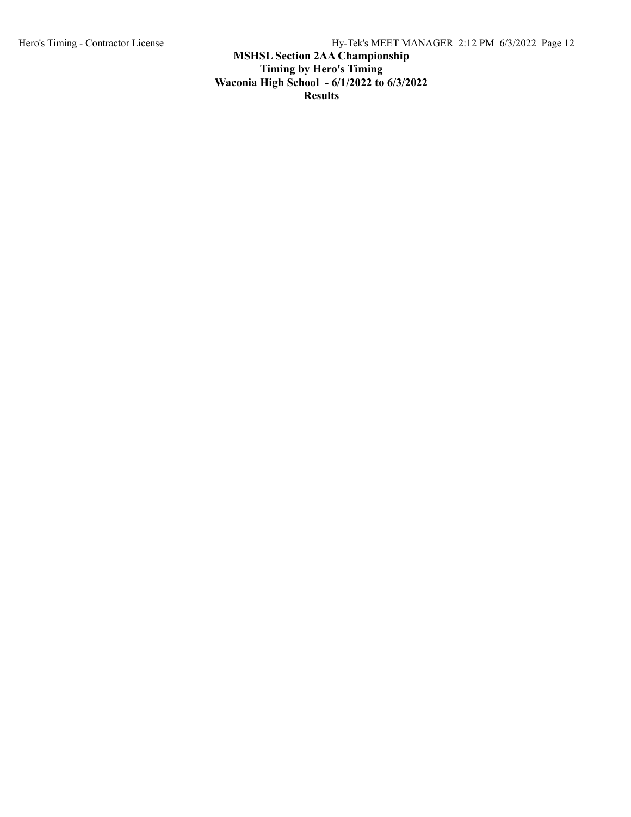MSHSL Section 2AA Championship Timing by Hero's Timing Waconia High School - 6/1/2022 to 6/3/2022 Results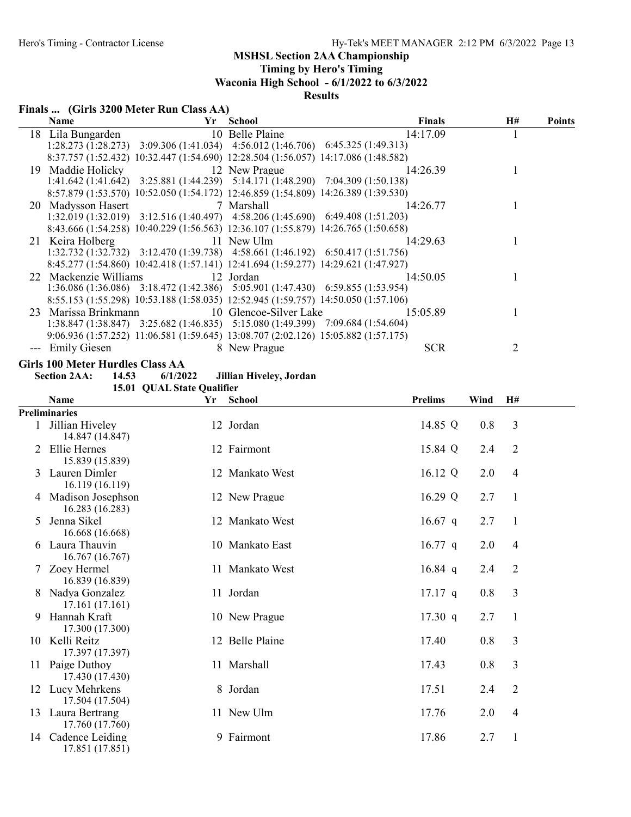Timing by Hero's Timing

Waconia High School - 6/1/2022 to 6/3/2022

#### Results

# Finals ... (Girls 3200 Meter Run Class AA)

|    | Name                                    |                            | Yr School                                                                                       | <b>Finals</b>  | <b>H#</b>  | <b>Points</b> |  |  |
|----|-----------------------------------------|----------------------------|-------------------------------------------------------------------------------------------------|----------------|------------|---------------|--|--|
|    | 18 Lila Bungarden                       |                            | 10 Belle Plaine                                                                                 | 14:17.09       | 1          |               |  |  |
|    |                                         |                            | $1:28.273$ $(1:28.273)$ $3:09.306$ $(1:41.034)$ $4:56.012$ $(1:46.706)$ $6:45.325$ $(1:49.313)$ |                |            |               |  |  |
|    |                                         |                            | 8:37.757 (1:52.432) 10:32.447 (1:54.690) 12:28.504 (1:56.057) 14:17.086 (1:48.582)              |                |            |               |  |  |
| 19 | Maddie Holicky                          |                            | 12 New Prague                                                                                   | 14:26.39       |            |               |  |  |
|    |                                         |                            | 1:41.642 (1:41.642) 3:25.881 (1:44.239) 5:14.171 (1:48.290) 7:04.309 (1:50.138)                 |                |            |               |  |  |
|    |                                         |                            | 8:57.879 (1:53.570) 10:52.050 (1:54.172) 12:46.859 (1:54.809) 14:26.389 (1:39.530)              |                |            |               |  |  |
|    | 20 Madysson Hasert                      |                            | 7 Marshall                                                                                      | 14:26.77       |            |               |  |  |
|    |                                         |                            | 1:32.019 (1:32.019) 3:12.516 (1:40.497) 4:58.206 (1:45.690) 6:49.408 (1:51.203)                 |                |            |               |  |  |
|    |                                         |                            | 8:43.666 (1:54.258) 10:40.229 (1:56.563) 12:36.107 (1:55.879) 14:26.765 (1:50.658)              |                |            |               |  |  |
| 21 | Keira Holberg                           |                            | 11 New Ulm                                                                                      | 14:29.63       |            |               |  |  |
|    |                                         |                            | 1:32.732 (1:32.732) 3:12.470 (1:39.738) 4:58.661 (1:46.192) 6:50.417 (1:51.756)                 |                |            |               |  |  |
|    |                                         |                            | 8:45.277 (1:54.860) 10:42.418 (1:57.141) 12:41.694 (1:59.277) 14:29.621 (1:47.927)              |                |            |               |  |  |
|    | 22 Mackenzie Williams                   |                            | 12 Jordan                                                                                       | 14:50.05       |            |               |  |  |
|    |                                         |                            | 1:36.086 (1:36.086) 3:18.472 (1:42.386) 5:05.901 (1:47.430) 6:59.855 (1:53.954)                 |                |            |               |  |  |
|    |                                         |                            | 8:55.153 (1:55.298) 10:53.188 (1:58.035) 12:52.945 (1:59.757) 14:50.050 (1:57.106)              |                |            |               |  |  |
| 23 |                                         |                            | Marissa Brinkmann 10 Glencoe-Silver Lake                                                        | 15:05.89       |            |               |  |  |
|    |                                         |                            | 1:38.847 (1:38.847) 3:25.682 (1:46.835) 5:15.080 (1:49.399) 7:09.684 (1:54.604)                 |                |            |               |  |  |
|    |                                         |                            | 9:06.936 (1:57.252) 11:06.581 (1:59.645) 13:08.707 (2:02.126) 15:05.882 (1:57.175)              |                |            |               |  |  |
|    | <b>Emily Giesen</b>                     |                            | 8 New Prague                                                                                    | <b>SCR</b>     | 2          |               |  |  |
|    | <b>Girls 100 Meter Hurdles Class AA</b> |                            |                                                                                                 |                |            |               |  |  |
|    | <b>Section 2AA:</b><br>14.53            | 6/1/2022                   | Jillian Hiveley, Jordan                                                                         |                |            |               |  |  |
|    |                                         | 15.01 QUAL State Qualifier |                                                                                                 |                |            |               |  |  |
|    | Name                                    |                            | Yr School                                                                                       | <b>Prelims</b> | H#<br>Wind |               |  |  |

|    | Name                                 | x r | SCHOOL          | <b>Prellims</b> | wina | 11#            |  |
|----|--------------------------------------|-----|-----------------|-----------------|------|----------------|--|
|    | <b>Preliminaries</b>                 |     |                 |                 |      |                |  |
| 1  | Jillian Hiveley<br>14.847 (14.847)   |     | 12 Jordan       | 14.85 Q         | 0.8  | $\overline{3}$ |  |
| 2  | Ellie Hernes<br>15.839 (15.839)      |     | 12 Fairmont     | 15.84 Q         | 2.4  | $\overline{2}$ |  |
| 3  | Lauren Dimler<br>16.119 (16.119)     |     | 12 Mankato West | 16.12 Q         | 2.0  | $\overline{4}$ |  |
| 4  | Madison Josephson<br>16.283 (16.283) |     | 12 New Prague   | 16.29 Q         | 2.7  | $\mathbf{1}$   |  |
| 5  | Jenna Sikel<br>16.668 (16.668)       |     | 12 Mankato West | 16.67 q         | 2.7  | $\mathbf{1}$   |  |
| 6  | Laura Thauvin<br>16.767 (16.767)     |     | 10 Mankato East | $16.77$ q       | 2.0  | $\overline{4}$ |  |
| 7  | Zoey Hermel<br>16.839 (16.839)       |     | 11 Mankato West | 16.84 $q$       | 2.4  | $\overline{2}$ |  |
| 8  | Nadya Gonzalez<br>17.161 (17.161)    |     | 11 Jordan       | $17.17$ q       | 0.8  | 3              |  |
| 9  | Hannah Kraft<br>17.300 (17.300)      |     | 10 New Prague   | 17.30 q         | 2.7  | $\mathbf{1}$   |  |
| 10 | Kelli Reitz<br>17.397 (17.397)       |     | 12 Belle Plaine | 17.40           | 0.8  | 3              |  |
| 11 | Paige Duthoy<br>17.430 (17.430)      |     | 11 Marshall     | 17.43           | 0.8  | 3              |  |
| 12 | Lucy Mehrkens<br>17.504 (17.504)     |     | 8 Jordan        | 17.51           | 2.4  | $\overline{2}$ |  |
| 13 | Laura Bertrang<br>17.760 (17.760)    |     | 11 New Ulm      | 17.76           | 2.0  | 4              |  |
| 14 | Cadence Leiding<br>17.851 (17.851)   |     | 9 Fairmont      | 17.86           | 2.7  | 1              |  |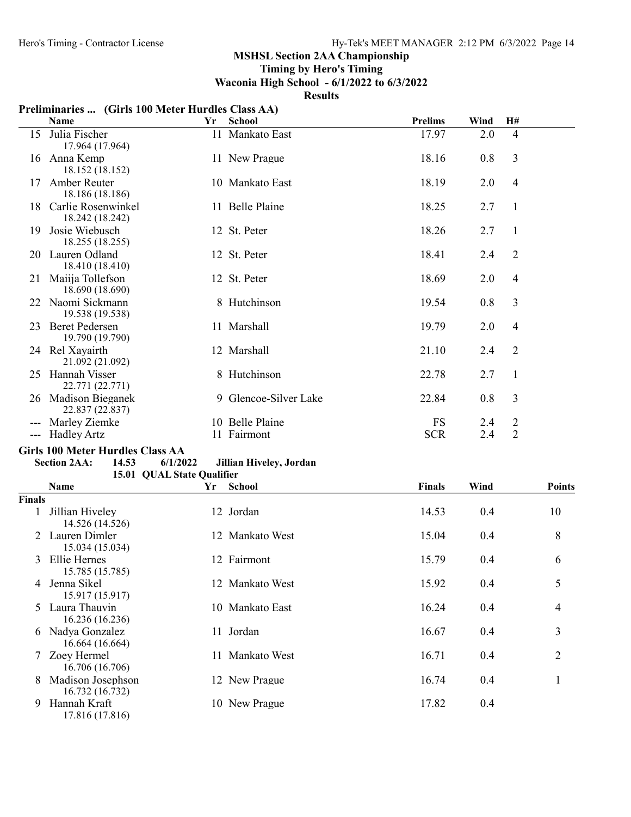Timing by Hero's Timing

Waconia High School - 6/1/2022 to 6/3/2022

Results

# Preliminaries ... (Girls 100 Meter Hurdles Class AA)

|                    | <b>Name</b>                                                             | Yr                         | <b>School</b>           | <b>Prelims</b> | Wind | H#             |               |
|--------------------|-------------------------------------------------------------------------|----------------------------|-------------------------|----------------|------|----------------|---------------|
| 15                 | Julia Fischer<br>17.964 (17.964)                                        |                            | 11 Mankato East         | 17.97          | 2.0  | $\overline{4}$ |               |
| 16                 | Anna Kemp<br>18.152 (18.152)                                            |                            | 11 New Prague           | 18.16          | 0.8  | 3              |               |
| 17                 | Amber Reuter<br>18.186 (18.186)                                         |                            | 10 Mankato East         | 18.19          | 2.0  | $\overline{4}$ |               |
|                    | 18 Carlie Rosenwinkel<br>18.242 (18.242)                                |                            | 11 Belle Plaine         | 18.25          | 2.7  | $\mathbf{1}$   |               |
| 19                 | Josie Wiebusch<br>18.255 (18.255)                                       |                            | 12 St. Peter            | 18.26          | 2.7  | $\mathbf{1}$   |               |
|                    | 20 Lauren Odland<br>18.410 (18.410)                                     |                            | 12 St. Peter            | 18.41          | 2.4  | $\overline{2}$ |               |
|                    | 21 Maiija Tollefson<br>18.690 (18.690)                                  |                            | 12 St. Peter            | 18.69          | 2.0  | 4              |               |
|                    | 22 Naomi Sickmann<br>19.538 (19.538)                                    |                            | 8 Hutchinson            | 19.54          | 0.8  | 3              |               |
| 23                 | <b>Beret Pedersen</b><br>19.790 (19.790)                                |                            | 11 Marshall             | 19.79          | 2.0  | $\overline{4}$ |               |
|                    | 24 Rel Xayairth<br>21.092 (21.092)                                      |                            | 12 Marshall             | 21.10          | 2.4  | $\overline{2}$ |               |
|                    | 25 Hannah Visser<br>22.771 (22.771)                                     |                            | 8 Hutchinson            | 22.78          | 2.7  | $\mathbf{1}$   |               |
|                    | 26 Madison Bieganek<br>22.837 (22.837)                                  |                            | 9 Glencoe-Silver Lake   | 22.84          | 0.8  | 3              |               |
|                    | --- Marley Ziemke                                                       |                            | 10 Belle Plaine         | FS             | 2.4  | $\overline{2}$ |               |
|                    | --- Hadley Artz                                                         |                            | 11 Fairmont             | <b>SCR</b>     | 2.4  | $\overline{2}$ |               |
|                    | <b>Girls 100 Meter Hurdles Class AA</b><br><b>Section 2AA:</b><br>14.53 | 6/1/2022                   | Jillian Hiveley, Jordan |                |      |                |               |
|                    |                                                                         | 15.01 QUAL State Qualifier |                         |                |      |                |               |
|                    | <b>Name</b>                                                             | Yr                         | <b>School</b>           | <b>Finals</b>  | Wind |                | <b>Points</b> |
| <b>Finals</b><br>1 | Jillian Hiveley<br>14.526 (14.526)                                      |                            | 12 Jordan               | 14.53          | 0.4  |                | 10            |
|                    | 2 Lauren Dimler<br>15.034 (15.034)                                      |                            | 12 Mankato West         | 15.04          | 0.4  |                | 8             |
| 3                  | Ellie Hernes<br>15.785 (15.785)                                         |                            | 12 Fairmont             | 15.79          | 0.4  |                | 6             |
| 4                  | Jenna Sikel<br>15.917 (15.917)                                          |                            | 12 Mankato West         | 15.92          | 0.4  |                | 5             |
| 5.                 | Laura Thauvin<br>16.236 (16.236)                                        |                            | 10 Mankato East         | 16.24          | 0.4  |                | 4             |
|                    | 6 Nadya Gonzalez<br>16.664 (16.664)                                     |                            | 11 Jordan               | 16.67          | 0.4  |                | 3             |
| 7                  | Zoey Hermel<br>16.706 (16.706)                                          |                            | 11 Mankato West         | 16.71          | 0.4  |                | 2             |
| 8                  | Madison Josephson<br>16.732 (16.732)                                    |                            | 12 New Prague           | 16.74          | 0.4  |                | $\mathbf{1}$  |
| 9                  | Hannah Kraft<br>17.816 (17.816)                                         |                            | 10 New Prague           | 17.82          | 0.4  |                |               |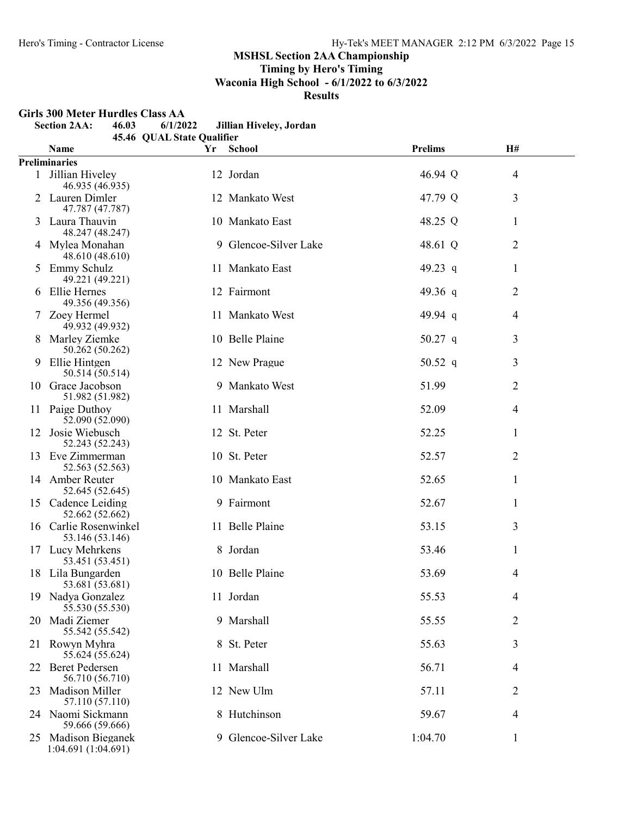Timing by Hero's Timing

Waconia High School - 6/1/2022 to 6/3/2022

Results

Girls 300 Meter Hurdles Class AA

| <b>Section 2AA:</b> | 46.03 | 6/1/2022                   | Jillian Hiveley, Jordan |
|---------------------|-------|----------------------------|-------------------------|
|                     |       | 45.46 QUAL State Qualifier |                         |

|    | <b>Name</b>                                    | Yr | <b>School</b>         | <b>Prelims</b> | H#             |  |
|----|------------------------------------------------|----|-----------------------|----------------|----------------|--|
|    | <b>Preliminaries</b>                           |    |                       |                |                |  |
| 1  | Jillian Hiveley<br>46.935 (46.935)             |    | 12 Jordan             | 46.94 Q        | $\overline{4}$ |  |
|    | 2 Lauren Dimler<br>47.787 (47.787)             |    | 12 Mankato West       | 47.79 Q        | $\overline{3}$ |  |
| 3  | Laura Thauvin<br>48.247 (48.247)               |    | 10 Mankato East       | 48.25 Q        | 1              |  |
|    | 4 Mylea Monahan<br>48.610 (48.610)             |    | 9 Glencoe-Silver Lake | 48.61 Q        | $\overline{2}$ |  |
| 5  | Emmy Schulz<br>49.221 (49.221)                 |    | 11 Mankato East       | 49.23 q        | $\mathbf{1}$   |  |
| 6. | Ellie Hernes<br>49.356 (49.356)                |    | 12 Fairmont           | 49.36 q        | $\overline{2}$ |  |
| 7  | Zoey Hermel<br>49.932 (49.932)                 |    | 11 Mankato West       | 49.94 q        | $\overline{4}$ |  |
| 8  | Marley Ziemke<br>50.262 (50.262)               |    | 10 Belle Plaine       | 50.27 $q$      | 3              |  |
| 9  | Ellie Hintgen<br>50.514 (50.514)               |    | 12 New Prague         | 50.52 q        | 3              |  |
| 10 | Grace Jacobson<br>51.982 (51.982)              |    | 9 Mankato West        | 51.99          | $\overline{2}$ |  |
|    | 11 Paige Duthoy<br>52.090 (52.090)             |    | 11 Marshall           | 52.09          | $\overline{4}$ |  |
| 12 | Josie Wiebusch<br>52.243 (52.243)              |    | 12 St. Peter          | 52.25          | 1              |  |
| 13 | Eve Zimmerman<br>52.563 (52.563)               |    | 10 St. Peter          | 52.57          | 2              |  |
|    | 14 Amber Reuter<br>52.645 (52.645)             |    | 10 Mankato East       | 52.65          | $\mathbf{1}$   |  |
|    | 15 Cadence Leiding<br>52.662 (52.662)          |    | 9 Fairmont            | 52.67          | $\mathbf{1}$   |  |
|    | 16 Carlie Rosenwinkel<br>53.146 (53.146)       |    | 11 Belle Plaine       | 53.15          | 3              |  |
| 17 | Lucy Mehrkens<br>53.451 (53.451)               |    | 8 Jordan              | 53.46          | $\mathbf{1}$   |  |
|    | 18 Lila Bungarden<br>53.681 (53.681)           |    | 10 Belle Plaine       | 53.69          | $\overline{4}$ |  |
|    | 19 Nadya Gonzalez<br>55.530 (55.530)           |    | 11 Jordan             | 55.53          | 4              |  |
| 20 | Madi Ziemer<br>55.542 (55.542)                 |    | 9 Marshall            | 55.55          | 2              |  |
| 21 | Rowyn Myhra<br>55.624 (55.624)                 |    | 8 St. Peter           | 55.63          | 3              |  |
| 22 | <b>Beret Pedersen</b><br>56.710 (56.710)       |    | 11 Marshall           | 56.71          | $\overline{4}$ |  |
| 23 | Madison Miller<br>57.110 (57.110)              |    | 12 New Ulm            | 57.11          | 2              |  |
| 24 | Naomi Sickmann<br>59.666 (59.666)              |    | 8 Hutchinson          | 59.67          | 4              |  |
| 25 | <b>Madison Bieganek</b><br>1:04.691 (1:04.691) |    | 9 Glencoe-Silver Lake | 1:04.70        | $\mathbf{1}$   |  |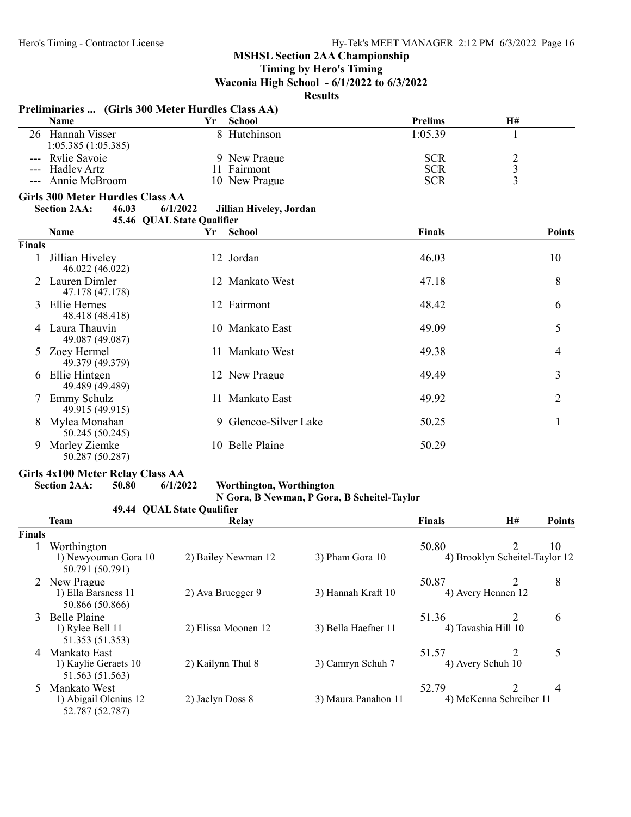Timing by Hero's Timing

Waconia High School - 6/1/2022 to 6/3/2022

Results

|               | Preliminaries  (Girls 300 Meter Hurdles Class AA) |                            |                         |                |               |                |
|---------------|---------------------------------------------------|----------------------------|-------------------------|----------------|---------------|----------------|
|               | <b>Name</b>                                       | Yr                         | <b>School</b>           | <b>Prelims</b> | <b>H#</b>     |                |
|               | 26 Hannah Visser<br>1:05.385(1:05.385)            |                            | 8 Hutchinson            | 1:05.39        |               |                |
| ---           | Rylie Savoie                                      |                            | 9 New Prague            | <b>SCR</b>     |               |                |
| ---           | <b>Hadley Artz</b>                                |                            | 11 Fairmont             | <b>SCR</b>     | $\frac{2}{3}$ |                |
|               | Annie McBroom                                     |                            | 10 New Prague           | <b>SCR</b>     |               |                |
|               | <b>Girls 300 Meter Hurdles Class AA</b>           |                            |                         |                |               |                |
|               | 46.03<br><b>Section 2AA:</b>                      | 6/1/2022                   | Jillian Hiveley, Jordan |                |               |                |
|               |                                                   | 45.46 QUAL State Qualifier |                         |                |               |                |
|               | <b>Name</b>                                       | Yr                         | <b>School</b>           | <b>Finals</b>  |               | <b>Points</b>  |
| <b>Finals</b> |                                                   |                            |                         |                |               |                |
|               | Jillian Hiveley<br>46.022 (46.022)                |                            | 12 Jordan               | 46.03          |               | 10             |
|               | Lauren Dimler<br>47.178 (47.178)                  |                            | 12 Mankato West         | 47.18          |               | 8              |
| 3             | Ellie Hernes<br>48.418 (48.418)                   |                            | 12 Fairmont             | 48.42          |               | 6              |
|               | 4 Laura Thauvin<br>49.087 (49.087)                |                            | 10 Mankato East         | 49.09          |               | 5              |
| 5.            | Zoey Hermel<br>49.379 (49.379)                    |                            | 11 Mankato West         | 49.38          |               | 4              |
| 6             | Ellie Hintgen<br>49.489 (49.489)                  |                            | 12 New Prague           | 49.49          |               | 3              |
|               | Emmy Schulz<br>49.915 (49.915)                    |                            | 11 Mankato East         | 49.92          |               | $\overline{2}$ |
| 8             | Mylea Monahan<br>50.245 (50.245)                  | 9                          | Glencoe-Silver Lake     | 50.25          |               | $\mathbf{1}$   |
| 9             | Marley Ziemke<br>50.287 (50.287)                  |                            | 10 Belle Plaine         | 50.29          |               |                |

# Girls 4x100 Meter Relay Class AA<br>Section 2AA: 50.80 6/1/20

50.80 6/1/2022 Worthington, Worthington

# N Gora, B Newman, P Gora, B Scheitel-Taylor

|               | $\cdots$ solut $\cdots$<br>49.44 QUAL State Qualifier |                     |                     |                    |                                |               |  |  |  |
|---------------|-------------------------------------------------------|---------------------|---------------------|--------------------|--------------------------------|---------------|--|--|--|
|               | Team                                                  | Relay               |                     | <b>Finals</b>      | <b>H#</b>                      | <b>Points</b> |  |  |  |
| <b>Finals</b> |                                                       |                     |                     |                    |                                |               |  |  |  |
|               | Worthington                                           |                     |                     | 50.80              |                                | 10            |  |  |  |
|               | 1) Newyouman Gora 10<br>50.791 (50.791)               | 2) Bailey Newman 12 | 3) Pham Gora 10     |                    | 4) Brooklyn Scheitel-Taylor 12 |               |  |  |  |
|               | 2 New Prague                                          |                     |                     | 50.87              | 2                              | 8             |  |  |  |
|               | 1) Ella Barsness 11<br>50.866 (50.866)                | 2) Ava Bruegger 9   | 3) Hannah Kraft 10  | 4) Avery Hennen 12 |                                |               |  |  |  |
|               | 3 Belle Plaine                                        |                     |                     | 51.36              |                                | 6             |  |  |  |
|               | 1) Rylee Bell 11<br>51.353 (51.353)                   | 2) Elissa Moonen 12 | 3) Bella Haefner 11 |                    | 4) Tavashia Hill 10            |               |  |  |  |
| 4             | Mankato East                                          |                     |                     | 51.57              |                                | 5             |  |  |  |
|               | 1) Kaylie Geraets 10<br>51.563 (51.563)               | 2) Kailynn Thul 8   | 3) Camryn Schuh 7   |                    | 4) Avery Schuh 10              |               |  |  |  |
| 5.            | Mankato West                                          |                     |                     | 52.79              |                                | 4             |  |  |  |
|               | 1) Abigail Olenius 12<br>52.787 (52.787)              | 2) Jaelyn Doss 8    | 3) Maura Panahon 11 |                    | 4) McKenna Schreiber 11        |               |  |  |  |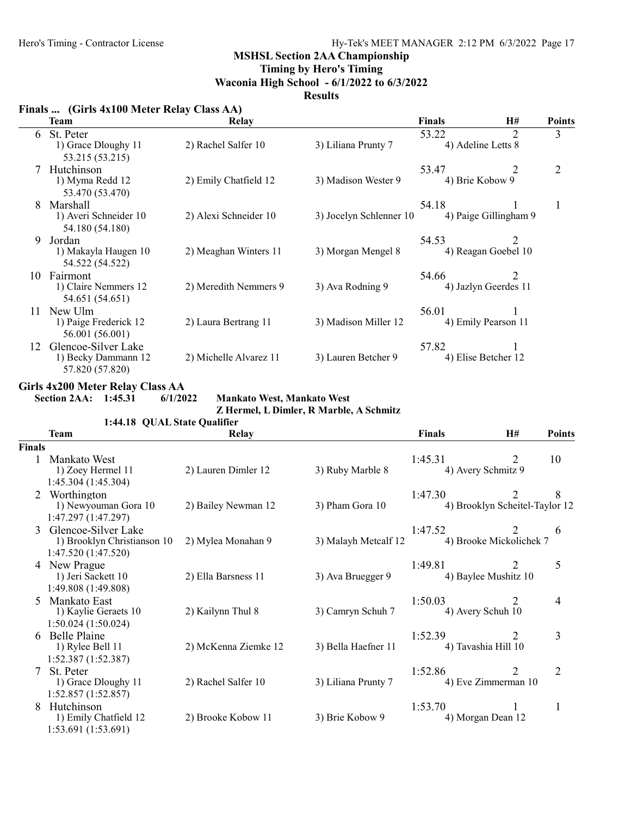Timing by Hero's Timing

Waconia High School - 6/1/2022 to 6/3/2022

Results

# Finals ... (Girls 4x100 Meter Relay Class AA)

|    | Team                                                          | Relay                  |                         | <b>Finals</b>                  | H#             | <b>Points</b>  |
|----|---------------------------------------------------------------|------------------------|-------------------------|--------------------------------|----------------|----------------|
| 6  | St. Peter<br>1) Grace Dloughy 11<br>53.215 (53.215)           | 2) Rachel Salfer 10    | 3) Liliana Prunty 7     | 53.22<br>4) Adeline Letts 8    | $\overline{2}$ | 3              |
|    | Hutchinson<br>1) Myma Redd 12<br>53.470 (53.470)              | 2) Emily Chatfield 12  | 3) Madison Wester 9     | 53.47<br>4) Brie Kobow 9       |                | $\overline{2}$ |
| 8  | Marshall<br>1) Averi Schneider 10<br>54.180 (54.180)          | 2) Alexi Schneider 10  | 3) Jocelyn Schlenner 10 | 54.18<br>4) Paige Gillingham 9 |                | 1              |
| 9  | Jordan<br>1) Makayla Haugen 10<br>54.522 (54.522)             | 2) Meaghan Winters 11  | 3) Morgan Mengel 8      | 54.53<br>4) Reagan Goebel 10   |                |                |
| 10 | Fairmont<br>1) Claire Nemmers 12<br>54.651 (54.651)           | 2) Meredith Nemmers 9  | 3) Ava Rodning 9        | 54.66<br>4) Jazlyn Geerdes 11  | 2              |                |
| 11 | New Ulm<br>1) Paige Frederick 12<br>56.001 (56.001)           | 2) Laura Bertrang 11   | 3) Madison Miller 12    | 56.01<br>4) Emily Pearson 11   |                |                |
| 12 | Glencoe-Silver Lake<br>1) Becky Dammann 12<br>57.820 (57.820) | 2) Michelle Alvarez 11 | 3) Lauren Betcher 9     | 57.82<br>4) Elise Betcher 12   |                |                |

Girls 4x200 Meter Relay Class AA<br>Section 2AA: 1:45.31 6/1/2022

Mankato West, Mankato West

Z Hermel, L Dimler, R Marble, A Schmitz  $1.4418 \times 10^{14} \text{ s}$ 

|                             | 1:44.18 QUAL State Qualifier                                              |                      |                      |                                           |           |                |
|-----------------------------|---------------------------------------------------------------------------|----------------------|----------------------|-------------------------------------------|-----------|----------------|
|                             | <b>Team</b>                                                               | <b>Relay</b>         |                      | <b>Finals</b>                             | <b>H#</b> | <b>Points</b>  |
| Finals                      |                                                                           |                      |                      |                                           |           |                |
|                             | Mankato West<br>1) Zoey Hermel 11<br>1:45.304 (1:45.304)                  | 2) Lauren Dimler 12  | 3) Ruby Marble 8     | 1:45.31<br>4) Avery Schmitz 9             |           | 10             |
| $\mathcal{D}_{\mathcal{L}}$ | Worthington<br>1) Newyouman Gora 10<br>1:47.297 (1:47.297)                | 2) Bailey Newman 12  | 3) Pham Gora 10      | 1:47.30<br>4) Brooklyn Scheitel-Taylor 12 | 2         | 8              |
| 3                           | Glencoe-Silver Lake<br>1) Brooklyn Christianson 10<br>1:47.520 (1:47.520) | 2) Mylea Monahan 9   | 3) Malayh Metcalf 12 | 1:47.52<br>4) Brooke Mickolichek 7        | 2         | 6              |
| 4                           | New Prague<br>1) Jeri Sackett 10<br>1:49.808 (1:49.808)                   | 2) Ella Barsness 11  | 3) Ava Bruegger 9    | 1:49.81<br>4) Baylee Mushitz 10           | 2         | 5              |
| 5.                          | Mankato East<br>1) Kaylie Geraets 10<br>1:50.024(1:50.024)                | 2) Kailynn Thul 8    | 3) Camryn Schuh 7    | 1:50.03<br>4) Avery Schuh 10              | 2         | 4              |
| 6                           | <b>Belle Plaine</b><br>1) Rylee Bell 11<br>1:52.387(1:52.387)             | 2) McKenna Ziemke 12 | 3) Bella Haefner 11  | 1:52.39<br>4) Tavashia Hill 10            | 2         | 3              |
| 7                           | St. Peter<br>1) Grace Dloughy 11<br>1:52.857(1:52.857)                    | 2) Rachel Salfer 10  | 3) Liliana Prunty 7  | 1:52.86<br>4) Eve Zimmerman 10            | 2         | $\overline{2}$ |
| 8                           | Hutchinson<br>1) Emily Chatfield 12<br>1:53.691(1:53.691)                 | 2) Brooke Kobow 11   | 3) Brie Kobow 9      | 1:53.70<br>4) Morgan Dean 12              |           | $\mathbf{1}$   |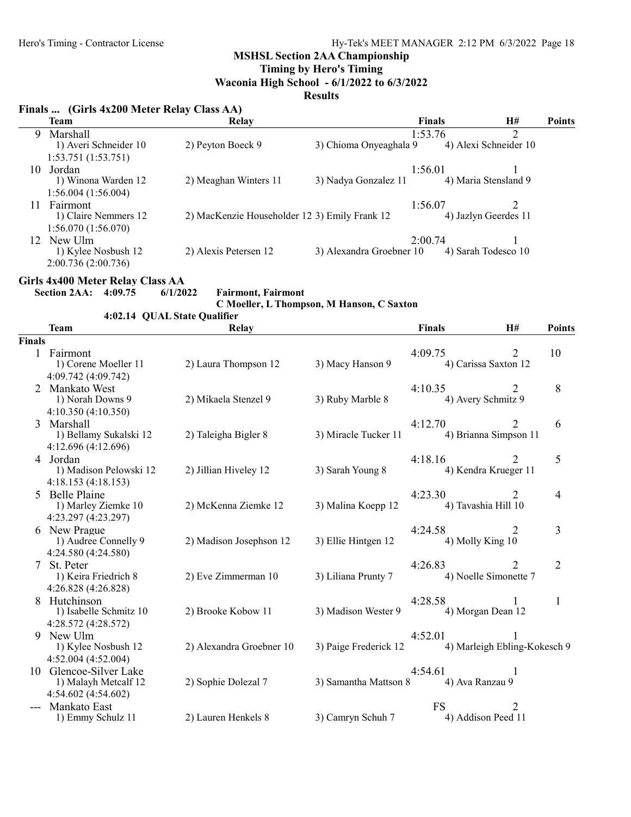Timing by Hero's Timing

Waconia High School - 6/1/2022 to 6/3/2022

Results

# Finals ... (Girls 4x200 Meter Relay Class AA)

|     | Team                                                   | Relay                                         |                          | <b>Finals</b> | <b>H#</b>             | <b>Points</b> |
|-----|--------------------------------------------------------|-----------------------------------------------|--------------------------|---------------|-----------------------|---------------|
| 9   | Marshall                                               |                                               |                          | 1:53.76       | 2                     |               |
|     | 1) Averi Schneider 10                                  | 2) Peyton Boeck 9                             | 3) Chioma Onyeaghala 9   |               | 4) Alexi Schneider 10 |               |
|     | 1:53.751(1:53.751)                                     |                                               |                          |               |                       |               |
| 10  | Jordan<br>1) Winona Warden 12<br>1:56.004(1:56.004)    | 2) Meaghan Winters 11                         | 3) Nadya Gonzalez 11     | 1:56.01       | 4) Maria Stensland 9  |               |
|     | Fairmont<br>1) Claire Nemmers 12<br>1:56.070(1:56.070) | 2) MacKenzie Householder 12 3) Emily Frank 12 |                          | 1:56.07       | 4) Jazlyn Geerdes 11  |               |
| 12. | New Ulm<br>1) Kylee Nosbush 12<br>2:00.736 (2:00.736)  | 2) Alexis Petersen 12                         | 3) Alexandra Groebner 10 | 2:00.74       | 4) Sarah Todesco 10   |               |

Girls 4x400 Meter Relay Class AA<br>Section 2AA: 4:09.75 6/1/2022

Section 2AA: 4:09.75 6/1/2022 Fairmont, Fairmont

C Moeller, L Thompson, M Hanson, C Saxton

|               | <b>Team</b>                                                           | <b>Relay</b>             |                       | <b>Finals</b>                   | H#                                      | <b>Points</b> |
|---------------|-----------------------------------------------------------------------|--------------------------|-----------------------|---------------------------------|-----------------------------------------|---------------|
| <b>Finals</b> |                                                                       |                          |                       |                                 |                                         |               |
|               | 1 Fairmont<br>1) Corene Moeller 11<br>4:09.742 (4:09.742)             | 2) Laura Thompson 12     | 3) Macy Hanson 9      | 4:09.75<br>4) Carissa Saxton 12 |                                         | 10            |
| 2             | Mankato West<br>1) Norah Downs 9<br>4:10.350(4:10.350)                | 2) Mikaela Stenzel 9     | 3) Ruby Marble 8      | 4:10.35<br>4) Avery Schmitz 9   | 2                                       | 8             |
| 3             | Marshall<br>1) Bellamy Sukalski 12<br>4:12.696 (4:12.696)             | 2) Taleigha Bigler 8     | 3) Miracle Tucker 11  | 4:12.70                         | 2<br>4) Brianna Simpson 11              | 6             |
|               | 4 Jordan<br>1) Madison Pelowski 12<br>4:18.153(4:18.153)              | 2) Jillian Hiveley 12    | 3) Sarah Young 8      | 4:18.16<br>4) Kendra Krueger 11 | $\mathcal{D}_{\mathcal{L}}$             | 5             |
| 5.            | <b>Belle Plaine</b><br>1) Marley Ziemke 10<br>4:23.297 (4:23.297)     | 2) McKenna Ziemke 12     | 3) Malina Koepp 12    | 4:23.30<br>4) Tavashia Hill 10  | $\overline{2}$                          | 4             |
|               | New Prague<br>1) Audree Connelly 9<br>4:24.580 (4:24.580)             | 2) Madison Josephson 12  | 3) Ellie Hintgen 12   | 4:24.58<br>4) Molly King 10     | 2                                       | 3             |
|               | St. Peter<br>1) Keira Friedrich 8<br>4:26.828 (4:26.828)              | 2) Eve Zimmerman 10      | 3) Liliana Prunty 7   | 4:26.83                         | $\overline{2}$<br>4) Noelle Simonette 7 | 2             |
| 8             | Hutchinson<br>1) Isabelle Schmitz 10<br>4:28.572 (4:28.572)           | 2) Brooke Kobow 11       | 3) Madison Wester 9   | 4:28.58<br>4) Morgan Dean 12    |                                         | 1             |
|               | 9 New Ulm<br>1) Kylee Nosbush 12<br>4:52.004 (4:52.004)               | 2) Alexandra Groebner 10 | 3) Paige Frederick 12 | 4:52.01                         | 4) Marleigh Ebling-Kokesch 9            |               |
|               | 10 Glencoe-Silver Lake<br>1) Malayh Metcalf 12<br>4:54.602 (4:54.602) | 2) Sophie Dolezal 7      | 3) Samantha Mattson 8 | 4:54.61<br>4) Ava Ranzau 9      |                                         |               |
|               | Mankato East<br>1) Emmy Schulz 11                                     | 2) Lauren Henkels 8      | 3) Camryn Schuh 7     | <b>FS</b><br>4) Addison Peed 11 | $\overline{2}$                          |               |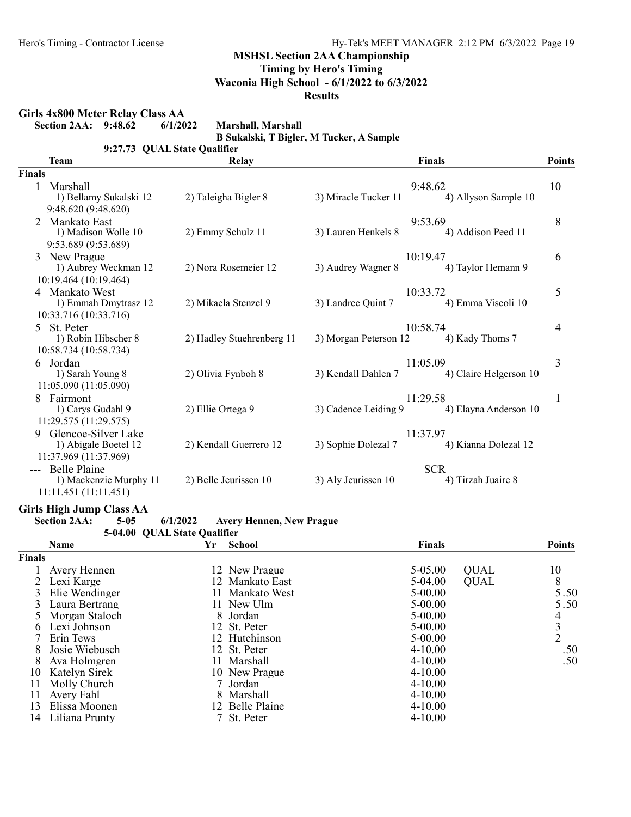Timing by Hero's Timing

Waconia High School - 6/1/2022 to 6/3/2022

Results

Girls 4x800 Meter Relay Class AA<br>Section 2AA: 9:48.62 6/1/2022

Section 2AA: 9:48.62 6/1/2022 Marshall, Marshall

B Sukalski, T Bigler, M Tucker, A Sample

9:27.73 QUAL State Qualifier

|               | <b>Team</b>                                                     | Relay                     | Finals                                                    | <b>Points</b> |
|---------------|-----------------------------------------------------------------|---------------------------|-----------------------------------------------------------|---------------|
| <b>Finals</b> |                                                                 |                           |                                                           |               |
|               | Marshall<br>1) Bellamy Sukalski 12                              | 2) Taleigha Bigler 8      | 9:48.62<br>4) Allyson Sample 10<br>3) Miracle Tucker 11   | 10            |
|               | 9:48.620 (9:48.620)                                             |                           |                                                           |               |
|               | Mankato East<br>1) Madison Wolle 10<br>9:53.689 (9:53.689)      | 2) Emmy Schulz 11         | 9:53.69<br>3) Lauren Henkels 8<br>4) Addison Peed 11      | 8             |
| 3             | New Prague<br>1) Aubrey Weckman 12                              | 2) Nora Rosemeier 12      | 10:19.47<br>3) Audrey Wagner 8<br>4) Taylor Hemann 9      | 6             |
|               | 10:19.464 (10:19.464)<br>4 Mankato West<br>1) Emmah Dmytrasz 12 | 2) Mikaela Stenzel 9      | 10:33.72<br>3) Landree Quint 7<br>4) Emma Viscoli 10      | 5             |
|               | 10:33.716 (10:33.716)                                           |                           |                                                           |               |
|               | 5 St. Peter<br>1) Robin Hibscher 8                              | 2) Hadley Stuehrenberg 11 | 10:58.74<br>3) Morgan Peterson 12<br>4) Kady Thoms 7      | 4             |
|               | 10:58.734 (10:58.734)                                           |                           |                                                           |               |
|               | 6 Jordan<br>1) Sarah Young 8<br>11:05.090 (11:05.090)           | 2) Olivia Fynboh 8        | 11:05.09<br>3) Kendall Dahlen 7<br>4) Claire Helgerson 10 | 3             |
| 8             | Fairmont<br>1) Carys Gudahl 9                                   | 2) Ellie Ortega 9         | 11:29.58<br>3) Cadence Leiding 9<br>4) Elayna Anderson 10 |               |
|               | 11:29.575 (11:29.575)<br>9 Glencoe-Silver Lake                  |                           | 11:37.97                                                  |               |
|               | 1) Abigale Boetel 12<br>11:37.969 (11:37.969)                   | 2) Kendall Guerrero 12    | 3) Sophie Dolezal 7<br>4) Kianna Dolezal 12               |               |
|               | Belle Plaine                                                    |                           | <b>SCR</b>                                                |               |
|               | 1) Mackenzie Murphy 11<br>11:11.451(11:11.451)                  | 2) Belle Jeurissen 10     | 3) Aly Jeurissen 10<br>4) Tirzah Juaire 8                 |               |

#### Girls High Jump Class AA

Section 2AA: 5-05 6/1/2022 Avery Hennen, New Prague

5-04.00 QUAL State Qualifier

|               | <b>Name</b>      | Yr | School          | <b>Finals</b> |             | <b>Points</b>  |
|---------------|------------------|----|-----------------|---------------|-------------|----------------|
| <b>Finals</b> |                  |    |                 |               |             |                |
|               | Avery Hennen     |    | 12 New Prague   | 5-05.00       | <b>OUAL</b> | 10             |
|               | 2 Lexi Karge     |    | 12 Mankato East | 5-04.00       | <b>QUAL</b> | 8              |
|               | 3 Elie Wendinger |    | 11 Mankato West | $5 - 00.00$   |             | 5.50           |
|               | 3 Laura Bertrang |    | 11 New Ulm      | $5 - 00.00$   |             | 5.50           |
|               | 5 Morgan Staloch |    | 8 Jordan        | 5-00.00       |             | 4              |
| 6             | Lexi Johnson     |    | 12 St. Peter    | $5 - 00.00$   |             | 3              |
|               | Erin Tews        |    | 12 Hutchinson   | $5-00.00$     |             | $\overline{2}$ |
| 8             | Josie Wiebusch   |    | 12 St. Peter    | $4 - 10.00$   |             | .50            |
| 8             | Ava Holmgren     |    | 11 Marshall     | $4 - 10.00$   |             | .50            |
| 10            | Katelyn Sirek    |    | 10 New Prague   | $4 - 10.00$   |             |                |
| 11            | Molly Church     |    | 7 Jordan        | $4 - 10.00$   |             |                |
| 11            | Avery Fahl       |    | 8 Marshall      | $4 - 10.00$   |             |                |
| 13            | Elissa Moonen    |    | 12 Belle Plaine | $4 - 10.00$   |             |                |
| 14            | Liliana Prunty   |    | 7 St. Peter     | $4 - 10.00$   |             |                |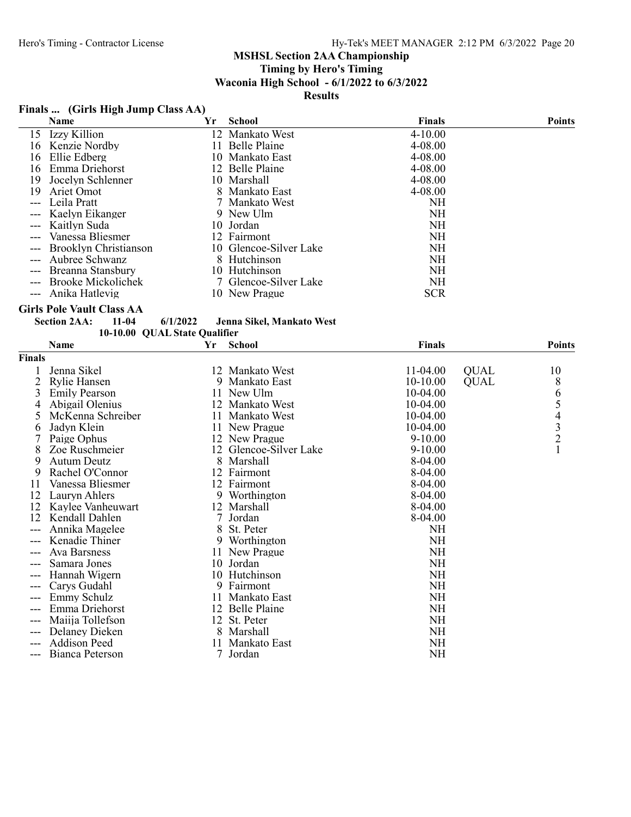Timing by Hero's Timing

Waconia High School - 6/1/2022 to 6/3/2022

Results

# Finals ... (Girls High Jump Class AA)

|                     | <b>Name</b>               | Yr | School                 | <b>Finals</b> | <b>Points</b> |
|---------------------|---------------------------|----|------------------------|---------------|---------------|
|                     | 15 Izzy Killion           |    | 12 Mankato West        | $4 - 10.00$   |               |
|                     | 16 Kenzie Nordby          |    | 11 Belle Plaine        | 4-08.00       |               |
| 16                  | Ellie Edberg              |    | 10 Mankato East        | 4-08.00       |               |
| 16                  | Emma Driehorst            |    | 12 Belle Plaine        | 4-08.00       |               |
| 19                  | Jocelyn Schlenner         |    | 10 Marshall            | 4-08.00       |               |
| 19                  | Ariet Omot                |    | 8 Mankato East         | 4-08.00       |               |
| $\qquad \qquad - -$ | Leila Pratt               |    | 7 Mankato West         | NH            |               |
|                     | --- Kaelyn Eikanger       |    | 9 New Ulm              | <b>NH</b>     |               |
|                     | --- Kaitlyn Suda          |    | 10 Jordan              | <b>NH</b>     |               |
|                     | --- Vanessa Bliesmer      |    | 12 Fairmont            | NH            |               |
|                     | --- Brooklyn Christianson |    | 10 Glencoe-Silver Lake | NH            |               |
|                     | Aubree Schwanz            |    | 8 Hutchinson           | <b>NH</b>     |               |
|                     | --- Breanna Stansbury     |    | 10 Hutchinson          | NH            |               |
| $---$               | <b>Brooke Mickolichek</b> |    | 7 Glencoe-Silver Lake  | NH            |               |
|                     | Anika Hatlevig            |    | 10 New Prague          | <b>SCR</b>    |               |

### Girls Pole Vault Class AA

| <b>Section 2AA:</b> | 11-04 | 6/1/2022                      | Jenna Sikel, Mankato West |
|---------------------|-------|-------------------------------|---------------------------|
|                     |       | 10-10.00 OUAL State Oualifier |                           |

|        | Name                 | Yr | <b>School</b>       | <b>Finals</b> |             | <b>Points</b>                                   |
|--------|----------------------|----|---------------------|---------------|-------------|-------------------------------------------------|
| Finals |                      |    |                     |               |             |                                                 |
|        | Jenna Sikel          |    | 12 Mankato West     | 11-04.00      | <b>QUAL</b> | 10                                              |
| 2      | Rylie Hansen         |    | 9 Mankato East      | 10-10.00      | <b>QUAL</b> | 8                                               |
| 3      | <b>Emily Pearson</b> | 11 | New Ulm             | 10-04.00      |             | 6                                               |
|        | Abigail Olenius      |    | 12 Mankato West     | 10-04.00      |             | 5                                               |
| 5      | McKenna Schreiber    | 11 | Mankato West        | 10-04.00      |             |                                                 |
| 6      | Jadyn Klein          | 11 | New Prague          | 10-04.00      |             | $\begin{array}{c} 4 \\ 3 \\ 2 \\ 1 \end{array}$ |
|        | Paige Ophus          |    | 12 New Prague       | $9-10.00$     |             |                                                 |
| 8      | Zoe Ruschmeier       | 12 | Glencoe-Silver Lake | $9-10.00$     |             |                                                 |
| 9      | <b>Autum Deutz</b>   | 8  | Marshall            | 8-04.00       |             |                                                 |
| 9      | Rachel O'Connor      | 12 | Fairmont            | 8-04.00       |             |                                                 |
| 11     | Vanessa Bliesmer     |    | 12 Fairmont         | 8-04.00       |             |                                                 |
| 12     | Lauryn Ahlers        | 9  | Worthington         | 8-04.00       |             |                                                 |
| 12     | Kaylee Vanheuwart    | 12 | Marshall            | 8-04.00       |             |                                                 |
| 12     | Kendall Dahlen       |    | 7 Jordan            | 8-04.00       |             |                                                 |
|        | Annika Magelee       | 8  | St. Peter           | NH            |             |                                                 |
|        | Kenadie Thiner       | 9  | Worthington         | <b>NH</b>     |             |                                                 |
|        | Ava Barsness         |    | 11 New Prague       | NH            |             |                                                 |
|        | Samara Jones         |    | 10 Jordan           | NH            |             |                                                 |
|        | Hannah Wigern        |    | 10 Hutchinson       | NH            |             |                                                 |
| $---$  | Carys Gudahl         |    | 9 Fairmont          | NH            |             |                                                 |
|        | Emmy Schulz          | 11 | Mankato East        | NH            |             |                                                 |
|        | Emma Driehorst       |    | 12 Belle Plaine     | <b>NH</b>     |             |                                                 |
| $---$  | Maiija Tollefson     |    | 12 St. Peter        | <b>NH</b>     |             |                                                 |
|        | Delaney Dieken       |    | Marshall            | <b>NH</b>     |             |                                                 |
|        | <b>Addison Peed</b>  | 11 | Mankato East        | NH            |             |                                                 |
| ---    | Bianca Peterson      |    | 7 Jordan            | NH            |             |                                                 |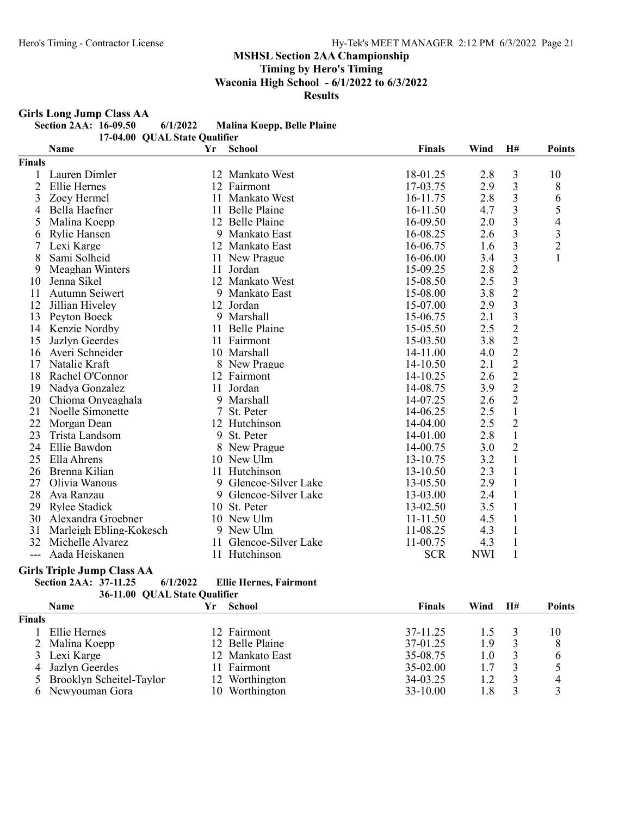Timing by Hero's Timing

Waconia High School - 6/1/2022 to 6/3/2022

Results

Girls Long Jump Class AA

| <b>Section 2AA: 16-09.50</b> | 6/1/2022 | Malina Koepp, Belle Plaine |  |
|------------------------------|----------|----------------------------|--|

17-04.00 QUAL State Qualifier<br>Vr School Name Transformation of the School Finals Wind H# Points

|                | Name                    | x r | SCHOOL                 | r mais     | wina       | 68 H                    | r oints                  |
|----------------|-------------------------|-----|------------------------|------------|------------|-------------------------|--------------------------|
| <b>Finals</b>  |                         |     |                        |            |            |                         |                          |
| 1              | Lauren Dimler           |     | 12 Mankato West        | 18-01.25   | 2.8        | $\mathfrak{Z}$          | 10                       |
| $\overline{2}$ | Ellie Hernes            |     | 12 Fairmont            | 17-03.75   | 2.9        | $\overline{3}$          | $\, 8$                   |
| 3              | Zoey Hermel             |     | 11 Mankato West        | 16-11.75   | 2.8        | $\mathfrak{Z}$          | 6                        |
| 4              | Bella Haefner           |     | 11 Belle Plaine        | 16-11.50   | 4.7        | 3                       | 5                        |
| 5              | Malina Koepp            |     | 12 Belle Plaine        | 16-09.50   | 2.0        | $\overline{3}$          | $\overline{\mathcal{A}}$ |
| 6              | Rylie Hansen            |     | 9 Mankato East         | 16-08.25   | 2.6        | $\overline{3}$          | $\frac{3}{2}$            |
| 7              | Lexi Karge              |     | 12 Mankato East        | 16-06.75   | 1.6        | $\overline{\mathbf{3}}$ |                          |
| 8              | Sami Solheid            |     | 11 New Prague          | 16-06.00   | 3.4        | $\overline{3}$          | $\mathbf{1}$             |
| 9              | Meaghan Winters         |     | 11 Jordan              | 15-09.25   | 2.8        | $\overline{2}$          |                          |
| 10             | Jenna Sikel             | 12  | Mankato West           | 15-08.50   | 2.5        | $\overline{3}$          |                          |
| 11             | Autumn Seiwert          | 9   | Mankato East           | 15-08.00   | 3.8        | $\overline{2}$          |                          |
| 12             | Jillian Hiveley         |     | 12 Jordan              | 15-07.00   | 2.9        | $\overline{3}$          |                          |
| 13             | Peyton Boeck            |     | 9 Marshall             | 15-06.75   | 2.1        | $\overline{\mathbf{3}}$ |                          |
| 14             | Kenzie Nordby           | 11  | <b>Belle Plaine</b>    | 15-05.50   | 2.5        | $\frac{2}{2}$           |                          |
| 15             | Jazlyn Geerdes          |     | 11 Fairmont            | 15-03.50   | 3.8        |                         |                          |
| 16             | Averi Schneider         |     | 10 Marshall            | 14-11.00   | 4.0        | $\overline{2}$          |                          |
| 17             | Natalie Kraft           |     | 8 New Prague           | 14-10.50   | 2.1        | $\overline{2}$          |                          |
| 18             | Rachel O'Connor         |     | 12 Fairmont            | 14-10.25   | 2.6        | $\overline{2}$          |                          |
| 19             | Nadya Gonzalez          |     | 11 Jordan              | 14-08.75   | 3.9        | $\overline{2}$          |                          |
| 20             | Chioma Onyeaghala       |     | 9 Marshall             | 14-07.25   | 2.6        | $\overline{2}$          |                          |
| 21             | Noelle Simonette        |     | 7 St. Peter            | 14-06.25   | 2.5        | $\mathbf{1}$            |                          |
| 22             | Morgan Dean             | 12  | Hutchinson             | 14-04.00   | 2.5        | $\overline{2}$          |                          |
| 23             | Trista Landsom          | 9   | St. Peter              | 14-01.00   | 2.8        | $\mathbf{1}$            |                          |
| 24             | Ellie Bawdon            | 8   | New Prague             | 14-00.75   | 3.0        | $\overline{2}$          |                          |
| 25             | Ella Ahrens             |     | 10 New Ulm             | 13-10.75   | 3.2        | $\mathbf{1}$            |                          |
| 26             | Brenna Kilian           |     | 11 Hutchinson          | 13-10.50   | 2.3        | $\mathbf{1}$            |                          |
| 27             | Olivia Wanous           |     | 9 Glencoe-Silver Lake  | 13-05.50   | 2.9        | $\mathbf{1}$            |                          |
| 28             | Ava Ranzau              |     | 9 Glencoe-Silver Lake  | 13-03.00   | 2.4        | $\mathbf{1}$            |                          |
| 29             | <b>Rylee Stadick</b>    |     | 10 St. Peter           | 13-02.50   | 3.5        | $\mathbf{1}$            |                          |
| 30             | Alexandra Groebner      |     | 10 New Ulm             | 11-11.50   | 4.5        | $\mathbf{1}$            |                          |
| 31             | Marleigh Ebling-Kokesch |     | 9 New Ulm              | 11-08.25   | 4.3        | $\mathbf{1}$            |                          |
| 32             | Michelle Alvarez        |     | 11 Glencoe-Silver Lake | 11-00.75   | 4.3        | $\mathbf{1}$            |                          |
| ---            | Aada Heiskanen          |     | 11 Hutchinson          | <b>SCR</b> | <b>NWI</b> | $\mathbf{1}$            |                          |

#### Girls Triple Jump Class AA

| <b>Section 2AA: 37-11.25</b> | 6/1/2022                     | <b>Ellie Hernes, Fairmont</b> |
|------------------------------|------------------------------|-------------------------------|
|                              | 36.11 M OUAL State Qualifier |                               |

|               | 30-11.00 OUAL State Quantier |         |                 |               |      |    |                |
|---------------|------------------------------|---------|-----------------|---------------|------|----|----------------|
|               | <b>Name</b>                  | Yr      | <b>School</b>   | <b>Finals</b> | Wind | H# | <b>Points</b>  |
| <b>Finals</b> |                              |         |                 |               |      |    |                |
|               | Ellie Hernes                 |         | 12 Fairmont     | 37-11.25      |      |    | 10             |
|               | 2 Malina Koepp               |         | 12 Belle Plaine | 37-01.25      | 1.9  |    | 8              |
|               | 3 Lexi Karge                 |         | 12 Mankato East | 35-08.75      | 1.0  |    | 6              |
|               | 4 Jazlyn Geerdes             | $\perp$ | Fairmont        | $35-02.00$    |      |    |                |
|               | 5 Brooklyn Scheitel-Taylor   |         | 12 Worthington  | 34-03.25      |      |    | $\overline{4}$ |
|               | 6 Newyouman Gora             | 10      | Worthington     | $33 - 10.00$  | 1.8  |    |                |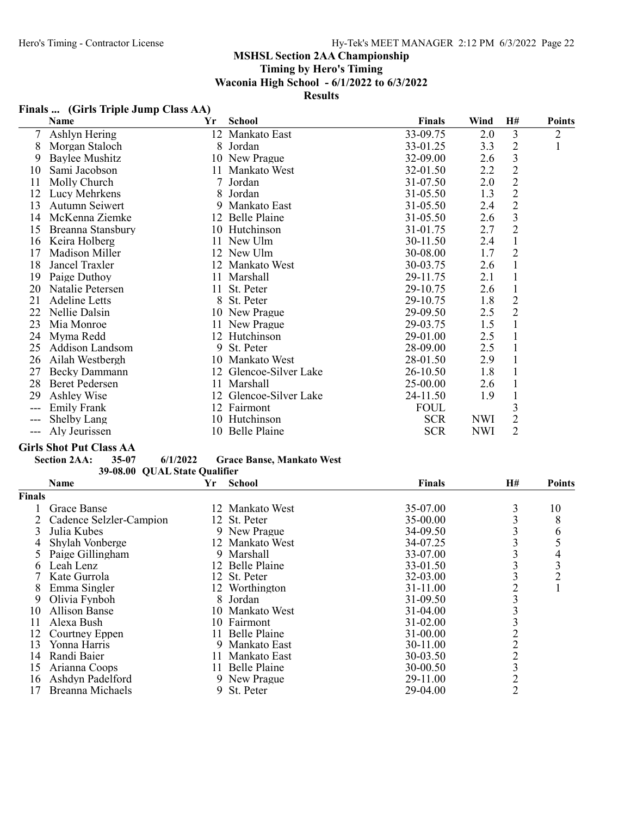Timing by Hero's Timing

Waconia High School - 6/1/2022 to 6/3/2022

#### Results

# Finals ... (Girls Triple Jump Class AA)

|     | Name                  | Yr | <b>School</b>          | Finals      | Wind       | H#             | <b>Points</b> |
|-----|-----------------------|----|------------------------|-------------|------------|----------------|---------------|
| 7   | Ashlyn Hering         |    | 12 Mankato East        | 33-09.75    | 2.0        | 3              | 2             |
| 8   | Morgan Staloch        |    | 8 Jordan               | 33-01.25    | 3.3        | $\overline{c}$ | 1             |
| 9   | Baylee Mushitz        |    | 10 New Prague          | 32-09.00    | 2.6        | 3              |               |
| 10  | Sami Jacobson         | 11 | Mankato West           | 32-01.50    | 2.2        |                |               |
| 11  | Molly Church          |    | 7 Jordan               | 31-07.50    | 2.0        | $\frac{2}{2}$  |               |
| 12  | Lucy Mehrkens         |    | Jordan                 | 31-05.50    | 1.3        |                |               |
| 13  | Autumn Seiwert        | 9  | Mankato East           | 31-05.50    | 2.4        | $\overline{2}$ |               |
| 14  | McKenna Ziemke        |    | 12 Belle Plaine        | 31-05.50    | 2.6        | 3              |               |
| 15  | Breanna Stansbury     |    | 10 Hutchinson          | 31-01.75    | 2.7        | $\overline{2}$ |               |
| 16  | Keira Holberg         |    | 11 New Ulm             | 30-11.50    | 2.4        |                |               |
| 17  | Madison Miller        |    | 12 New Ulm             | 30-08.00    | 1.7        | $\overline{2}$ |               |
| 18  | Jancel Traxler        |    | 12 Mankato West        | 30-03.75    | 2.6        | $\mathbf{1}$   |               |
| 19  | Paige Duthoy          |    | 11 Marshall            | 29-11.75    | 2.1        |                |               |
| 20  | Natalie Petersen      | 11 | St. Peter              | 29-10.75    | 2.6        |                |               |
| 21  | Adeline Letts         |    | 8 St. Peter            | 29-10.75    | 1.8        | $\overline{c}$ |               |
| 22  | Nellie Dalsin         |    | 10 New Prague          | 29-09.50    | 2.5        | $\overline{2}$ |               |
| 23  | Mia Monroe            |    | 11 New Prague          | 29-03.75    | 1.5        | $\mathbf{1}$   |               |
| 24  | Myma Redd             |    | 12 Hutchinson          | 29-01.00    | 2.5        |                |               |
| 25  | Addison Landsom       | 9  | St. Peter              | 28-09.00    | 2.5        |                |               |
| 26  | Ailah Westbergh       | 10 | Mankato West           | 28-01.50    | 2.9        |                |               |
| 27  | Becky Dammann         |    | 12 Glencoe-Silver Lake | 26-10.50    | 1.8        |                |               |
| 28  | <b>Beret Pedersen</b> |    | 11 Marshall            | 25-00.00    | 2.6        |                |               |
| 29  | Ashley Wise           |    | 12 Glencoe-Silver Lake | 24-11.50    | 1.9        |                |               |
|     | <b>Emily Frank</b>    | 12 | Fairmont               | <b>FOUL</b> |            | 3              |               |
|     | Shelby Lang           |    | 10 Hutchinson          | <b>SCR</b>  | <b>NWI</b> | $\overline{2}$ |               |
| --- | Aly Jeurissen         |    | 10 Belle Plaine        | <b>SCR</b>  | <b>NWI</b> | $\overline{2}$ |               |

# Girls Shot Put Class AA<br>Section 2AA: 35-07

<sup>6/1/2022</sup> Grace Banse, Mankato West

|        | 39-08.00 QUAL State Qualifier |     |                 |          |                |                |
|--------|-------------------------------|-----|-----------------|----------|----------------|----------------|
|        | <b>Name</b>                   | Yr  | School          | Finals   | <b>H#</b>      | <b>Points</b>  |
| Finals |                               |     |                 |          |                |                |
|        | Grace Banse                   |     | 12 Mankato West | 35-07.00 | 3              | 10             |
|        | Cadence Selzler-Campion       |     | 12 St. Peter    | 35-00.00 | 3              | 8              |
|        | Julia Kubes                   |     | 9 New Prague    | 34-09.50 |                | 6              |
|        | Shylah Vonberge               |     | 12 Mankato West | 34-07.25 |                |                |
|        | Paige Gillingham              |     | 9 Marshall      | 33-07.00 | 3              | 4              |
| 6      | Leah Lenz                     |     | 12 Belle Plaine | 33-01.50 | 3              | 3              |
|        | Kate Gurrola                  |     | 12 St. Peter    | 32-03.00 | 3              | $\overline{2}$ |
|        | Emma Singler                  |     | 12 Worthington  | 31-11.00 | $\overline{c}$ |                |
| 9      | Olivia Fynboh                 |     | 8 Jordan        | 31-09.50 | 3              |                |
| 10     | Allison Banse                 |     | 10 Mankato West | 31-04.00 | 3              |                |
| 11     | Alexa Bush                    |     | 10 Fairmont     | 31-02.00 | 3              |                |
| 12     | Courtney Eppen                | 11. | Belle Plaine    | 31-00.00 | $\overline{c}$ |                |
| 13     | Yonna Harris                  | 9   | Mankato East    | 30-11.00 | $\overline{2}$ |                |
| 14     | Randi Baier                   | 11- | Mankato East    | 30-03.50 | $\overline{2}$ |                |
| 15     | Arianna Coops                 |     | 11 Belle Plaine | 30-00.50 | 3              |                |
| 16     | Ashdyn Padelford              |     | 9 New Prague    | 29-11.00 | $\overline{c}$ |                |
| 17     | <b>Breanna Michaels</b>       |     | 9 St. Peter     | 29-04.00 | $\overline{2}$ |                |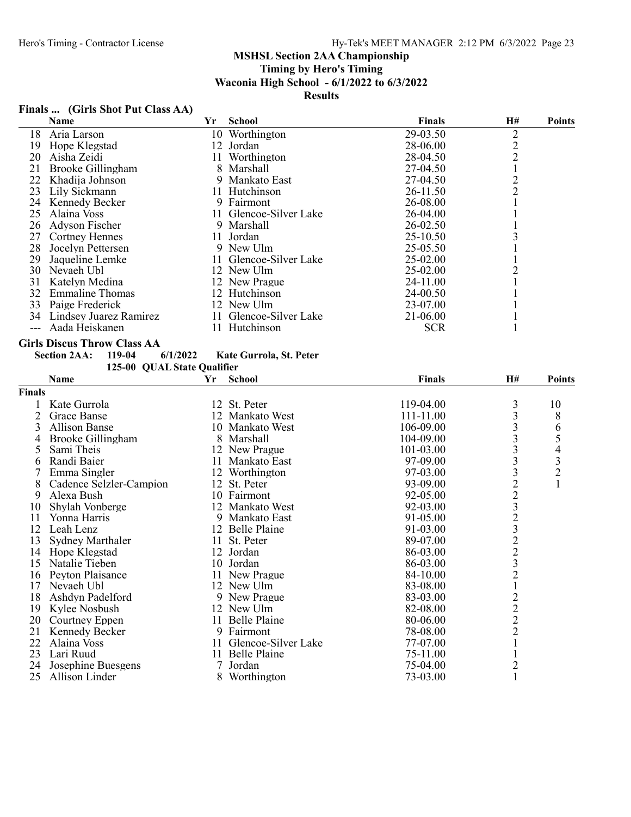Timing by Hero's Timing

Waconia High School - 6/1/2022 to 6/3/2022

#### Results

# Finals ... (Girls Shot Put Class AA)

|    | Name                      | Yr | <b>School</b>          | <b>Finals</b> | <b>H#</b>      | <b>Points</b> |
|----|---------------------------|----|------------------------|---------------|----------------|---------------|
| 18 | Aria Larson               |    | 10 Worthington         | 29-03.50      | $\overline{2}$ |               |
| 19 | Hope Klegstad             |    | 12 Jordan              | 28-06.00      | $\overline{c}$ |               |
| 20 | Aisha Zeidi               |    | 11 Worthington         | 28-04.50      | C              |               |
| 21 | Brooke Gillingham         |    | 8 Marshall             | 27-04.50      |                |               |
| 22 | Khadija Johnson           |    | 9 Mankato East         | 27-04.50      |                |               |
| 23 | Lily Sickmann             |    | 11 Hutchinson          | 26-11.50      | C              |               |
| 24 | Kennedy Becker            |    | 9 Fairmont             | 26-08.00      |                |               |
| 25 | Alaina Voss               |    | 11 Glencoe-Silver Lake | 26-04.00      |                |               |
| 26 | Adyson Fischer            |    | 9 Marshall             | 26-02.50      |                |               |
| 27 | Cortney Hennes            |    | 11 Jordan              | 25-10.50      |                |               |
| 28 | Jocelyn Pettersen         |    | 9 New Ulm              | 25-05.50      |                |               |
| 29 | Jaqueline Lemke           |    | 11 Glencoe-Silver Lake | 25-02.00      |                |               |
| 30 | Nevaeh Ubl                |    | 12 New Ulm             | 25-02.00      |                |               |
| 31 | Katelyn Medina            |    | 12 New Prague          | 24-11.00      |                |               |
| 32 | Emmaline Thomas           |    | 12 Hutchinson          | 24-00.50      |                |               |
| 33 | Paige Frederick           |    | 12 New Ulm             | 23-07.00      |                |               |
|    | 34 Lindsey Juarez Ramirez |    | 11 Glencoe-Silver Lake | 21-06.00      |                |               |
|    | Aada Heiskanen            |    | 11 Hutchinson          | <b>SCR</b>    |                |               |

# Girls Discus Throw Class AA<br>Section 2AA: 119-04

| Section 2AA: | 119-04 | 6/1/2022 | Kate Gurrola, St. Peter |
|--------------|--------|----------|-------------------------|
|              |        |          |                         |

125-00 QUAL State Qualifier

|               | Name                    | Yr     | <b>School</b>          | <b>Finals</b> | <b>H#</b>                                  | <b>Points</b>                                   |
|---------------|-------------------------|--------|------------------------|---------------|--------------------------------------------|-------------------------------------------------|
| <b>Finals</b> |                         |        |                        |               |                                            |                                                 |
|               | Kate Gurrola            |        | 12 St. Peter           | 119-04.00     | 3                                          | 10                                              |
|               | Grace Banse             |        | 12 Mankato West        | 111-11.00     | 3                                          | 8                                               |
| 3             | <b>Allison Banse</b>    |        | 10 Mankato West        | 106-09.00     | $\overline{\mathbf{3}}$                    | 6                                               |
|               | Brooke Gillingham       |        | 8 Marshall             | 104-09.00     | $\overline{\mathbf{3}}$                    | 5                                               |
| 5             | Sami Theis              |        | 12 New Prague          | 101-03.00     | $\frac{3}{3}$                              | $\begin{array}{c} 4 \\ 3 \\ 2 \\ 1 \end{array}$ |
| 6             | Randi Baier             |        | 11 Mankato East        | 97-09.00      |                                            |                                                 |
|               | Emma Singler            |        | 12 Worthington         | 97-03.00      | $\overline{\mathbf{3}}$                    |                                                 |
| 8             | Cadence Selzler-Campion |        | 12 St. Peter           | 93-09.00      | 223232232                                  |                                                 |
| 9             | Alexa Bush              |        | 10 Fairmont            | 92-05.00      |                                            |                                                 |
| 10            | Shylah Vonberge         |        | 12 Mankato West        | 92-03.00      |                                            |                                                 |
| 11            | Yonna Harris            |        | 9 Mankato East         | 91-05.00      |                                            |                                                 |
| 12            | Leah Lenz               |        | 12 Belle Plaine        | 91-03.00      |                                            |                                                 |
| 13            | <b>Sydney Marthaler</b> | 11     | St. Peter              | 89-07.00      |                                            |                                                 |
| 14            | Hope Klegstad           |        | 12 Jordan              | 86-03.00      |                                            |                                                 |
| 15            | Natalie Tieben          |        | 10 Jordan              | 86-03.00      |                                            |                                                 |
| 16            | Peyton Plaisance        |        | 11 New Prague          | 84-10.00      |                                            |                                                 |
| 17            | Nevaeh Ubl              |        | 12 New Ulm             | 83-08.00      |                                            |                                                 |
| 18            | Ashdyn Padelford        |        | 9 New Prague           | 83-03.00      | $\begin{array}{c} 2 \\ 2 \\ 2 \end{array}$ |                                                 |
| 19            | Kylee Nosbush           |        | 12 New Ulm             | 82-08.00      |                                            |                                                 |
| 20            | Courtney Eppen          | 11     | Belle Plaine           | 80-06.00      |                                            |                                                 |
| 21            | Kennedy Becker          | 9      | Fairmont               | 78-08.00      |                                            |                                                 |
| 22            | Alaina Voss             |        | 11 Glencoe-Silver Lake | 77-07.00      | $\mathbf{1}$                               |                                                 |
| 23            | Lari Ruud               |        | 11 Belle Plaine        | 75-11.00      |                                            |                                                 |
| 24            | Josephine Buesgens      | $\tau$ | Jordan                 | 75-04.00      | $\overline{c}$                             |                                                 |
| 25            | Allison Linder          | 8.     | Worthington            | 73-03.00      |                                            |                                                 |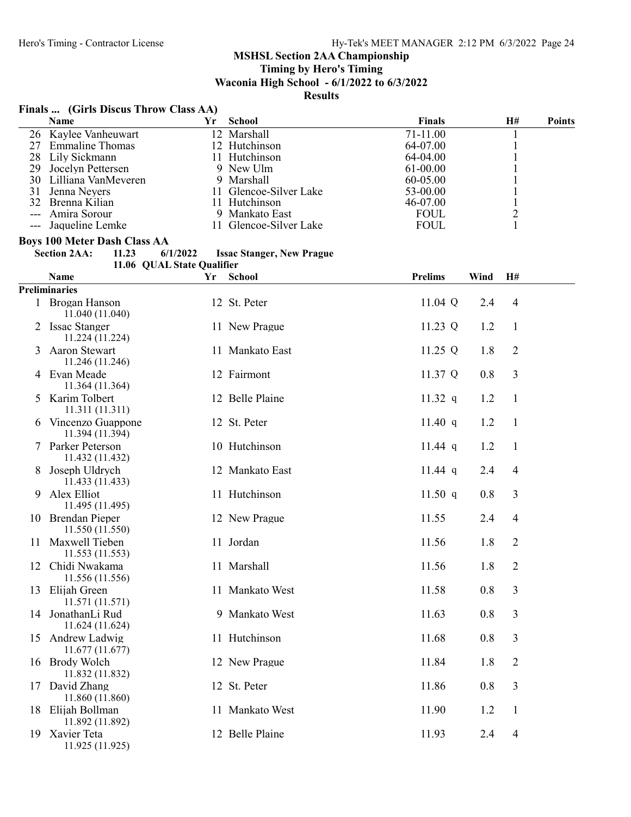Timing by Hero's Timing

Waconia High School - 6/1/2022 to 6/3/2022

Results

# Finals ... (Girls Discus Throw Class AA)

|                          | <b>Name</b>                              | Yr | <b>School</b>                    | <b>Finals</b>  |      | H#                      | <b>Points</b> |
|--------------------------|------------------------------------------|----|----------------------------------|----------------|------|-------------------------|---------------|
|                          | 26 Kaylee Vanheuwart                     |    | 12 Marshall                      | 71-11.00       |      | 1                       |               |
| 27                       | <b>Emmaline Thomas</b>                   |    | 12 Hutchinson                    | 64-07.00       |      | 1                       |               |
| 28                       | Lily Sickmann                            |    | 11 Hutchinson                    | 64-04.00       |      | $\mathbf{1}$            |               |
| 29                       | Jocelyn Pettersen                        |    | 9 New Ulm                        | 61-00.00       |      | $\mathbf{1}$            |               |
| 30                       | Lilliana VanMeveren                      |    | 9 Marshall                       | 60-05.00       |      | 1                       |               |
| 31                       | Jenna Neyers                             |    | 11 Glencoe-Silver Lake           | 53-00.00       |      | 1                       |               |
| 32                       | Brenna Kilian                            |    | 11 Hutchinson                    | 46-07.00       |      | $\mathbf{1}$            |               |
| ---                      | Amira Sorour                             |    | 9 Mankato East                   | <b>FOUL</b>    |      | $\overline{\mathbf{c}}$ |               |
| $\hspace{0.05cm} \ldots$ | Jaqueline Lemke                          |    | 11 Glencoe-Silver Lake           | <b>FOUL</b>    |      | $\mathbf{1}$            |               |
|                          | <b>Boys 100 Meter Dash Class AA</b>      |    |                                  |                |      |                         |               |
|                          | <b>Section 2AA:</b><br>11.23<br>6/1/2022 |    | <b>Issac Stanger, New Prague</b> |                |      |                         |               |
|                          | 11.06 QUAL State Qualifier               |    |                                  |                |      |                         |               |
|                          | Name                                     | Yr | <b>School</b>                    | <b>Prelims</b> | Wind | H#                      |               |
|                          | <b>Preliminaries</b>                     |    |                                  |                |      |                         |               |
|                          | 1 Brogan Hanson<br>11.040 (11.040)       |    | 12 St. Peter                     | 11.04 Q        | 2.4  | $\overline{4}$          |               |
| 2                        | <b>Issac Stanger</b><br>11.224 (11.224)  |    | 11 New Prague                    | 11.23 Q        | 1.2  | $\mathbf{1}$            |               |
| 3                        | Aaron Stewart<br>11.246 (11.246)         |    | 11 Mankato East                  | 11.25 Q        | 1.8  | $\overline{2}$          |               |
|                          | 4 Evan Meade<br>11.364 (11.364)          |    | 12 Fairmont                      | 11.37 Q        | 0.8  | 3                       |               |
| 5                        | Karim Tolbert<br>11.311 (11.311)         |    | 12 Belle Plaine                  | 11.32 q        | 1.2  | 1                       |               |
| 6                        | Vincenzo Guappone<br>11.394 (11.394)     |    | 12 St. Peter                     | 11.40 $q$      | 1.2  | $\mathbf{1}$            |               |
| 7                        | Parker Peterson<br>11.432 (11.432)       |    | 10 Hutchinson                    | $11.44$ q      | 1.2  | 1                       |               |
| 8                        | Joseph Uldrych<br>11.433 (11.433)        |    | 12 Mankato East                  | 11.44 $q$      | 2.4  | 4                       |               |
| 9                        | Alex Elliot<br>11.495 (11.495)           |    | 11 Hutchinson                    | 11.50 $q$      | 0.8  | 3                       |               |
|                          | 10 Brendan Pieper<br>11.550 (11.550)     |    | 12 New Prague                    | 11.55          | 2.4  | 4                       |               |
| 11                       | Maxwell Tieben<br>11.553 (11.553)        |    | 11 Jordan                        | 11.56          | 1.8  | 2                       |               |
|                          | 12 Chidi Nwakama<br>11.556 (11.556)      |    | 11 Marshall                      | 11.56          | 1.8  | $\overline{2}$          |               |
| 13                       | Elijah Green<br>11.571 (11.571)          |    | 11 Mankato West                  | 11.58          | 0.8  | 3                       |               |
| 14                       | JonathanLi Rud<br>11.624 (11.624)        |    | 9 Mankato West                   | 11.63          | 0.8  | 3                       |               |
| 15                       | Andrew Ladwig<br>11.677 (11.677)         |    | 11 Hutchinson                    | 11.68          | 0.8  | 3                       |               |
| 16                       | Brody Wolch<br>11.832 (11.832)           |    | 12 New Prague                    | 11.84          | 1.8  | $\overline{2}$          |               |
| 17                       | David Zhang<br>11.860 (11.860)           |    | 12 St. Peter                     | 11.86          | 0.8  | 3                       |               |
| 18                       | Elijah Bollman<br>11.892 (11.892)        |    | 11 Mankato West                  | 11.90          | 1.2  | $\mathbf{1}$            |               |
| 19                       | Xavier Teta<br>11.925 (11.925)           |    | 12 Belle Plaine                  | 11.93          | 2.4  | $\overline{4}$          |               |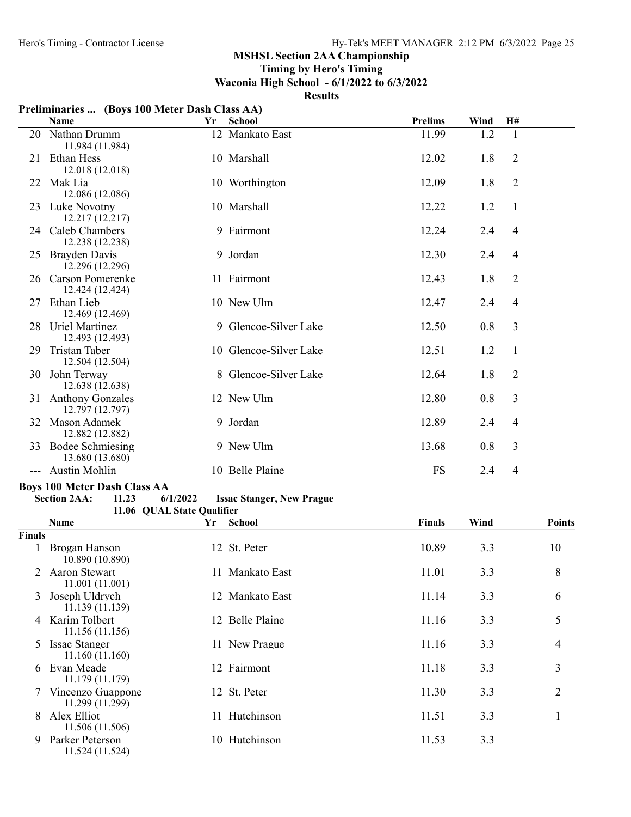Timing by Hero's Timing

Waconia High School - 6/1/2022 to 6/3/2022

Results

# Preliminaries ... (Boys 100 Meter Dash Class AA)

|               | Name                                     | Yr | <b>School</b>                    | <b>Prelims</b> | Wind | H#             |               |
|---------------|------------------------------------------|----|----------------------------------|----------------|------|----------------|---------------|
| 20            | Nathan Drumm<br>11.984 (11.984)          |    | 12 Mankato East                  | 11.99          | 1.2  | $\mathbf{1}$   |               |
| 21            | Ethan Hess<br>12.018 (12.018)            |    | 10 Marshall                      | 12.02          | 1.8  | $\overline{2}$ |               |
| 22            | Mak Lia<br>12.086 (12.086)               |    | 10 Worthington                   | 12.09          | 1.8  | $\overline{2}$ |               |
| 23            | Luke Novotny<br>12.217 (12.217)          |    | 10 Marshall                      | 12.22          | 1.2  | $\mathbf{1}$   |               |
|               | 24 Caleb Chambers<br>12.238 (12.238)     |    | 9 Fairmont                       | 12.24          | 2.4  | 4              |               |
| 25            | Brayden Davis<br>12.296 (12.296)         |    | 9 Jordan                         | 12.30          | 2.4  | 4              |               |
|               | 26 Carson Pomerenke<br>12.424 (12.424)   |    | 11 Fairmont                      | 12.43          | 1.8  | $\overline{2}$ |               |
| 27            | Ethan Lieb<br>12.469 (12.469)            |    | 10 New Ulm                       | 12.47          | 2.4  | 4              |               |
| 28            | Uriel Martinez<br>12.493 (12.493)        |    | 9 Glencoe-Silver Lake            | 12.50          | 0.8  | 3              |               |
| 29            | Tristan Taber<br>12.504 (12.504)         |    | 10 Glencoe-Silver Lake           | 12.51          | 1.2  | $\mathbf{1}$   |               |
| 30            | John Terway<br>12.638 (12.638)           |    | 8 Glencoe-Silver Lake            | 12.64          | 1.8  | $\overline{2}$ |               |
|               | 31 Anthony Gonzales<br>12.797 (12.797)   |    | 12 New Ulm                       | 12.80          | 0.8  | 3              |               |
|               | 32 Mason Adamek<br>12.882 (12.882)       |    | 9 Jordan                         | 12.89          | 2.4  | 4              |               |
|               | 33 Bodee Schmiesing<br>13.680 (13.680)   |    | 9 New Ulm                        | 13.68          | 0.8  | 3              |               |
|               | --- Austin Mohlin                        |    | 10 Belle Plaine                  | FS             | 2.4  | 4              |               |
|               | <b>Boys 100 Meter Dash Class AA</b>      |    |                                  |                |      |                |               |
|               | <b>Section 2AA:</b><br>11.23<br>6/1/2022 |    | <b>Issac Stanger, New Prague</b> |                |      |                |               |
|               | 11.06 QUAL State Qualifier<br>Name       | Yr | <b>School</b>                    | <b>Finals</b>  | Wind |                | <b>Points</b> |
| <b>Finals</b> |                                          |    |                                  |                |      |                |               |
|               | Brogan Hanson<br>10.890 (10.890)         |    | 12 St. Peter                     | 10.89          | 3.3  |                | 10            |
|               | 2 Aaron Stewart<br>11.001 (11.001)       |    | 11 Mankato East                  | 11.01          | 3.3  |                | 8             |
| 3             | Joseph Uldrych<br>11.139 (11.139)        |    | 12 Mankato East                  | 11.14          | 3.3  |                | 6             |
|               | 4 Karim Tolbert<br>11.156 (11.156)       |    | 12 Belle Plaine                  | 11.16          | 3.3  |                | 5             |
| 5.            | <b>Issac Stanger</b><br>11.160 (11.160)  |    | 11 New Prague                    | 11.16          | 3.3  |                | 4             |
|               | 6 Evan Meade<br>11.179 (11.179)          |    | 12 Fairmont                      | 11.18          | 3.3  |                | 3             |
|               | 7 Vincenzo Guappone<br>11.299 (11.299)   |    | 12 St. Peter                     | 11.30          | 3.3  |                | 2             |
| 8             | Alex Elliot<br>11.506 (11.506)           |    | 11 Hutchinson                    | 11.51          | 3.3  |                | $\mathbf{1}$  |
| 9             | Parker Peterson<br>11.524 (11.524)       |    | 10 Hutchinson                    | 11.53          | 3.3  |                |               |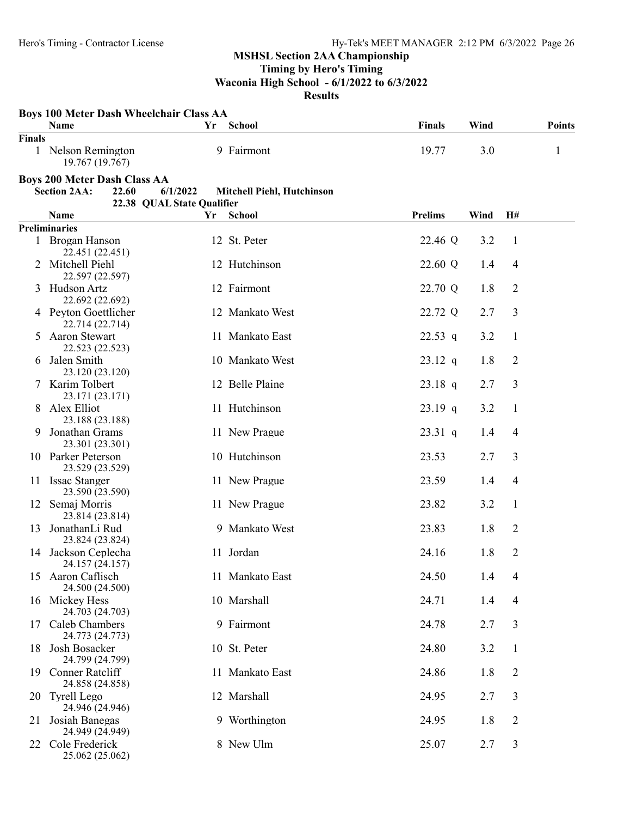Timing by Hero's Timing

Waconia High School - 6/1/2022 to 6/3/2022

Results

|               | <b>Boys 100 Meter Dash Wheelchair Class AA</b><br>Name              | Yr                         | <b>School</b>                     | <b>Finals</b>  | Wind |                | <b>Points</b> |
|---------------|---------------------------------------------------------------------|----------------------------|-----------------------------------|----------------|------|----------------|---------------|
| <b>Finals</b> |                                                                     |                            |                                   |                |      |                |               |
|               | 1 Nelson Remington<br>19.767 (19.767)                               |                            | 9 Fairmont                        | 19.77          | 3.0  |                | $\mathbf{1}$  |
|               | <b>Boys 200 Meter Dash Class AA</b><br><b>Section 2AA:</b><br>22.60 | 6/1/2022                   | <b>Mitchell Piehl, Hutchinson</b> |                |      |                |               |
|               |                                                                     | 22.38 QUAL State Qualifier |                                   |                |      |                |               |
|               | Name                                                                | Yr                         | <b>School</b>                     | <b>Prelims</b> | Wind | H#             |               |
|               | <b>Preliminaries</b>                                                |                            |                                   |                |      |                |               |
|               | 1 Brogan Hanson<br>22.451 (22.451)                                  |                            | 12 St. Peter                      | 22.46 Q        | 3.2  | $\mathbf{1}$   |               |
| 2             | Mitchell Piehl<br>22.597 (22.597)                                   |                            | 12 Hutchinson                     | 22.60 Q        | 1.4  | $\overline{4}$ |               |
| 3             | Hudson Artz<br>22.692 (22.692)                                      |                            | 12 Fairmont                       | 22.70 Q        | 1.8  | $\overline{2}$ |               |
|               | 4 Peyton Goettlicher<br>22.714 (22.714)                             |                            | 12 Mankato West                   | 22.72 Q        | 2.7  | 3              |               |
| 5             | <b>Aaron Stewart</b><br>22.523 (22.523)                             |                            | 11 Mankato East                   | $22.53$ q      | 3.2  | $\mathbf{1}$   |               |
| 6             | Jalen Smith<br>23.120 (23.120)                                      |                            | 10 Mankato West                   | $23.12$ q      | 1.8  | $\overline{2}$ |               |
|               | 7 Karim Tolbert<br>23.171 (23.171)                                  |                            | 12 Belle Plaine                   | $23.18$ q      | 2.7  | 3              |               |
|               | 8 Alex Elliot<br>23.188 (23.188)                                    |                            | 11 Hutchinson                     | $23.19$ q      | 3.2  | $\mathbf{1}$   |               |
| 9             | Jonathan Grams<br>23.301 (23.301)                                   |                            | 11 New Prague                     | 23.31q         | 1.4  | 4              |               |
|               | 10 Parker Peterson<br>23.529 (23.529)                               |                            | 10 Hutchinson                     | 23.53          | 2.7  | 3              |               |
| 11            | <b>Issac Stanger</b><br>23.590 (23.590)                             |                            | 11 New Prague                     | 23.59          | 1.4  | $\overline{4}$ |               |
|               | 12 Semaj Morris<br>23.814 (23.814)                                  |                            | 11 New Prague                     | 23.82          | 3.2  | $\mathbf{1}$   |               |
| 13            | JonathanLi Rud<br>23.824 (23.824)                                   |                            | 9 Mankato West                    | 23.83          | 1.8  | $\overline{2}$ |               |
| 14            | Jackson Ceplecha<br>24.157 (24.157)                                 |                            | 11 Jordan                         | 24.16          | 1.8  | 2              |               |
| 15            | Aaron Caflisch<br>24.500 (24.500)                                   |                            | 11 Mankato East                   | 24.50          | 1.4  | 4              |               |
|               | 16 Mickey Hess<br>24.703 (24.703)                                   |                            | 10 Marshall                       | 24.71          | 1.4  | $\overline{4}$ |               |
|               | 17 Caleb Chambers<br>24.773 (24.773)                                |                            | 9 Fairmont                        | 24.78          | 2.7  | 3              |               |
|               | 18 Josh Bosacker<br>24.799 (24.799)                                 |                            | 10 St. Peter                      | 24.80          | 3.2  | $\mathbf{1}$   |               |
|               | 19 Conner Ratcliff<br>24.858 (24.858)                               |                            | 11 Mankato East                   | 24.86          | 1.8  | $\overline{2}$ |               |
| 20            | <b>Tyrell Lego</b><br>24.946 (24.946)                               |                            | 12 Marshall                       | 24.95          | 2.7  | 3              |               |
| 21            | Josiah Banegas<br>24.949 (24.949)                                   |                            | 9 Worthington                     | 24.95          | 1.8  | $\overline{2}$ |               |
| 22            | Cole Frederick<br>25.062 (25.062)                                   |                            | 8 New Ulm                         | 25.07          | 2.7  | 3              |               |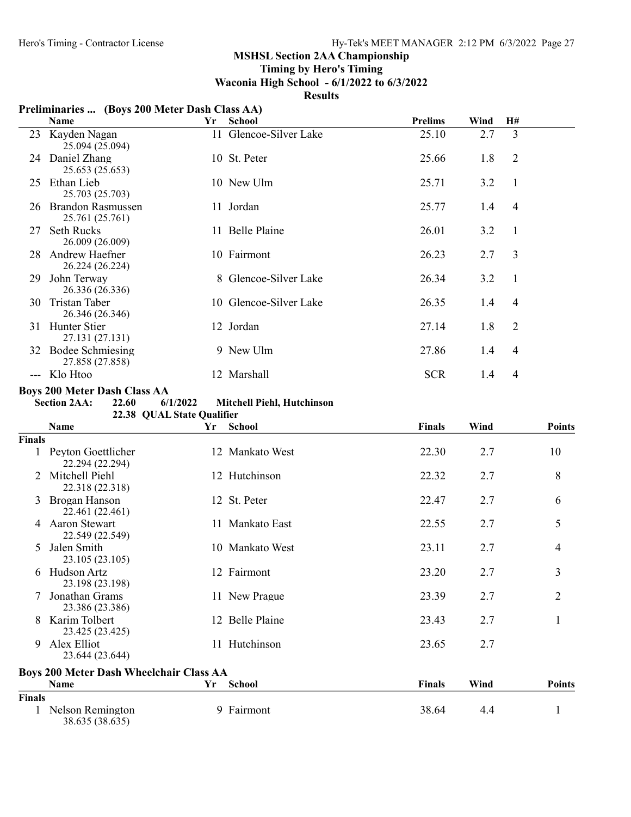Timing by Hero's Timing

Waconia High School - 6/1/2022 to 6/3/2022

Results

# Preliminaries ... (Boys 200 Meter Dash Class AA)

|       | Name                                        | Yr | <b>School</b>          | <b>Prelims</b> | Wind | H#             |  |
|-------|---------------------------------------------|----|------------------------|----------------|------|----------------|--|
| 23    | Kayden Nagan<br>25.094 (25.094)             | 11 | Glencoe-Silver Lake    | 25.10          | 2.7  | $\overline{3}$ |  |
| 24    | Daniel Zhang<br>25.653 (25.653)             |    | 10 St. Peter           | 25.66          | 1.8  | $\overline{2}$ |  |
| 25    | Ethan Lieb<br>25.703 (25.703)               |    | 10 New Ulm             | 25.71          | 3.2  | -1             |  |
| 26    | <b>Brandon Rasmussen</b><br>25.761 (25.761) |    | 11 Jordan              | 25.77          | 1.4  | 4              |  |
| 27    | <b>Seth Rucks</b><br>26.009 (26.009)        | 11 | Belle Plaine           | 26.01          | 3.2  | $\mathbf{1}$   |  |
| 28    | Andrew Haefner<br>26.224 (26.224)           |    | 10 Fairmont            | 26.23          | 2.7  | 3              |  |
| 29    | John Terway<br>26.336 (26.336)              |    | 8 Glencoe-Silver Lake  | 26.34          | 3.2  | 1              |  |
| 30    | Tristan Taber<br>26.346 (26.346)            |    | 10 Glencoe-Silver Lake | 26.35          | 1.4  | $\overline{4}$ |  |
| 31    | Hunter Stier<br>27.131 (27.131)             |    | 12 Jordan              | 27.14          | 1.8  | 2              |  |
| 32    | Bodee Schmiesing<br>27.858 (27.858)         |    | 9 New Ulm              | 27.86          | 1.4  | 4              |  |
| $---$ | Klo Htoo                                    |    | 12 Marshall            | <b>SCR</b>     | 1.4  | 4              |  |

# Boys 200 Meter Dash Class AA<br>Section 2AA: 22.60 6/1/2022

#### Mitchell Piehl, Hutchinson

22.38 QUAL State Qualifier

|               | Name                                           | Yr | <b>School</b>   | Finals        | Wind | <b>Points</b>  |
|---------------|------------------------------------------------|----|-----------------|---------------|------|----------------|
| <b>Finals</b> |                                                |    |                 |               |      |                |
|               | 1 Peyton Goettlicher<br>22.294 (22.294)        |    | 12 Mankato West | 22.30         | 2.7  | 10             |
|               | Mitchell Piehl<br>22.318 (22.318)              |    | 12 Hutchinson   | 22.32         | 2.7  | 8              |
| 3             | Brogan Hanson<br>22.461 (22.461)               |    | 12 St. Peter    | 22.47         | 2.7  | 6              |
| 4             | <b>Aaron Stewart</b><br>22.549 (22.549)        |    | 11 Mankato East | 22.55         | 2.7  | 5              |
| 5             | Jalen Smith<br>23.105 (23.105)                 |    | 10 Mankato West | 23.11         | 2.7  | 4              |
| 6             | Hudson Artz<br>23.198 (23.198)                 |    | 12 Fairmont     | 23.20         | 2.7  | 3              |
|               | Jonathan Grams<br>23.386 (23.386)              |    | 11 New Prague   | 23.39         | 2.7  | $\overline{2}$ |
| 8             | Karim Tolbert<br>23.425 (23.425)               |    | 12 Belle Plaine | 23.43         | 2.7  |                |
| 9             | Alex Elliot<br>23.644 (23.644)                 |    | 11 Hutchinson   | 23.65         | 2.7  |                |
|               | <b>Boys 200 Meter Dash Wheelchair Class AA</b> |    |                 |               |      |                |
|               | <b>Name</b>                                    | Yr | <b>School</b>   | <b>Finals</b> | Wind | <b>Points</b>  |
| <b>Finals</b> |                                                |    |                 |               |      |                |
|               | Nelson Remington                               |    | 9 Fairmont      | 38.64         | 4.4  |                |

38.635 (38.635)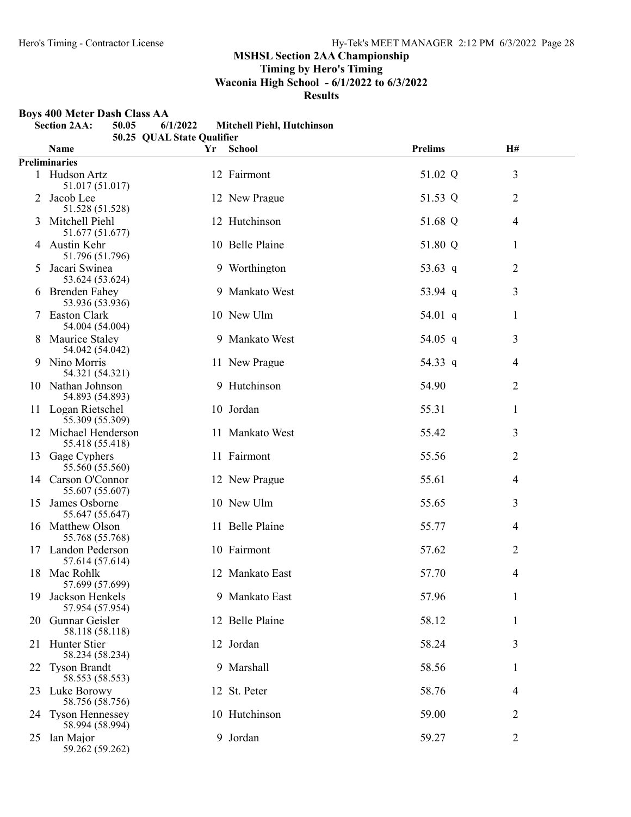Timing by Hero's Timing

Waconia High School - 6/1/2022 to 6/3/2022

Results

Boys 400 Meter Dash Class AA

| <b>Section 2AA:</b> | 50.05 | 6/1/2022 | <b>Mitchell Piehl, Hutchinson</b> |
|---------------------|-------|----------|-----------------------------------|
|                     |       |          |                                   |

50.25 QUAL State Qualifier

|     | Name                                    | Yr | <b>School</b>   | <b>Prelims</b> | H#             |  |
|-----|-----------------------------------------|----|-----------------|----------------|----------------|--|
|     | <b>Preliminaries</b>                    |    |                 |                |                |  |
|     | 1 Hudson Artz<br>51.017 (51.017)        |    | 12 Fairmont     | 51.02 Q        | 3              |  |
| 2   | Jacob Lee<br>51.528 (51.528)            |    | 12 New Prague   | 51.53 Q        | $\overline{2}$ |  |
| 3   | Mitchell Piehl<br>51.677 (51.677)       |    | 12 Hutchinson   | 51.68 Q        | $\overline{4}$ |  |
|     | 4 Austin Kehr<br>51.796 (51.796)        |    | 10 Belle Plaine | 51.80 Q        | 1              |  |
| 5   | Jacari Swinea<br>53.624 (53.624)        |    | 9 Worthington   | 53.63 q        | $\overline{2}$ |  |
|     | 6 Brenden Fahey<br>53.936 (53.936)      |    | 9 Mankato West  | 53.94 q        | 3              |  |
|     | 7 Easton Clark<br>54.004 (54.004)       |    | 10 New Ulm      | 54.01 q        | 1              |  |
| 8   | Maurice Staley<br>54.042 (54.042)       |    | 9 Mankato West  | 54.05 q        | 3              |  |
|     | 9 Nino Morris<br>54.321 (54.321)        |    | 11 New Prague   | 54.33 q        | 4              |  |
|     | 10 Nathan Johnson<br>54.893 (54.893)    |    | 9 Hutchinson    | 54.90          | $\overline{2}$ |  |
|     | 11 Logan Rietschel<br>55.309 (55.309)   |    | 10 Jordan       | 55.31          | 1              |  |
|     | 12 Michael Henderson<br>55.418 (55.418) |    | 11 Mankato West | 55.42          | 3              |  |
|     | 13 Gage Cyphers<br>55.560 (55.560)      |    | 11 Fairmont     | 55.56          | 2              |  |
|     | 14 Carson O'Connor<br>55.607 (55.607)   |    | 12 New Prague   | 55.61          | $\overline{4}$ |  |
| 15  | James Osborne<br>55.647 (55.647)        |    | 10 New Ulm      | 55.65          | 3              |  |
|     | 16 Matthew Olson<br>55.768 (55.768)     |    | 11 Belle Plaine | 55.77          | 4              |  |
|     | 17 Landon Pederson<br>57.614 (57.614)   |    | 10 Fairmont     | 57.62          | 2              |  |
|     | 18 Mac Rohlk<br>57.699 (57.699)         |    | 12 Mankato East | 57.70          | 4              |  |
| 19. | Jackson Henkels<br>57.954 (57.954)      |    | 9 Mankato East  | 57.96          | 1              |  |
| 20  | Gunnar Geisler<br>58.118 (58.118)       |    | 12 Belle Plaine | 58.12          | 1              |  |
| 21  | Hunter Stier<br>58.234 (58.234)         |    | 12 Jordan       | 58.24          | 3              |  |
| 22  | <b>Tyson Brandt</b><br>58.553 (58.553)  |    | 9 Marshall      | 58.56          | 1              |  |
| 23  | Luke Borowy<br>58.756 (58.756)          |    | 12 St. Peter    | 58.76          | 4              |  |
|     | 24 Tyson Hennessey<br>58.994 (58.994)   |    | 10 Hutchinson   | 59.00          | 2              |  |
| 25  | Ian Major<br>59.262 (59.262)            |    | 9 Jordan        | 59.27          | $\overline{2}$ |  |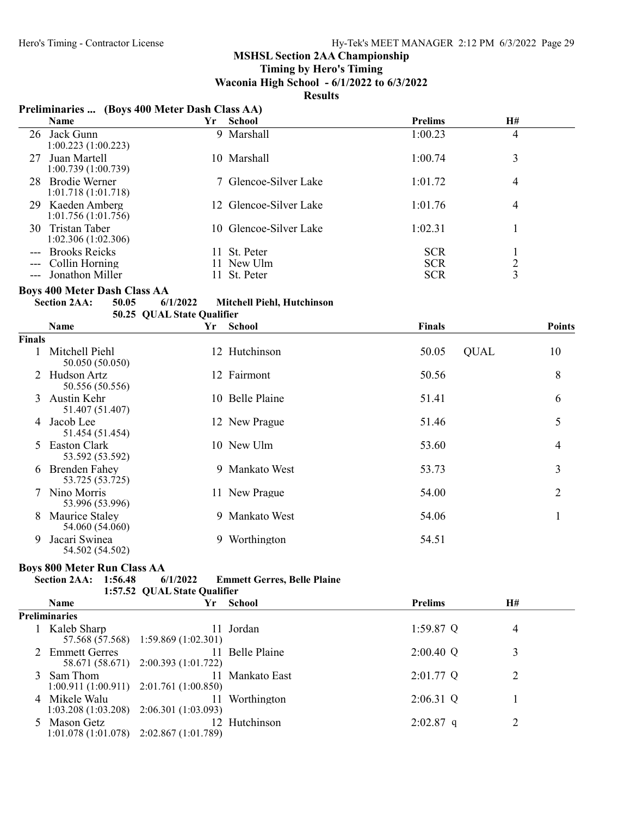Timing by Hero's Timing

Waconia High School - 6/1/2022 to 6/3/2022

Results

#### Preliminaries ... (Boys 400 Meter Dash Class AA)

|    | <b>Name</b>                                                | Yr | School                                  | <b>Prelims</b>                         | <b>H#</b> |
|----|------------------------------------------------------------|----|-----------------------------------------|----------------------------------------|-----------|
|    | 26 Jack Gunn<br>1:00.223(1:00.223)                         |    | 9 Marshall                              | 1:00.23                                | 4         |
| 27 | Juan Martell<br>1:00.739(1:00.739)                         |    | 10 Marshall                             | 1:00.74                                |           |
|    | 28 Brodie Werner<br>1:01.718(1:01.718)                     |    | 7 Glencoe-Silver Lake                   | 1:01.72                                | 4         |
|    | 29 Kaeden Amberg<br>1:01.756(1:01.756)                     |    | 12 Glencoe-Silver Lake                  | 1:01.76                                | 4         |
|    | 30 Tristan Taber<br>1:02.306(1:02.306)                     |    | 10 Glencoe-Silver Lake                  | 1:02.31                                |           |
|    | --- Brooks Reicks<br>--- Collin Horning<br>Jonathon Miller | 11 | 11 St. Peter<br>11 New Ulm<br>St. Peter | <b>SCR</b><br><b>SCR</b><br><b>SCR</b> | 3         |

# Boys 400 Meter Dash Class AA<br>Section 2AA: 50.05 6/1/2022

#### Mitchell Piehl, Hutchinson

50.25 QUAL State Qualifier

|                             | <b>Name</b>                             | Yr | School          | Finals |             | <b>Points</b>  |
|-----------------------------|-----------------------------------------|----|-----------------|--------|-------------|----------------|
| <b>Finals</b>               |                                         |    |                 |        |             |                |
|                             | Mitchell Piehl<br>50.050 (50.050)       |    | 12 Hutchinson   | 50.05  | <b>QUAL</b> | 10             |
| $\mathcal{D}_{\mathcal{L}}$ | Hudson Artz<br>50.556 (50.556)          |    | 12 Fairmont     | 50.56  |             | 8              |
| 3                           | Austin Kehr<br>51.407 (51.407)          |    | 10 Belle Plaine | 51.41  |             | 6              |
| 4                           | Jacob Lee<br>51.454 (51.454)            |    | 12 New Prague   | 51.46  |             | 5              |
| 5                           | Easton Clark<br>53.592 (53.592)         |    | 10 New Ulm      | 53.60  |             | 4              |
| 6                           | <b>Brenden Fahey</b><br>53.725 (53.725) |    | 9 Mankato West  | 53.73  |             | 3              |
|                             | Nino Morris<br>53.996 (53.996)          |    | 11 New Prague   | 54.00  |             | $\overline{2}$ |
| 8                           | Maurice Staley<br>54.060 (54.060)       |    | 9 Mankato West  | 54.06  |             | л.             |
| 9                           | Jacari Swinea<br>54.502 (54.502)        | 9. | Worthington     | 54.51  |             |                |

#### Boys 800 Meter Run Class AA

# Section 2AA: 1:56.48 6/1/2022 Emmett Gerres, Belle Plaine

| 1:57.52 QUAL State Qualifier                               |                                                 |                 |                |    |  |
|------------------------------------------------------------|-------------------------------------------------|-----------------|----------------|----|--|
| Name                                                       | Yr                                              | School          | <b>Prelims</b> | H# |  |
| <b>Preliminaries</b>                                       |                                                 |                 |                |    |  |
| 1 Kaleb Sharp                                              | 11.<br>57.568 (57.568) 1:59.869 (1:02.301)      | Jordan          | 1:59.87 Q      | 4  |  |
| 2 Emmett Gerres                                            | 58.671 (58.671) 2:00.393 (1:01.722)             | 11 Belle Plaine | $2:00.40$ Q    |    |  |
| 3 Sam Thom                                                 | 11<br>$1:00.911(1:00.911)$ $2:01.761(1:00.850)$ | Mankato East    | $2:01.77$ Q    |    |  |
| 4 Mikele Walu<br>$1:03.208(1:03.208)$ $2:06.301(1:03.093)$ | 11                                              | Worthington     | $2:06.31$ Q    |    |  |
| 5 Mason Getz                                               | $1:01.078(1:01.078)$ $2:02.867(1:01.789)$       | 12 Hutchinson   | $2:02.87$ q    |    |  |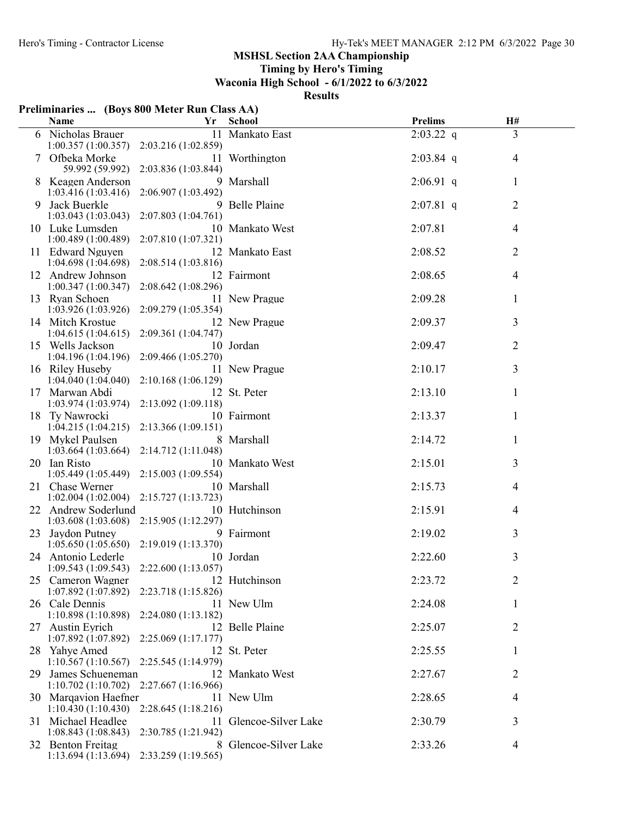Timing by Hero's Timing

Waconia High School - 6/1/2022 to 6/3/2022

Results

# Preliminaries ... (Boys 800 Meter Run Class AA)

| Name                                                             |                          | Yr School              | <b>Prelims</b> | H#             |  |
|------------------------------------------------------------------|--------------------------|------------------------|----------------|----------------|--|
| 6 Nicholas Brauer<br>1:00.357(1:00.357)                          | 2:03.216 (1:02.859)      | 11 Mankato East        | $2:03.22$ q    | 3              |  |
| Ofbeka Morke<br>59.992 (59.992)                                  | 2:03.836 (1:03.844)      | 11 Worthington         | $2:03.84$ q    | 4              |  |
| 8 Keagen Anderson<br>1:03.416(1:03.416)                          | 9<br>2:06.907 (1:03.492) | Marshall               | $2:06.91$ q    | 1              |  |
| 9 Jack Buerkle<br>1:03.043(1:03.043)                             | 2:07.803 (1:04.761)      | 9 Belle Plaine         | $2:07.81$ q    | 2              |  |
| 10 Luke Lumsden<br>1:00.489 (1:00.489)                           | 2:07.810 (1:07.321)      | 10 Mankato West        | 2:07.81        | 4              |  |
| 11 Edward Nguyen<br>1:04.698 (1:04.698)                          | 2:08.514 (1:03.816)      | 12 Mankato East        | 2:08.52        | 2              |  |
| 12 Andrew Johnson<br>1:00.347(1:00.347)                          | 2:08.642 (1:08.296)      | 12 Fairmont            | 2:08.65        | 4              |  |
| 13 Ryan Schoen<br>1:03.926(1:03.926)                             | 2:09.279 (1:05.354)      | 11 New Prague          | 2:09.28        | 1              |  |
| 14 Mitch Krostue<br>1:04.615(1:04.615)                           | 2:09.361 (1:04.747)      | 12 New Prague          | 2:09.37        | 3              |  |
| 15 Wells Jackson<br>1:04.196 (1:04.196)                          | 2:09.466 (1:05.270)      | 10 Jordan              | 2:09.47        | 2              |  |
| 16 Riley Huseby<br>1:04.040(1:04.040)                            | 2:10.168 (1:06.129)      | 11 New Prague          | 2:10.17        | 3              |  |
| 17 Marwan Abdi<br>1:03.974 (1:03.974)                            | 2:13.092 (1:09.118)      | 12 St. Peter           | 2:13.10        | 1              |  |
| 18 Ty Nawrocki<br>1:04.215(1:04.215)                             | 2:13.366(1:09.151)       | 10 Fairmont            | 2:13.37        | 1              |  |
| 19 Mykel Paulsen<br>1:03.664(1:03.664)                           | 2:14.712 (1:11.048)      | 8 Marshall             | 2:14.72        | 1              |  |
| 20 Ian Risto<br>1:05.449 (1:05.449)                              | 2:15.003 (1:09.554)      | 10 Mankato West        | 2:15.01        | 3              |  |
| 21 Chase Werner<br>1:02.004(1:02.004)                            | 2:15.727 (1:13.723)      | 10 Marshall            | 2:15.73        | 4              |  |
| 22 Andrew Soderlund<br>1:03.608(1:03.608)                        | 2:15.905 (1:12.297)      | 10 Hutchinson          | 2:15.91        | 4              |  |
| 23 Jaydon Putney<br>1:05.650(1:05.650)                           | 2:19.019 (1:13.370)      | 9 Fairmont             | 2:19.02        | 3              |  |
| 24 Antonio Lederle<br>1:09.543(1:09.543)                         | 2:22.600(1:13.057)       | 10 Jordan              | 2:22.60        | 3              |  |
| 25 Cameron Wagner<br>1:07.892(1:07.892)                          | 2:23.718 (1:15.826)      | 12 Hutchinson          | 2:23.72        | $\overline{2}$ |  |
| 26 Cale Dennis<br>1:10.898(1:10.898)                             | 2:24.080 (1:13.182)      | 11 New Ulm             | 2:24.08        | 1              |  |
| 27 Austin Eyrich<br>1:07.892 (1:07.892)                          | 2:25.069 (1:17.177)      | 12 Belle Plaine        | 2:25.07        | 2              |  |
| 28 Yahye Amed<br>$1:10.567(1:10.567)$ $2:25.545(1:14.979)$       |                          | 12 St. Peter           | 2:25.55        | 1              |  |
| 29 James Schueneman<br>$1:10.702(1:10.702)$ $2:27.667(1:16.966)$ |                          | 12 Mankato West        | 2:27.67        | 2              |  |
| 30 Marqavion Haefner<br>1:10.430(1:10.430)                       | 2:28.645 (1:18.216)      | 11 New Ulm             | 2:28.65        | 4              |  |
| 31 Michael Headlee<br>1:08.843(1:08.843)                         | 2:30.785 (1:21.942)      | 11 Glencoe-Silver Lake | 2:30.79        | 3              |  |
| 32 Benton Freitag<br>1:13.694(1:13.694)                          | 8<br>2:33.259 (1:19.565) | Glencoe-Silver Lake    | 2:33.26        | 4              |  |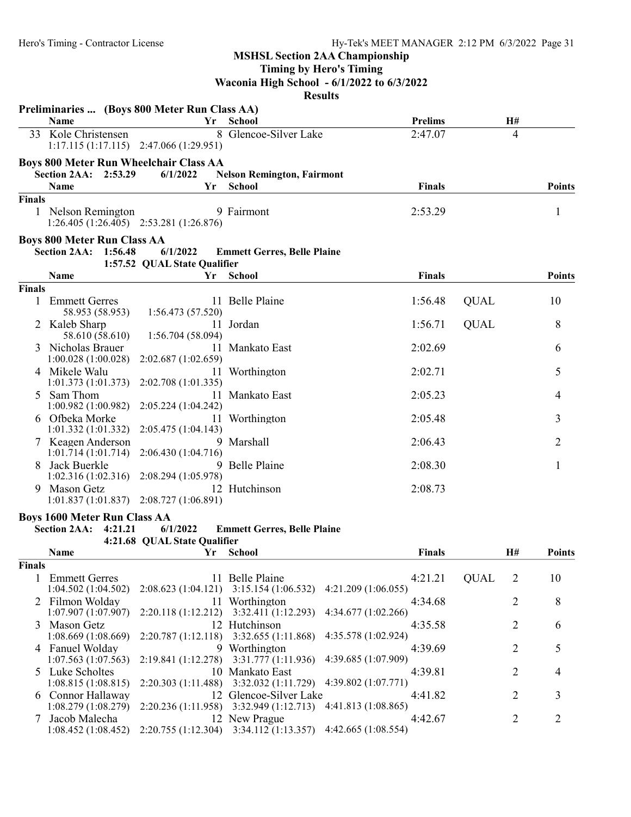Timing by Hero's Timing

Waconia High School - 6/1/2022 to 6/3/2022

Results

|               |                                         | Preliminaries  (Boys 800 Meter Run Class AA)  |                                               |                                |                  |               |
|---------------|-----------------------------------------|-----------------------------------------------|-----------------------------------------------|--------------------------------|------------------|---------------|
|               | Name<br>33 Kole Christensen             | Yr                                            | School<br>8 Glencoe-Silver Lake               | <b>Prelims</b>                 | <b>H#</b>        |               |
|               |                                         | $1:17.115(1:17.115)$ $2:47.066(1:29.951)$     |                                               | 2:47.07                        | 4                |               |
|               |                                         | <b>Boys 800 Meter Run Wheelchair Class AA</b> |                                               |                                |                  |               |
|               | Section 2AA: 2:53.29                    | 6/1/2022                                      | <b>Nelson Remington, Fairmont</b>             |                                |                  |               |
|               | <b>Name</b>                             | Yr                                            | <b>School</b>                                 | <b>Finals</b>                  |                  | <b>Points</b> |
| <b>Finals</b> | 1 Nelson Remington                      | 1:26.405 (1:26.405) 2:53.281 (1:26.876)       | 9 Fairmont                                    | 2:53.29                        |                  | 1             |
|               | <b>Boys 800 Meter Run Class AA</b>      |                                               |                                               |                                |                  |               |
|               | Section 2AA: 1:56.48                    | 6/1/2022                                      | <b>Emmett Gerres, Belle Plaine</b>            |                                |                  |               |
|               |                                         | 1:57.52 QUAL State Qualifier                  |                                               |                                |                  |               |
|               | Name                                    | Yr                                            | <b>School</b>                                 | <b>Finals</b>                  |                  | <b>Points</b> |
| <b>Finals</b> | <b>Emmett Gerres</b>                    |                                               | 11 Belle Plaine                               | 1:56.48                        | <b>QUAL</b>      | 10            |
|               | 58.953 (58.953)                         | 1:56.473(57.520)                              |                                               |                                |                  |               |
|               | 2 Kaleb Sharp                           |                                               | 11 Jordan                                     | 1:56.71                        | <b>QUAL</b>      | 8             |
|               | 58.610 (58.610)                         | 1:56.704 (58.094)                             |                                               |                                |                  |               |
|               | 3 Nicholas Brauer<br>1:00.028(1:00.028) | 2:02.687 (1:02.659)                           | 11 Mankato East                               | 2:02.69                        |                  | 6             |
|               | 4 Mikele Walu                           |                                               | 11 Worthington                                | 2:02.71                        |                  | 5             |
|               | 1:01.373(1:01.373)                      | 2:02.708 (1:01.335)                           |                                               |                                |                  |               |
| 5             | Sam Thom                                |                                               | 11 Mankato East                               | 2:05.23                        |                  | 4             |
|               | 1:00.982(1:00.982)<br>6 Ofbeka Morke    | 2:05.224 (1:04.242)                           |                                               | 2:05.48                        |                  | 3             |
|               | 1:01.332(1:01.332)                      | 2:05.475 (1:04.143)                           | 11 Worthington                                |                                |                  |               |
|               | 7 Keagen Anderson                       |                                               | 9 Marshall                                    | 2:06.43                        |                  | 2             |
|               | 1:01.714(1:01.714)                      | 2:06.430 (1:04.716)                           |                                               |                                |                  |               |
|               | 8 Jack Buerkle<br>1:02.316(1:02.316)    | 2:08.294 (1:05.978)                           | 9 Belle Plaine                                | 2:08.30                        |                  | 1             |
| 9             | Mason Getz                              |                                               | 12 Hutchinson                                 | 2:08.73                        |                  |               |
|               |                                         | $1:01.837(1:01.837)$ $2:08.727(1:06.891)$     |                                               |                                |                  |               |
|               | <b>Boys 1600 Meter Run Class AA</b>     |                                               |                                               |                                |                  |               |
|               | <b>Section 2AA:</b><br>4:21.21          | 6/1/2022                                      | <b>Emmett Gerres, Belle Plaine</b>            |                                |                  |               |
|               |                                         | 4:21.68 QUAL State Qualifier                  |                                               |                                |                  |               |
| <b>Finals</b> | <b>Name</b>                             | Yr                                            | <b>School</b>                                 | <b>Finals</b>                  | H#               | <b>Points</b> |
|               | 1 Emmett Gerres                         |                                               | 11 Belle Plaine                               | 4:21.21                        | <b>QUAL</b><br>2 | 10            |
|               | 1:04.502(1:04.502)                      | 2:08.623(1:04.121)                            | 3:15.154 (1:06.532)                           | 4:21.209 (1:06.055)            |                  |               |
|               | 2 Filmon Wolday                         |                                               | 11 Worthington                                | 4:34.68                        | $\overline{2}$   | 8             |
|               | 1:07.907(1:07.907)                      | 2:20.118 (1:12.212)                           | 3:32.411 (1:12.293)                           | 4:34.677 (1:02.266)            |                  |               |
| 3             | <b>Mason Getz</b><br>1:08.669(1:08.669) | 2:20.787 (1:12.118)                           | 12 Hutchinson<br>3:32.655(1:11.868)           | 4:35.58<br>4:35.578 (1:02.924) | 2                | 6             |
|               | 4 Fanuel Wolday                         |                                               | 9 Worthington                                 | 4:39.69                        | $\overline{2}$   | 5             |
|               | 1:07.563(1:07.563)                      | 2:19.841 (1:12.278)                           | 3:31.777 (1:11.936)                           | 4:39.685 (1:07.909)            |                  |               |
|               | 5 Luke Scholtes                         |                                               | 10 Mankato East                               | 4:39.81<br>4:39.802 (1:07.771) | 2                | 4             |
|               | 1:08.815(1:08.815)<br>6 Connor Hallaway | 2:20.303 (1:11.488)                           | 3:32.032 (1:11.729)<br>12 Glencoe-Silver Lake | 4:41.82                        | 2                | 3             |
|               | 1:08.279 (1:08.279)                     | 2:20.236 (1:11.958)                           | 3:32.949 (1:12.713)                           | 4:41.813 (1:08.865)            |                  |               |
|               | 7 Jacob Malecha                         |                                               | 12 New Prague                                 | 4:42.67                        | 2                | 2             |
|               | 1:08.452(1:08.452)                      | 2:20.755 (1:12.304)                           | 3:34.112 (1:13.357)                           | 4:42.665 (1:08.554)            |                  |               |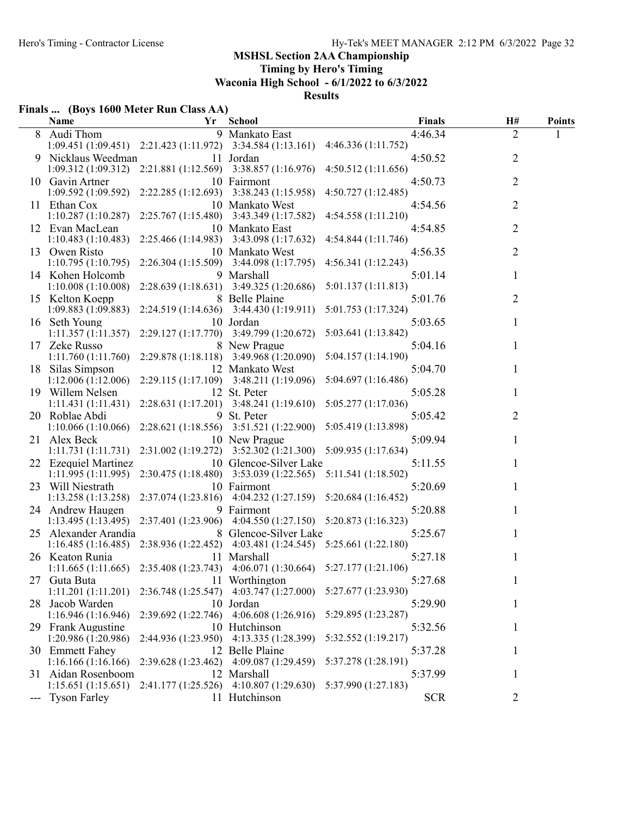Timing by Hero's Timing

Waconia High School - 6/1/2022 to 6/3/2022

#### Results

### Finals ... (Boys 1600 Meter Run Class AA)

|       | <b>Name</b>                                                       | Yr                  | <b>School</b>                                                                                    | <b>Finals</b>                  | H#             | <b>Points</b> |
|-------|-------------------------------------------------------------------|---------------------|--------------------------------------------------------------------------------------------------|--------------------------------|----------------|---------------|
|       | 8 Audi Thom                                                       |                     | 9 Mankato East                                                                                   | 4:46.34                        | 2              |               |
|       |                                                                   |                     | $1:09.451 (1:09.451)$ $2:21.423 (1:11.972)$ $3:34.584 (1:13.161)$ $4:46.336 (1:11.752)$          |                                |                |               |
|       | 9 Nicklaus Weedman                                                |                     | 11 Jordan                                                                                        | 4:50.52                        | 2              |               |
|       |                                                                   |                     | 1:09.312 (1:09.312) 2:21.881 (1:12.569) 3:38.857 (1:16.976)                                      | 4:50.512 (1:11.656)            |                |               |
|       | 10 Gavin Artner                                                   |                     | 10 Fairmont                                                                                      | 4:50.73                        | 2              |               |
|       |                                                                   |                     | 1:09.592 (1:09.592) 2:22.285 (1:12.693) 3:38.243 (1:15.958)                                      | 4:50.727(1:12.485)             |                |               |
|       | 11 Ethan Cox<br>1:10.287(1:10.287)                                |                     | 10 Mankato West<br>2:25.767 (1:15.480) 3:43.349 (1:17.582)                                       | 4:54.56<br>4:54.558 (1:11.210) | 2              |               |
|       | 12 Evan MacLean                                                   |                     | 10 Mankato East                                                                                  | 4:54.85                        | 2              |               |
|       | 1:10.483(1:10.483)                                                |                     | 2:25.466 (1:14.983) 3:43.098 (1:17.632)                                                          | 4:54.844 (1:11.746)            |                |               |
|       | 13 Owen Risto                                                     |                     | 10 Mankato West                                                                                  | 4:56.35                        | 2              |               |
|       | 1:10.795(1:10.795)                                                |                     | 2:26.304 (1:15.509) 3:44.098 (1:17.795)                                                          | 4:56.341(1:12.243)             |                |               |
|       | 14 Kohen Holcomb                                                  |                     | 9 Marshall                                                                                       | 5:01.14                        | 1              |               |
|       | 1:10.008(1:10.008)                                                |                     | 2:28.639 (1:18.631) 3:49.325 (1:20.686)                                                          | 5:01.137 (1:11.813)            |                |               |
|       | 15 Kelton Koepp                                                   |                     | 8 Belle Plaine                                                                                   | 5:01.76                        | 2              |               |
|       | 1:09.883(1:09.883)                                                |                     | $2:24.519(1:14.636)$ $3:44.430(1:19.911)$                                                        | 5:01.753 (1:17.324)            |                |               |
|       | 16 Seth Young                                                     |                     | 10 Jordan                                                                                        | 5:03.65                        | 1              |               |
|       | 1:11.357(1:11.357)                                                |                     | 2:29.127 (1:17.770) 3:49.799 (1:20.672)                                                          | 5:03.641(1:13.842)             |                |               |
|       | 17 Zeke Russo                                                     |                     | 8 New Prague                                                                                     | 5:04.16                        | 1              |               |
|       | 1:11.760(1:11.760)                                                |                     | 2:29.878 (1:18.118) 3:49.968 (1:20.090)                                                          | 5:04.157 (1:14.190)            |                |               |
|       | 18 Silas Simpson                                                  |                     | 12 Mankato West                                                                                  | 5:04.70                        | 1              |               |
|       | 1:12.006(1:12.006)                                                |                     | 2:29.115 (1:17.109) 3:48.211 (1:19.096)                                                          | 5:04.697 (1:16.486)            |                |               |
|       | 19 Willem Nelsen                                                  |                     | 12 St. Peter                                                                                     | 5:05.28                        | 1              |               |
|       | 1:11.431(1:11.431)                                                |                     | $2:28.631(1:17.201)$ $3:48.241(1:19.610)$                                                        | 5:05.277 (1:17.036)            |                |               |
|       | 20 Roblae Abdi                                                    |                     | 9 St. Peter                                                                                      | 5:05.42<br>5:05.419 (1:13.898) | 2              |               |
|       | 1:10.066(1:10.066)                                                |                     | 2:28.621 (1:18.556) 3:51.521 (1:22.900)                                                          |                                |                |               |
|       | 21 Alex Beck                                                      |                     | 10 New Prague<br>1:11.731 (1:11.731) 2:31.002 (1:19.272) 3:52.302 (1:21.300) 5:09.935 (1:17.634) | 5:09.94                        | 1              |               |
|       | 22 Ezequiel Martinez                                              |                     | 10 Glencoe-Silver Lake                                                                           | 5:11.55                        | 1              |               |
|       | 1:11.995(1:11.995)                                                |                     | 2:30.475 (1:18.480) 3:53.039 (1:22.565) 5:11.541 (1:18.502)                                      |                                |                |               |
|       | 23 Will Niestrath                                                 |                     | 10 Fairmont                                                                                      | 5:20.69                        | 1              |               |
|       | 1:13.258(1:13.258)                                                |                     | 2:37.074 (1:23.816) 4:04.232 (1:27.159) 5:20.684 (1:16.452)                                      |                                |                |               |
|       | 24 Andrew Haugen                                                  |                     | 9 Fairmont                                                                                       | 5:20.88                        | 1              |               |
|       |                                                                   |                     | 1:13.495 (1:13.495) 2:37.401 (1:23.906) 4:04.550 (1:27.150) 5:20.873 (1:16.323)                  |                                |                |               |
|       | 25 Alexander Arandia                                              |                     | 8 Glencoe-Silver Lake                                                                            | 5:25.67                        | 1              |               |
|       |                                                                   |                     | 1:16.485 (1:16.485) 2:38.936 (1:22.452) 4:03.481 (1:24.545) 5:25.661 (1:22.180)                  |                                |                |               |
|       | 26 Keaton Runia                                                   |                     | 11 Marshall                                                                                      | 5:27.18                        | 1              |               |
|       |                                                                   |                     | $1:11.665(1:11.665)$ $2:35.408(1:23.743)$ $4:06.071(1:30.664)$ $5:27.177(1:21.106)$              |                                |                |               |
| 27    | Guta Buta                                                         |                     | 11 Worthington                                                                                   | 5:27.68                        |                |               |
|       | 1:11.201(1:11.201)                                                | 2:36.748 (1:25.547) | 4:03.747 (1:27.000)                                                                              | 5:27.677 (1:23.930)            |                |               |
| 28.   | Jacob Warden                                                      |                     | 10 Jordan                                                                                        | 5:29.90                        | 1              |               |
|       | 1:16.946(1:16.946)                                                | 2:39.692 (1:22.746) | 4:06.608 (1:26.916)                                                                              | 5:29.895 (1:23.287)            |                |               |
|       | 29 Frank Augustine                                                |                     | 10 Hutchinson                                                                                    | 5:32.56                        | 1              |               |
|       | 1:20.986 (1:20.986)                                               | 2:44.936 (1:23.950) | 4:13.335 (1:28.399)                                                                              | 5:32.552 (1:19.217)            |                |               |
|       | 30 Emmett Fahey                                                   |                     | 12 Belle Plaine                                                                                  | 5:37.28                        | 1              |               |
|       | 1:16.166(1:16.166)                                                | 2:39.628 (1:23.462) | 4:09.087 (1:29.459)                                                                              | 5:37.278 (1:28.191)            |                |               |
|       | 31 Aidan Rosenboom<br>$1:15.651 (1:15.651)$ $2:41.177 (1:25.526)$ |                     | 12 Marshall<br>4:10.807(1:29.630)                                                                | 5:37.99<br>5:37.990 (1:27.183) | 1              |               |
| $---$ | <b>Tyson Farley</b>                                               |                     | 11 Hutchinson                                                                                    | <b>SCR</b>                     | $\overline{2}$ |               |
|       |                                                                   |                     |                                                                                                  |                                |                |               |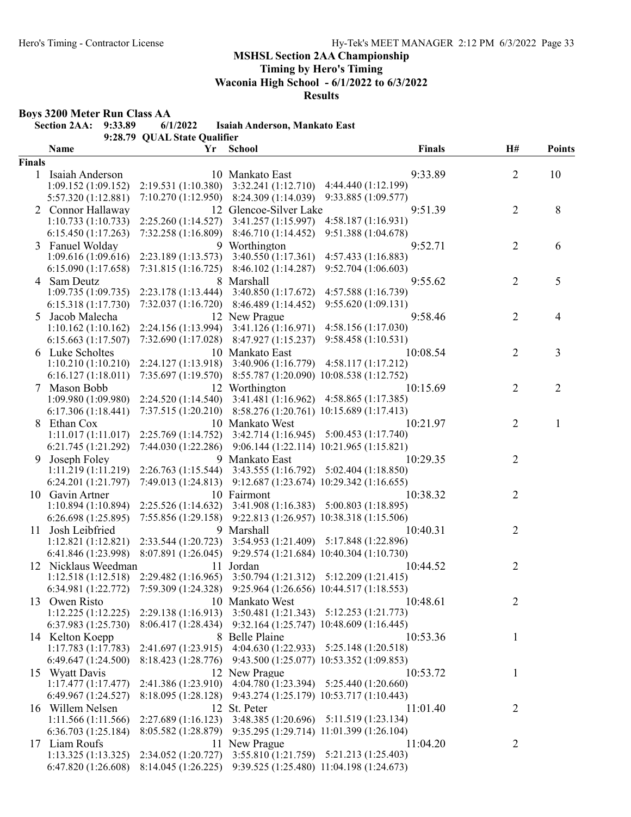Timing by Hero's Timing

Waconia High School - 6/1/2022 to 6/3/2022

#### Results

# **Boys 3200 Meter Run Class AA**<br>Section 2AA: 9:33.89 6/1/2022

Isaiah Anderson, Mankato East

9:28.79 QUAL State Qualifier<br>Vr. School

|        | Name                              | Yr                  | <b>School</b>                                                | <b>Finals</b>                            | H#             | <b>Points</b>  |
|--------|-----------------------------------|---------------------|--------------------------------------------------------------|------------------------------------------|----------------|----------------|
| Finals |                                   |                     |                                                              |                                          |                |                |
|        | 1 Isaiah Anderson                 |                     | 10 Mankato East                                              | 9:33.89                                  | $\overline{2}$ | 10             |
|        | 1:09.152(1:09.152)                |                     | 2:19.531 (1:10.380) 3:32.241 (1:12.710)                      | 4:44.440 (1:12.199)                      |                |                |
|        | 5:57.320 (1:12.881)               | 7:10.270(1:12.950)  | 8:24.309 (1:14.039)                                          | 9:33.885 (1:09.577)                      |                |                |
|        | 2 Connor Hallaway                 |                     | 12 Glencoe-Silver Lake                                       | 9:51.39                                  | $\overline{2}$ | $8\phantom{1}$ |
|        | 1:10.733(1:10.733)                | 2:25.260 (1:14.527) | 3:41.257 (1:15.997)                                          | 4:58.187 (1:16.931)                      |                |                |
|        | 6:15.450(1:17.263)                | 7:32.258 (1:16.809) | 8:46.710 (1:14.452)                                          | 9:51.388 (1:04.678)                      |                |                |
|        | 3 Fanuel Wolday                   |                     | 9 Worthington                                                | 9:52.71                                  | $\overline{2}$ | 6              |
|        | 1:09.616(1:09.616)                | 2:23.189(1:13.573)  | 3:40.550 (1:17.361)                                          | 4:57.433 (1:16.883)                      |                |                |
|        | 6:15.090(1:17.658)                | 7:31.815(1:16.725)  | 8:46.102 (1:14.287)                                          | 9:52.704 (1:06.603)                      |                |                |
|        |                                   |                     |                                                              |                                          |                |                |
|        | 4 Sam Deutz<br>1:09.735(1:09.735) |                     | 8 Marshall                                                   | 9:55.62                                  | $\overline{2}$ | 5              |
|        |                                   | 2:23.178(1:13.444)  | 3:40.850 (1:17.672)                                          | 4:57.588 (1:16.739)                      |                |                |
|        | 6:15.318(1:17.730)                | 7:32.037(1:16.720)  | 8:46.489 (1:14.452)                                          | 9:55.620(1:09.131)                       |                |                |
| 5      | Jacob Malecha                     |                     | 12 New Prague                                                | 9:58.46                                  | $\overline{2}$ | 4              |
|        | 1:10.162(1:10.162)                | 2:24.156(1:13.994)  | 3:41.126 (1:16.971)                                          | 4:58.156 (1:17.030)                      |                |                |
|        | 6:15.663(1:17.507)                | 7:32.690 (1:17.028) | 8:47.927 (1:15.237)                                          | 9:58.458 (1:10.531)                      |                |                |
|        | 6 Luke Scholtes                   |                     | 10 Mankato East                                              | 10:08.54                                 | $\overline{2}$ | 3              |
|        | 1:10.210(1:10.210)                | 2:24.127 (1:13.918) | 3:40.906 (1:16.779)                                          | 4:58.117 (1:17.212)                      |                |                |
|        | 6:16.127(1:18.011)                | 7:35.697 (1:19.570) |                                                              | 8:55.787 (1:20.090) 10:08.538 (1:12.752) |                |                |
|        | 7 Mason Bobb                      |                     | 12 Worthington                                               | 10:15.69                                 | $\overline{2}$ | $\overline{2}$ |
|        | 1:09.980 (1:09.980)               | 2:24.520 (1:14.540) | 3:41.481(1:16.962)                                           | 4:58.865(1:17.385)                       |                |                |
|        | 6:17.306(1:18.441)                | 7:37.515 (1:20.210) |                                                              | 8:58.276 (1:20.761) 10:15.689 (1:17.413) |                |                |
| 8      | Ethan Cox                         |                     | 10 Mankato West                                              | 10:21.97                                 | 2              | $\mathbf{1}$   |
|        | 1:11.017(1:11.017)                | 2:25.769 (1:14.752) |                                                              | 3:42.714 (1:16.945) 5:00.453 (1:17.740)  |                |                |
|        | 6:21.745 (1:21.292)               |                     | 7:44.030 (1:22.286) 9:06.144 (1:22.114) 10:21.965 (1:15.821) |                                          |                |                |
|        | 9 Joseph Foley                    |                     | 9 Mankato East                                               | 10:29.35                                 | $\overline{2}$ |                |
|        | 1:11.219(1:11.219)                | 2:26.763(1:15.544)  |                                                              | 3:43.555 (1:16.792) 5:02.404 (1:18.850)  |                |                |
|        | 6:24.201 (1:21.797)               | 7:49.013 (1:24.813) |                                                              | 9:12.687 (1:23.674) 10:29.342 (1:16.655) |                |                |
|        | 10 Gavin Artner                   |                     | 10 Fairmont                                                  | 10:38.32                                 | $\overline{2}$ |                |
|        | 1:10.894(1:10.894)                | 2:25.526(1:14.632)  |                                                              | 3:41.908 (1:16.383) 5:00.803 (1:18.895)  |                |                |
|        | 6:26.698 (1:25.895)               | 7:55.856 (1:29.158) |                                                              | 9:22.813 (1:26.957) 10:38.318 (1:15.506) |                |                |
|        | 11 Josh Leibfried                 |                     | 9 Marshall                                                   | 10:40.31                                 | $\overline{2}$ |                |
|        | 1:12.821(1:12.821)                |                     | 2:33.544 (1:20.723) 3:54.953 (1:21.409) 5:17.848 (1:22.896)  |                                          |                |                |
|        | 6:41.846 (1:23.998)               |                     | 8:07.891 (1:26.045) 9:29.574 (1:21.684) 10:40.304 (1:10.730) |                                          |                |                |
|        |                                   |                     |                                                              |                                          |                |                |
|        | 12 Nicklaus Weedman               |                     | 11 Jordan                                                    | 10:44.52                                 | 2              |                |
|        | 1:12.518(1:12.518)                |                     | 2:29.482 (1:16.965) 3:50.794 (1:21.312) 5:12.209 (1:21.415)  |                                          |                |                |
|        | 6:34.981 (1:22.772)               |                     | 7:59.309 (1:24.328) 9:25.964 (1:26.656) 10:44.517 (1:18.553) |                                          |                |                |
|        | 13 Owen Risto                     |                     | 10 Mankato West                                              | 10:48.61                                 | $\overline{2}$ |                |
|        | 1:12.225(1:12.225)                | 2:29.138 (1:16.913) |                                                              | 3:50.481 (1:21.343) 5:12.253 (1:21.773)  |                |                |
|        | 6:37.983 (1:25.730)               | 8:06.417 (1:28.434) |                                                              | 9:32.164 (1:25.747) 10:48.609 (1:16.445) |                |                |
|        | 14 Kelton Koepp                   |                     | 8 Belle Plaine                                               | 10:53.36                                 | 1              |                |
|        | 1:17.783(1:17.783)                | 2:41.697 (1:23.915) |                                                              | 4:04.630 (1:22.933) 5:25.148 (1:20.518)  |                |                |
|        | 6:49.647 (1:24.500)               | 8:18.423 (1:28.776) |                                                              | 9:43.500 (1:25.077) 10:53.352 (1:09.853) |                |                |
|        | 15 Wyatt Davis                    |                     | 12 New Prague                                                | 10:53.72                                 | 1              |                |
|        | 1:17.477(1:17.477)                | 2:41.386 (1:23.910) |                                                              | 4:04.780 (1:23.394) 5:25.440 (1:20.660)  |                |                |
|        | 6:49.967 (1:24.527)               | 8:18.095 (1:28.128) |                                                              | 9:43.274 (1:25.179) 10:53.717 (1:10.443) |                |                |
|        | 16 Willem Nelsen                  |                     | 12 St. Peter                                                 | 11:01.40                                 | 2              |                |
|        | 1:11.566(1:11.566)                | 2:27.689(1:16.123)  |                                                              | 3:48.385 (1:20.696) 5:11.519 (1:23.134)  |                |                |
|        | 6:36.703(1:25.184)                | 8:05.582 (1:28.879) |                                                              | 9:35.295 (1:29.714) 11:01.399 (1:26.104) |                |                |
|        | 17 Liam Roufs                     |                     | 11 New Prague                                                | 11:04.20                                 | 2              |                |
|        | 1:13.325(1:13.325)                | 2:34.052 (1:20.727) |                                                              | 3:55.810 (1:21.759) 5:21.213 (1:25.403)  |                |                |
|        | 6:47.820 (1:26.608)               | 8:14.045 (1:26.225) |                                                              | 9:39.525 (1:25.480) 11:04.198 (1:24.673) |                |                |
|        |                                   |                     |                                                              |                                          |                |                |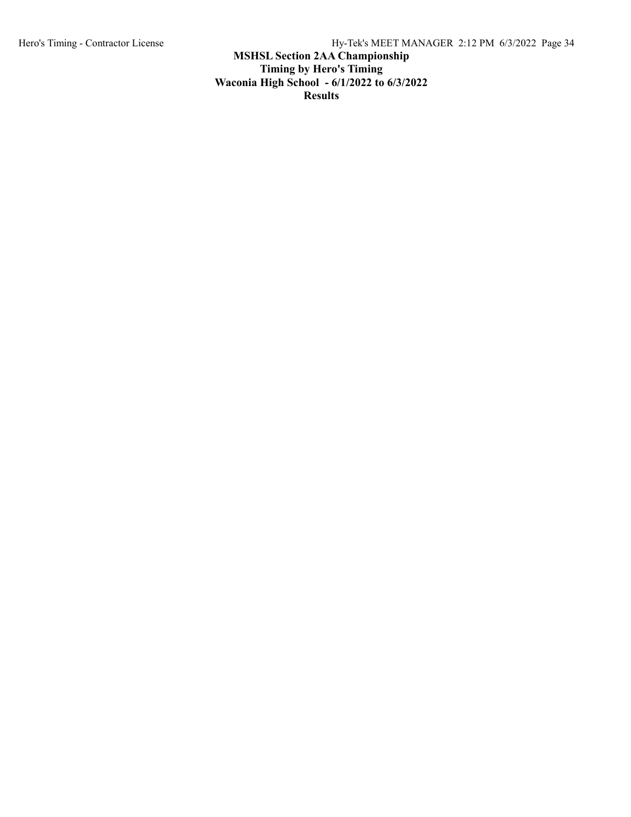MSHSL Section 2AA Championship Timing by Hero's Timing Waconia High School - 6/1/2022 to 6/3/2022 Results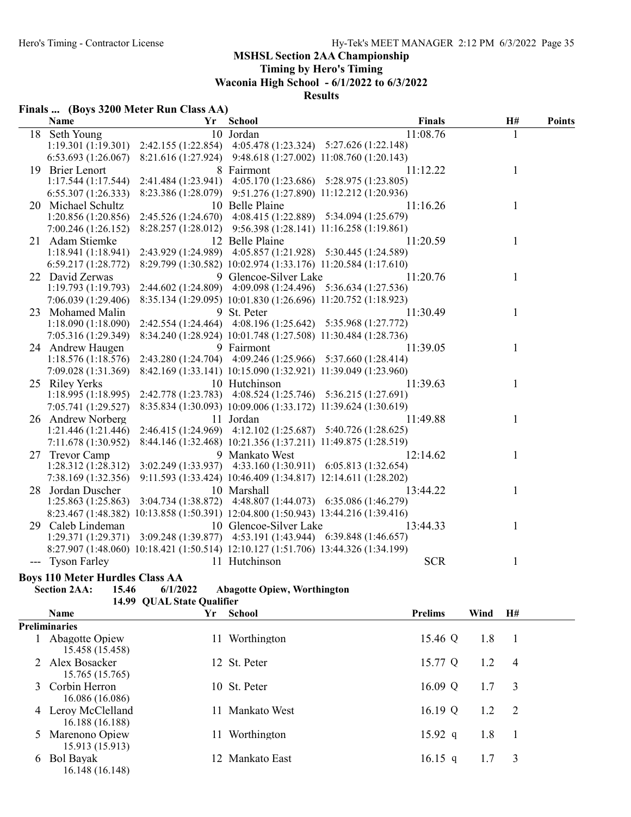Timing by Hero's Timing

Waconia High School - 6/1/2022 to 6/3/2022

#### Results

### Finals ... (Boys 3200 Meter Run Class AA)

|       | Name                | Yr                  | <b>School</b>                                                                      | <b>Finals</b> | H#           | <b>Points</b> |
|-------|---------------------|---------------------|------------------------------------------------------------------------------------|---------------|--------------|---------------|
|       | 18 Seth Young       |                     | 10 Jordan                                                                          | 11:08.76      | 1            |               |
|       |                     |                     | 1:19.301 (1:19.301) 2:42.155 (1:22.854) 4:05.478 (1:23.324) 5:27.626 (1:22.148)    |               |              |               |
|       | 6:53.693(1:26.067)  |                     | 8:21.616 (1:27.924) 9:48.618 (1:27.002) 11:08.760 (1:20.143)                       |               |              |               |
|       | 19 Brier Lenort     |                     | 8 Fairmont                                                                         | 11:12.22      | 1            |               |
|       | 1:17.544(1:17.544)  | 2:41.484 (1:23.941) | 4:05.170 (1:23.686) 5:28.975 (1:23.805)                                            |               |              |               |
|       | 6:55.307(1:26.333)  |                     | 8:23.386 (1:28.079) 9:51.276 (1:27.890) 11:12.212 (1:20.936)                       |               |              |               |
|       | 20 Michael Schultz  |                     | 10 Belle Plaine                                                                    | 11:16.26      | 1            |               |
|       | 1:20.856(1:20.856)  |                     | 2:45.526 (1:24.670) 4:08.415 (1:22.889) 5:34.094 (1:25.679)                        |               |              |               |
|       | 7:00.246 (1:26.152) |                     | 8:28.257 (1:28.012) 9:56.398 (1:28.141) 11:16.258 (1:19.861)                       |               |              |               |
|       | 21 Adam Stiemke     |                     | 12 Belle Plaine                                                                    | 11:20.59      | 1            |               |
|       | 1:18.941(1:18.941)  |                     | 2:43.929 (1:24.989) 4:05.857 (1:21.928) 5:30.445 (1:24.589)                        |               |              |               |
|       | 6:59.217(1:28.772)  |                     | 8:29.799 (1:30.582) 10:02.974 (1:33.176) 11:20.584 (1:17.610)                      |               |              |               |
|       | 22 David Zerwas     |                     | 9 Glencoe-Silver Lake                                                              | 11:20.76      | 1            |               |
|       | 1:19.793(1:19.793)  |                     | 2:44.602 (1:24.809) 4:09.098 (1:24.496) 5:36.634 (1:27.536)                        |               |              |               |
|       | 7:06.039 (1:29.406) |                     | 8:35.134 (1:29.095) 10:01.830 (1:26.696) 11:20.752 (1:18.923)                      |               |              |               |
|       | 23 Mohamed Malin    |                     | 9 St. Peter                                                                        | 11:30.49      | 1            |               |
|       | 1:18.090(1:18.090)  |                     | 2:42.554 (1:24.464) 4:08.196 (1:25.642) 5:35.968 (1:27.772)                        |               |              |               |
|       | 7:05.316 (1:29.349) |                     | 8:34.240 (1:28.924) 10:01.748 (1:27.508) 11:30.484 (1:28.736)                      |               |              |               |
|       | 24 Andrew Haugen    |                     | 9 Fairmont                                                                         | 11:39.05      | 1            |               |
|       | 1:18.576(1:18.576)  |                     | 2:43.280 (1:24.704) 4:09.246 (1:25.966) 5:37.660 (1:28.414)                        |               |              |               |
|       | 7:09.028 (1:31.369) |                     | 8:42.169 (1:33.141) 10:15.090 (1:32.921) 11:39.049 (1:23.960)                      |               |              |               |
|       | 25 Riley Yerks      |                     | 10 Hutchinson                                                                      | 11:39.63      | 1            |               |
|       | 1:18.995(1:18.995)  |                     | 2:42.778 (1:23.783) 4:08.524 (1:25.746) 5:36.215 (1:27.691)                        |               |              |               |
|       | 7:05.741 (1:29.527) |                     | 8:35.834 (1:30.093) 10:09.006 (1:33.172) 11:39.624 (1:30.619)                      |               |              |               |
|       | 26 Andrew Norberg   |                     | 11 Jordan                                                                          | 11:49.88      | 1            |               |
|       | 1:21.446(1:21.446)  |                     | 2:46.415 (1:24.969) 4:12.102 (1:25.687) 5:40.726 (1:28.625)                        |               |              |               |
|       | 7:11.678 (1:30.952) |                     | 8:44.146 (1:32.468) 10:21.356 (1:37.211) 11:49.875 (1:28.519)                      |               |              |               |
| 27    | <b>Trevor Camp</b>  |                     | 9 Mankato West                                                                     | 12:14.62      | 1            |               |
|       | 1:28.312(1:28.312)  |                     | 3:02.249 (1:33.937) 4:33.160 (1:30.911) 6:05.813 (1:32.654)                        |               |              |               |
|       | 7:38.169(1:32.356)  |                     | 9:11.593 (1:33.424) 10:46.409 (1:34.817) 12:14.611 (1:28.202)                      |               |              |               |
| 28    | Jordan Duscher      |                     | 10 Marshall                                                                        | 13:44.22      | 1            |               |
|       |                     |                     | 1:25.863 (1:25.863) 3:04.734 (1:38.872) 4:48.807 (1:44.073) 6:35.086 (1:46.279)    |               |              |               |
|       |                     |                     | 8:23.467 (1:48.382) 10:13.858 (1:50.391) 12:04.800 (1:50.943) 13:44.216 (1:39.416) |               |              |               |
|       | 29 Caleb Lindeman   |                     | 10 Glencoe-Silver Lake                                                             | 13:44.33      | 1            |               |
|       |                     |                     | 1:29.371 (1:29.371) 3:09.248 (1:39.877) 4:53.191 (1:43.944) 6:39.848 (1:46.657)    |               |              |               |
|       |                     |                     | 8:27.907 (1:48.060) 10:18.421 (1:50.514) 12:10.127 (1:51.706) 13:44.326 (1:34.199) |               |              |               |
| $---$ | <b>Tyson Farley</b> |                     | 11 Hutchinson                                                                      | <b>SCR</b>    | $\mathbf{1}$ |               |

# Boys 110 Meter Hurdles Class AA<br>Section 2AA: 15.46 6/1/2022

Abagotte Opiew, Worthington

14.99 QUAL State Qualifier

|   | Name                                | Yr  | School          | <b>Prelims</b> | Wind | H#                      |  |
|---|-------------------------------------|-----|-----------------|----------------|------|-------------------------|--|
|   | <b>Preliminaries</b>                |     |                 |                |      |                         |  |
|   | Abagotte Opiew<br>15.458 (15.458)   | 11  | Worthington     | 15.46 Q        | 1.8  |                         |  |
|   | 2 Alex Bosacker<br>15.765 (15.765)  |     | 12 St. Peter    | 15.77 Q        | 1.2  | $\overline{4}$          |  |
|   | 3 Corbin Herron<br>16.086 (16.086)  |     | 10 St. Peter    | 16.09 $Q$      | 1.7  | $\overline{\mathbf{3}}$ |  |
| 4 | Leroy McClelland<br>16.188 (16.188) | 11. | Mankato West    | 16.19 Q        | 1.2  | $\overline{2}$          |  |
| 5 | Marenono Opiew<br>15.913 (15.913)   | 11  | Worthington     | $15.92$ q      | 1.8  |                         |  |
| 6 | Bol Bayak<br>16.148 (16.148)        |     | 12 Mankato East | 16.15 q        | 1.7  | $\overline{\mathbf{3}}$ |  |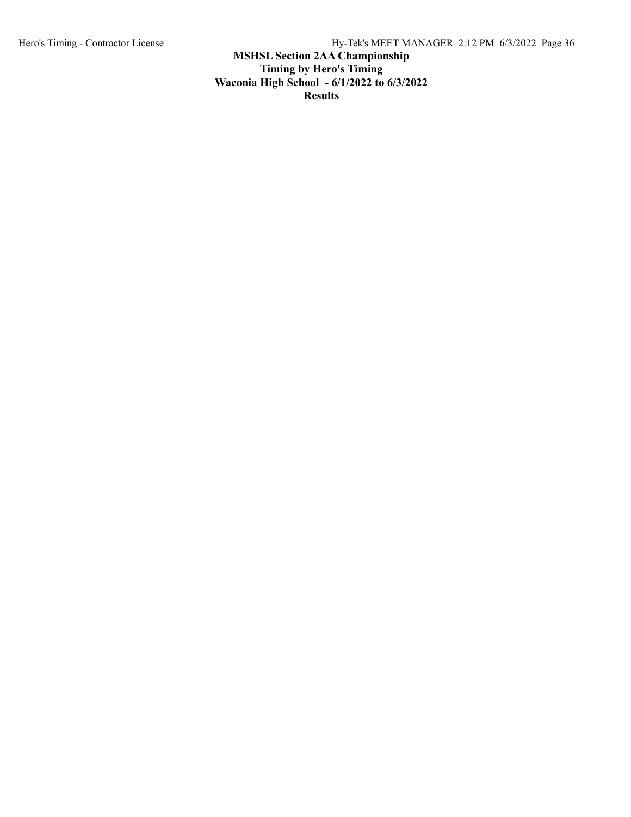MSHSL Section 2AA Championship Timing by Hero's Timing Waconia High School - 6/1/2022 to 6/3/2022 Results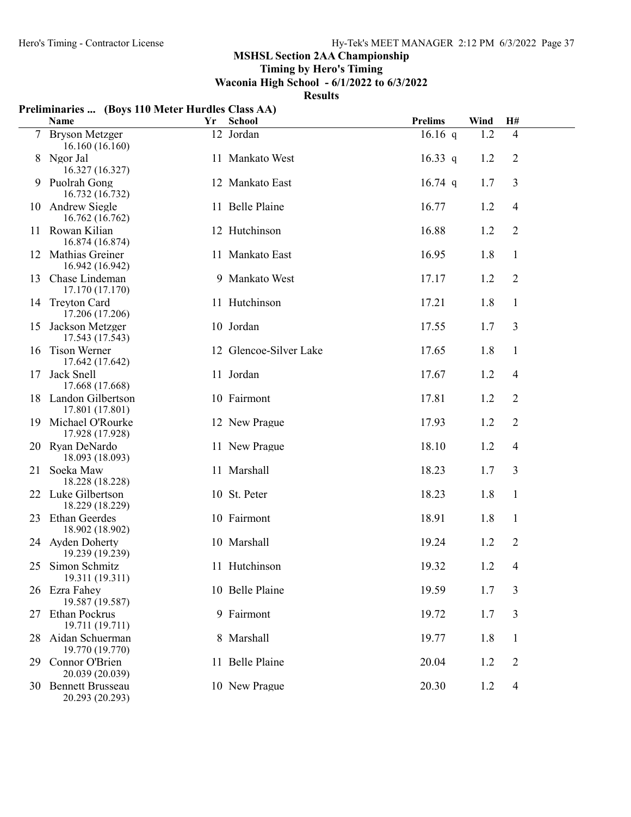Timing by Hero's Timing

Waconia High School - 6/1/2022 to 6/3/2022

Results

| Preliminaries  (Boys 110 Meter Hurdles Class AA) |  |  |  |  |  |  |
|--------------------------------------------------|--|--|--|--|--|--|
|--------------------------------------------------|--|--|--|--|--|--|

|    | Name                                       | Yr School              | <b>Prelims</b> | Wind | H#                       |  |
|----|--------------------------------------------|------------------------|----------------|------|--------------------------|--|
|    | 7 Bryson Metzger<br>16.160(16.160)         | 12 Jordan              | 16.16 $q$      | 1.2  | $\overline{\mathcal{A}}$ |  |
|    | 8 Ngor Jal<br>16.327 (16.327)              | 11 Mankato West        | 16.33 q        | 1.2  | $\overline{2}$           |  |
| 9  | Puolrah Gong<br>16.732 (16.732)            | 12 Mankato East        | $16.74$ q      | 1.7  | 3                        |  |
|    | 10 Andrew Siegle<br>16.762 (16.762)        | 11 Belle Plaine        | 16.77          | 1.2  | $\overline{4}$           |  |
| 11 | Rowan Kilian<br>16.874 (16.874)            | 12 Hutchinson          | 16.88          | 1.2  | $\overline{2}$           |  |
|    | 12 Mathias Greiner<br>16.942 (16.942)      | 11 Mankato East        | 16.95          | 1.8  | 1                        |  |
|    | 13 Chase Lindeman<br>17.170 (17.170)       | 9 Mankato West         | 17.17          | 1.2  | $\overline{2}$           |  |
|    | 14 Treyton Card<br>17.206 (17.206)         | 11 Hutchinson          | 17.21          | 1.8  | 1                        |  |
| 15 | Jackson Metzger<br>17.543 (17.543)         | 10 Jordan              | 17.55          | 1.7  | 3                        |  |
| 16 | <b>Tison Werner</b><br>17.642 (17.642)     | 12 Glencoe-Silver Lake | 17.65          | 1.8  | $\mathbf{1}$             |  |
| 17 | Jack Snell<br>17.668 (17.668)              | 11 Jordan              | 17.67          | 1.2  | $\overline{4}$           |  |
|    | 18 Landon Gilbertson<br>17.801 (17.801)    | 10 Fairmont            | 17.81          | 1.2  | $\overline{2}$           |  |
|    | 19 Michael O'Rourke<br>17.928 (17.928)     | 12 New Prague          | 17.93          | 1.2  | $\overline{2}$           |  |
|    | 20 Ryan DeNardo<br>18.093 (18.093)         | 11 New Prague          | 18.10          | 1.2  | $\overline{4}$           |  |
| 21 | Soeka Maw<br>18.228 (18.228)               | 11 Marshall            | 18.23          | 1.7  | 3                        |  |
| 22 | Luke Gilbertson<br>18.229 (18.229)         | 10 St. Peter           | 18.23          | 1.8  | $\mathbf{1}$             |  |
| 23 | <b>Ethan Geerdes</b><br>18.902 (18.902)    | 10 Fairmont            | 18.91          | 1.8  | $\mathbf{1}$             |  |
|    | 24 Ayden Doherty<br>19.239 (19.239)        | 10 Marshall            | 19.24          | 1.2  | $\overline{2}$           |  |
| 25 | Simon Schmitz<br>19.311 (19.311)           | 11 Hutchinson          | 19.32          | 1.2  | $\overline{\mathcal{A}}$ |  |
|    | 26 Ezra Fahey<br>19.587 (19.587)           | 10 Belle Plaine        | 19.59          | 1.7  | 3                        |  |
| 27 | Ethan Pockrus<br>19.711 (19.711)           | 9 Fairmont             | 19.72          | 1.7  | 3                        |  |
| 28 | Aidan Schuerman<br>19.770 (19.770)         | 8 Marshall             | 19.77          | 1.8  | $\mathbf{1}$             |  |
| 29 | Connor O'Brien<br>20.039 (20.039)          | 11 Belle Plaine        | 20.04          | 1.2  | $\overline{2}$           |  |
| 30 | <b>Bennett Brusseau</b><br>20.293 (20.293) | 10 New Prague          | 20.30          | 1.2  | $\overline{4}$           |  |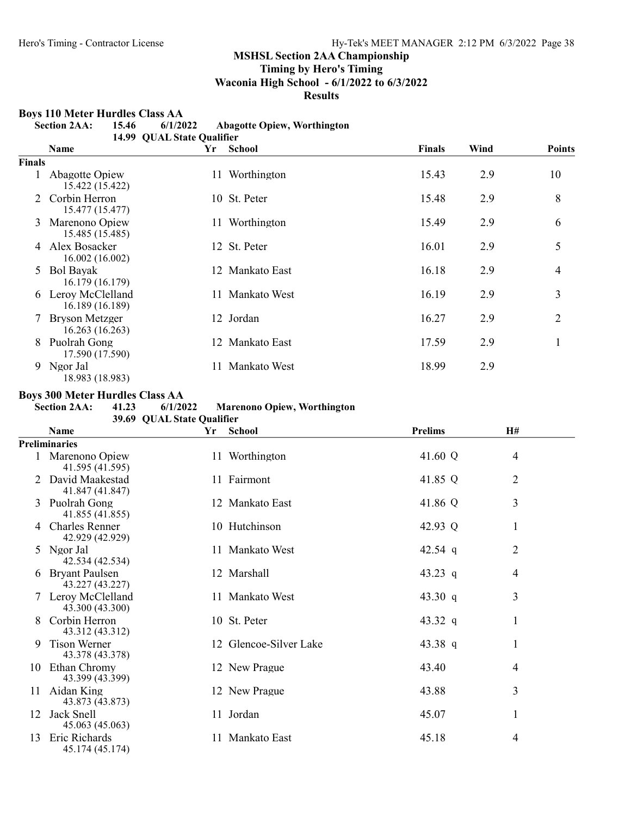Timing by Hero's Timing

Waconia High School - 6/1/2022 to 6/3/2022

Results

Boys 110 Meter Hurdles Class AA

| <b>Section 2AA:</b> | 15.46 | 6/1/2022 | <b>Abagotte Opiew, Worthington</b> |
|---------------------|-------|----------|------------------------------------|
|                     |       |          |                                    |

14.99 QUAL State Qualifier

|        | Name                                    | Yr | <b>School</b>   | <b>Finals</b> | Wind | <b>Points</b>  |
|--------|-----------------------------------------|----|-----------------|---------------|------|----------------|
| Finals |                                         |    |                 |               |      |                |
|        | Abagotte Opiew<br>15.422 (15.422)       |    | 11 Worthington  | 15.43         | 2.9  | 10             |
| 2      | Corbin Herron<br>15.477 (15.477)        |    | 10 St. Peter    | 15.48         | 2.9  | 8              |
| 3      | Marenono Opiew<br>15.485 (15.485)       | 11 | Worthington     | 15.49         | 2.9  | 6              |
| 4      | Alex Bosacker<br>16.002(16.002)         |    | 12 St. Peter    | 16.01         | 2.9  | 5              |
| 5      | <b>Bol Bayak</b><br>16.179 (16.179)     |    | 12 Mankato East | 16.18         | 2.9  | 4              |
| 6      | Leroy McClelland<br>16.189 (16.189)     | 11 | Mankato West    | 16.19         | 2.9  | 3              |
|        | <b>Bryson Metzger</b><br>16.263(16.263) |    | 12 Jordan       | 16.27         | 2.9  | $\overline{2}$ |
| 8      | Puolrah Gong<br>17.590 (17.590)         | 12 | Mankato East    | 17.59         | 2.9  | T              |
| 9      | Ngor Jal<br>18.983 (18.983)             | 11 | Mankato West    | 18.99         | 2.9  |                |

# Boys 300 Meter Hurdles Class AA<br>Section 2AA: 41.23 6/1/20

| <b>Section 2AA:</b> | 41.23 | 6/1/2022 | <b>Marenono Opiew, Worthington</b> |
|---------------------|-------|----------|------------------------------------|
|                     |       |          |                                    |

39.69 QUAL State Qualifier

|    | <b>Name</b>                              | Yr | <b>School</b>          | <b>Prelims</b> | H#             |  |
|----|------------------------------------------|----|------------------------|----------------|----------------|--|
|    | <b>Preliminaries</b>                     |    |                        |                |                |  |
|    | Marenono Opiew<br>41.595 (41.595)        |    | 11 Worthington         | 41.60 Q        | 4              |  |
| 2  | David Maakestad<br>41.847 (41.847)       |    | 11 Fairmont            | 41.85 Q        | 2              |  |
| 3  | Puolrah Gong<br>41.855 (41.855)          |    | 12 Mankato East        | 41.86 Q        | 3              |  |
| 4  | <b>Charles Renner</b><br>42.929 (42.929) |    | 10 Hutchinson          | 42.93 Q        | 1              |  |
| 5. | Ngor Jal<br>42.534 (42.534)              |    | 11 Mankato West        | 42.54 q        | $\overline{2}$ |  |
| 6  | <b>Bryant Paulsen</b><br>43.227 (43.227) |    | 12 Marshall            | 43.23 q        | 4              |  |
|    | Leroy McClelland<br>43.300 (43.300)      |    | 11 Mankato West        | 43.30 q        | 3              |  |
| 8  | Corbin Herron<br>43.312 (43.312)         |    | 10 St. Peter           | 43.32 q        | $\mathbf{1}$   |  |
| 9  | <b>Tison Werner</b><br>43.378 (43.378)   |    | 12 Glencoe-Silver Lake | 43.38 q        | $\mathbf{1}$   |  |
| 10 | Ethan Chromy<br>43.399 (43.399)          |    | 12 New Prague          | 43.40          | 4              |  |
| 11 | Aidan King<br>43.873 (43.873)            |    | 12 New Prague          | 43.88          | 3              |  |
| 12 | Jack Snell<br>45.063 (45.063)            |    | 11 Jordan              | 45.07          | 1              |  |
| 13 | Eric Richards<br>45.174 (45.174)         |    | 11 Mankato East        | 45.18          | 4              |  |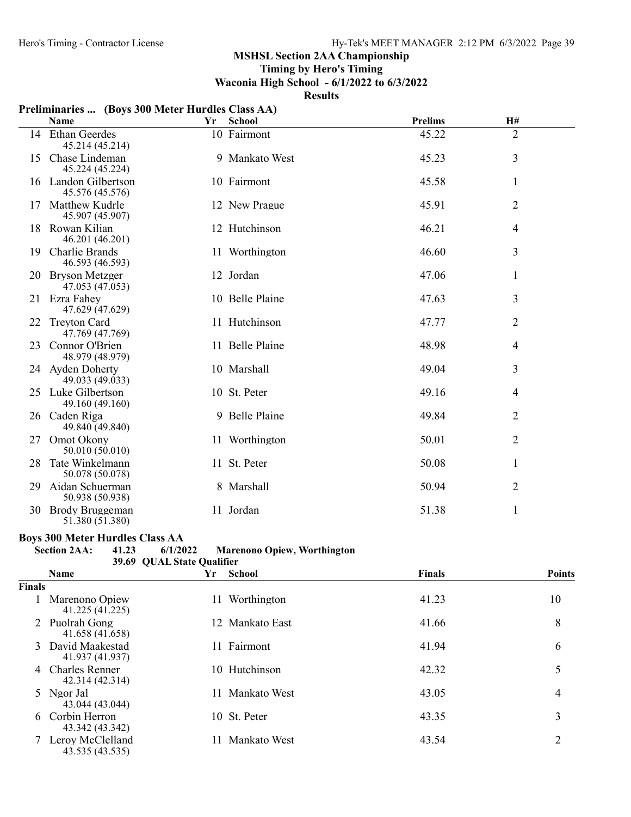Timing by Hero's Timing

Waconia High School - 6/1/2022 to 6/3/2022

Results

#### Preliminaries ... (Boys 300 Meter Hurdles Class AA)

|     | <b>Name</b>                              | Yr | <b>School</b>   | <b>Prelims</b> | H#             |  |
|-----|------------------------------------------|----|-----------------|----------------|----------------|--|
| 14  | <b>Ethan Geerdes</b><br>45.214 (45.214)  |    | 10 Fairmont     | 45.22          | $\overline{2}$ |  |
| 15  | Chase Lindeman<br>45.224 (45.224)        |    | 9 Mankato West  | 45.23          | 3              |  |
|     | 16 Landon Gilbertson<br>45.576 (45.576)  |    | 10 Fairmont     | 45.58          | $\mathbf{1}$   |  |
| 17  | Matthew Kudrle<br>45.907 (45.907)        |    | 12 New Prague   | 45.91          | $\overline{2}$ |  |
| 18. | Rowan Kilian<br>46.201 (46.201)          |    | 12 Hutchinson   | 46.21          | $\overline{4}$ |  |
| 19  | Charlie Brands<br>46.593 (46.593)        |    | 11 Worthington  | 46.60          | 3              |  |
| 20  | <b>Bryson Metzger</b><br>47.053 (47.053) |    | 12 Jordan       | 47.06          | $\mathbf{1}$   |  |
| 21  | Ezra Fahey<br>47.629 (47.629)            |    | 10 Belle Plaine | 47.63          | 3              |  |
| 22  | <b>Treyton Card</b><br>47.769 (47.769)   |    | 11 Hutchinson   | 47.77          | $\overline{2}$ |  |
| 23  | Connor O'Brien<br>48.979 (48.979)        |    | 11 Belle Plaine | 48.98          | $\overline{4}$ |  |
|     | 24 Ayden Doherty<br>49.033 (49.033)      |    | 10 Marshall     | 49.04          | 3              |  |
| 25  | Luke Gilbertson<br>49.160 (49.160)       |    | 10 St. Peter    | 49.16          | 4              |  |
|     | 26 Caden Riga<br>49.840 (49.840)         |    | 9 Belle Plaine  | 49.84          | $\overline{2}$ |  |
| 27  | Omot Okony<br>50.010 (50.010)            |    | 11 Worthington  | 50.01          | 2              |  |
| 28  | Tate Winkelmann<br>50.078 (50.078)       |    | 11 St. Peter    | 50.08          | 1              |  |
| 29  | Aidan Schuerman<br>50.938 (50.938)       |    | 8 Marshall      | 50.94          | $\overline{2}$ |  |
|     | 30 Brody Bruggeman                       |    | 11 Jordan       | 51.38          | 1              |  |

51.380 (51.380)

#### Boys 300 Meter Hurdles Class AA<br>Section 2AA: 41.23 6/1/2022 Marenono Opiew, Worthington

39.69 QUAL State Qualifier

|               | Name                                  | Yr | School          | <b>Finals</b> | <b>Points</b> |
|---------------|---------------------------------------|----|-----------------|---------------|---------------|
| <b>Finals</b> |                                       |    |                 |               |               |
|               | Marenono Opiew<br>41.225 (41.225)     | 11 | Worthington     | 41.23         | 10            |
|               | 2 Puolrah Gong<br>41.658 (41.658)     |    | 12 Mankato East | 41.66         | 8             |
|               | 3 David Maakestad<br>41.937 (41.937)  |    | 11 Fairmont     | 41.94         | 6             |
|               | 4 Charles Renner<br>42.314 (42.314)   |    | 10 Hutchinson   | 42.32         | 5             |
|               | 5 Ngor Jal<br>43.044 (43.044)         |    | 11 Mankato West | 43.05         | 4             |
|               | 6 Corbin Herron<br>43.342 (43.342)    |    | 10 St. Peter    | 43.35         | 3             |
|               | 7 Leroy McClelland<br>43.535 (43.535) |    | Mankato West    | 43.54         | 2             |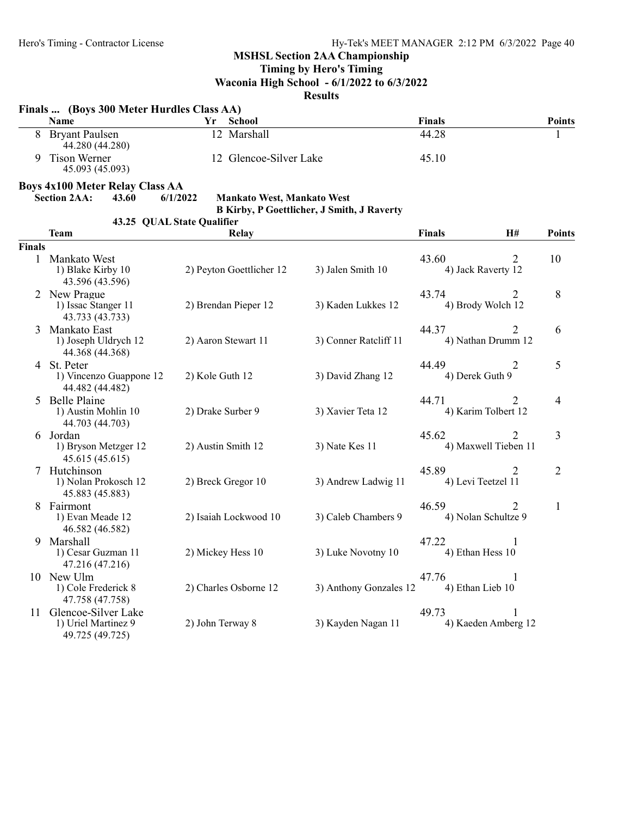Timing by Hero's Timing

Waconia High School - 6/1/2022 to 6/3/2022

Results

# Finals ... (Boys 300 Meter Hurdles Class AA)

| <b>Name</b>                            | Vr<br>- School         | <b>Finals</b> | <b>Points</b> |
|----------------------------------------|------------------------|---------------|---------------|
| Brvant Paulsen<br>8<br>44.280 (44.280) | 12 Marshall            | 44.28         |               |
| Tison Werner<br>45.093 (45.093)        | 12 Glencoe-Silver Lake | 45.10         |               |

Boys 4x100 Meter Relay Class AA<br>Section 2AA: 43.60 6/1/2022

#### **Mankato West, Mankato West**<br>R.Kirby, B.Coottligher, J.Smith  $B \text{ Coottliabor, I Smitb, I Dayorth}$

| B KIFDY, P GOETHICHER, J SMITH, J KAVETTY |  |
|-------------------------------------------|--|
| 43.25 OUAL State Qualifier                |  |

|               | <b>Team</b>                                                   | <b>Relay</b>             |                        | <b>Finals</b>                 | H# | <b>Points</b>  |
|---------------|---------------------------------------------------------------|--------------------------|------------------------|-------------------------------|----|----------------|
| <b>Finals</b> |                                                               |                          |                        |                               |    |                |
| 1             | Mankato West<br>1) Blake Kirby 10<br>43.596 (43.596)          | 2) Peyton Goettlicher 12 | 3) Jalen Smith 10      | 43.60<br>4) Jack Raverty 12   | 2  | 10             |
| $\mathcal{L}$ | New Prague<br>1) Issac Stanger 11<br>43.733 (43.733)          | 2) Brendan Pieper 12     | 3) Kaden Lukkes 12     | 43.74<br>4) Brody Wolch 12    | 2  | 8              |
| 3             | Mankato East<br>1) Joseph Uldrych 12<br>44.368 (44.368)       | 2) Aaron Stewart 11      | 3) Conner Ratcliff 11  | 44.37<br>4) Nathan Drumm 12   | 2  | 6              |
| 4             | St. Peter<br>1) Vincenzo Guappone 12<br>44.482 (44.482)       | 2) Kole Guth 12          | 3) David Zhang 12      | 44.49<br>4) Derek Guth 9      | 2  | 5              |
| 5             | <b>Belle Plaine</b><br>1) Austin Mohlin 10<br>44.703 (44.703) | 2) Drake Surber 9        | 3) Xavier Teta 12      | 44.71<br>4) Karim Tolbert 12  | 2  | 4              |
| 6             | Jordan<br>1) Bryson Metzger 12<br>45.615 (45.615)             | 2) Austin Smith 12       | 3) Nate Kes 11         | 45.62<br>4) Maxwell Tieben 11 | 2  | 3              |
|               | Hutchinson<br>1) Nolan Prokosch 12<br>45.883 (45.883)         | 2) Breck Gregor 10       | 3) Andrew Ladwig 11    | 45.89<br>4) Levi Teetzel 11   | 2  | $\overline{2}$ |
| 8             | Fairmont<br>1) Evan Meade 12<br>46.582 (46.582)               | 2) Isaiah Lockwood 10    | 3) Caleb Chambers 9    | 46.59<br>4) Nolan Schultze 9  | 2  | 1              |
| 9             | Marshall<br>1) Cesar Guzman 11<br>47.216 (47.216)             | 2) Mickey Hess 10        | 3) Luke Novotny 10     | 47.22<br>4) Ethan Hess 10     |    |                |
| 10            | New Ulm<br>1) Cole Frederick 8<br>47.758 (47.758)             | 2) Charles Osborne 12    | 3) Anthony Gonzales 12 | 47.76<br>4) Ethan Lieb 10     |    |                |
| 11            | Glencoe-Silver Lake<br>1) Uriel Martinez 9<br>49.725 (49.725) | 2) John Terway 8         | 3) Kayden Nagan 11     | 49.73<br>4) Kaeden Amberg 12  | 1  |                |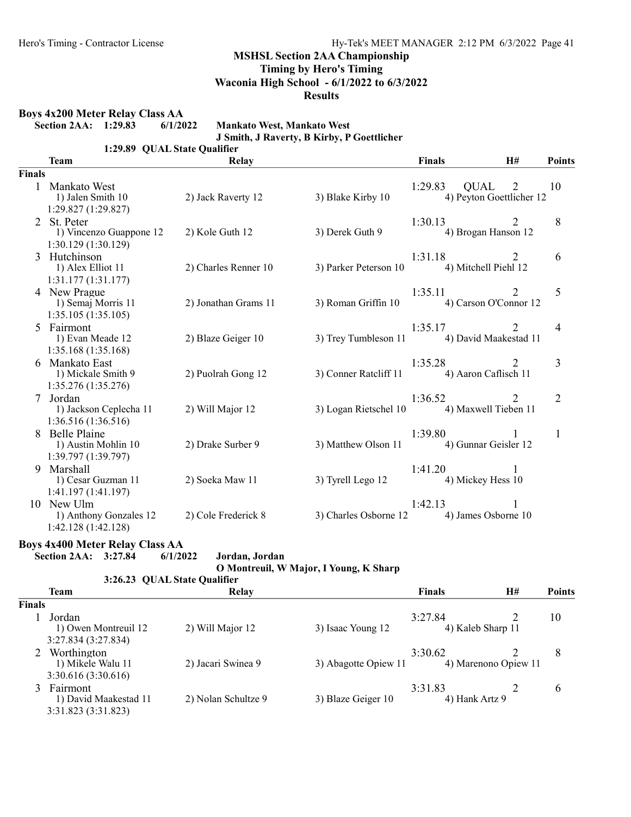Timing by Hero's Timing

Waconia High School - 6/1/2022 to 6/3/2022

**Results** 

**Boys 4x200 Meter Relay Class AA**<br>Section 2AA: 1:29.83 6/1/2022

Mankato West, Mankato West

J Smith, J Raverty, B Kirby, P Goettlicher

1:29.89 QUAL State Qualifier

|               | <b>Team</b>                                                       | Relay                |                       | <b>Finals</b>                                      | H# | <b>Points</b>  |
|---------------|-------------------------------------------------------------------|----------------------|-----------------------|----------------------------------------------------|----|----------------|
| <b>Finals</b> |                                                                   |                      |                       |                                                    |    |                |
|               | Mankato West<br>1) Jalen Smith 10<br>1:29.827 (1:29.827)          | 2) Jack Raverty 12   | 3) Blake Kirby 10     | 1:29.83<br><b>OUAL</b><br>4) Peyton Goettlicher 12 | 2  | 10             |
| $\mathcal{L}$ | St. Peter<br>1) Vincenzo Guappone 12<br>1:30.129 (1:30.129)       | 2) Kole Guth 12      | 3) Derek Guth 9       | 1:30.13<br>4) Brogan Hanson 12                     | 2  | 8              |
|               | Hutchinson<br>1) Alex Elliot 11<br>1:31.177(1:31.177)             | 2) Charles Renner 10 | 3) Parker Peterson 10 | 1:31.18<br>4) Mitchell Piehl 12                    | 2  | 6              |
|               | 4 New Prague<br>1) Semaj Morris 11<br>1:35.105 (1:35.105)         | 2) Jonathan Grams 11 | 3) Roman Griffin 10   | 1:35.11<br>4) Carson O'Connor 12                   | 2  | 5              |
| 5             | Fairmont<br>1) Evan Meade 12<br>1:35.168 (1:35.168)               | 2) Blaze Geiger 10   | 3) Trey Tumbleson 11  | 1:35.17<br>4) David Maakestad 11                   | 2  | 4              |
| 6             | Mankato East<br>1) Mickale Smith 9<br>1:35.276 (1:35.276)         | 2) Puolrah Gong 12   | 3) Conner Ratcliff 11 | 1:35.28<br>4) Aaron Caflisch 11                    |    | 3              |
| 7             | Jordan<br>1) Jackson Ceplecha 11<br>1:36.516 (1:36.516)           | 2) Will Major 12     | 3) Logan Rietschel 10 | 1:36.52<br>4) Maxwell Tieben 11                    |    | $\overline{2}$ |
| 8             | <b>Belle Plaine</b><br>1) Austin Mohlin 10<br>1:39.797 (1:39.797) | 2) Drake Surber 9    | 3) Matthew Olson 11   | 1:39.80<br>4) Gunnar Geisler 12                    |    | 1              |
| 9             | Marshall<br>1) Cesar Guzman 11<br>1:41.197 (1:41.197)             | 2) Soeka Maw 11      | 3) Tyrell Lego 12     | 1:41.20<br>4) Mickey Hess 10                       |    |                |
|               | 10 New Ulm<br>1) Anthony Gonzales 12<br>1:42.128 (1:42.128)       | 2) Cole Frederick 8  | 3) Charles Osborne 12 | 1:42.13<br>4) James Osborne 10                     |    |                |

#### Boys 4x400 Meter Relay Class AA

Section 2AA: 3:27.84 6/1/2022 Jordan, Jordan

O Montreuil, W Major, I Young, K Sharp

|        | 3:26.23 QUAL State Qualifier |
|--------|------------------------------|
| $\sim$ | Dala                         |

|        | Team                  | Relay               |                      | <b>Finals</b>     | H#                   | <b>Points</b> |
|--------|-----------------------|---------------------|----------------------|-------------------|----------------------|---------------|
| Finals |                       |                     |                      |                   |                      |               |
|        | Jordan                |                     |                      | 3:27.84           |                      | 10            |
|        | 1) Owen Montreuil 12  | 2) Will Major 12    | 3) Isaac Young 12    | 4) Kaleb Sharp 11 |                      |               |
|        | 3:27.834 (3:27.834)   |                     |                      |                   |                      |               |
|        | Worthington           |                     |                      | 3:30.62           |                      | 8             |
|        | 1) Mikele Walu 11     | 2) Jacari Swinea 9  | 3) Abagotte Opiew 11 |                   | 4) Marenono Opiew 11 |               |
|        | 3:30.616 (3:30.616)   |                     |                      |                   |                      |               |
|        | Fairmont              |                     |                      | 3:31.83           |                      | 6             |
|        | 1) David Maakestad 11 | 2) Nolan Schultze 9 | 3) Blaze Geiger 10   | 4) Hank Artz 9    |                      |               |
|        | 3:31.823 (3:31.823)   |                     |                      |                   |                      |               |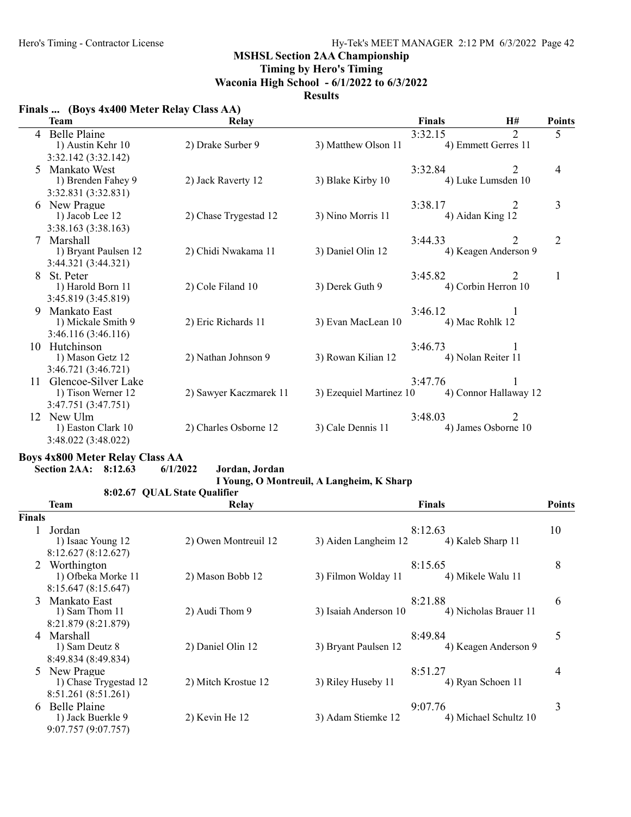Timing by Hero's Timing

#### Waconia High School - 6/1/2022 to 6/3/2022

Results

### Finals ... (Boys 4x400 Meter Relay Class AA)

|     | <b>Team</b>                                                                  | <b>Relay</b>           |                         | <b>Finals</b>                 | <b>H#</b>                             | <b>Points</b>  |
|-----|------------------------------------------------------------------------------|------------------------|-------------------------|-------------------------------|---------------------------------------|----------------|
| 4   | <b>Belle Plaine</b><br>1) Austin Kehr 10                                     | 2) Drake Surber 9      | 3) Matthew Olson 11     | 3:32.15                       | $\overline{2}$<br>4) Emmett Gerres 11 | 5              |
| 5   | 3:32.142 (3:32.142)<br>Mankato West<br>1) Brenden Fahey 9                    | 2) Jack Raverty 12     | 3) Blake Kirby 10       | 3:32.84                       | 2<br>4) Luke Lumsden 10               | 4              |
| 6   | 3:32.831 (3:32.831)<br>New Prague<br>1) Jacob Lee 12                         | 2) Chase Trygestad 12  | 3) Nino Morris 11       | 3:38.17<br>4) Aidan King 12   | 2                                     | 3              |
| 7   | 3:38.163 (3:38.163)<br>Marshall<br>1) Bryant Paulsen 12                      | 2) Chidi Nwakama 11    | 3) Daniel Olin 12       | 3:44.33                       | 2<br>4) Keagen Anderson 9             | $\overline{2}$ |
| 8   | 3:44.321 (3:44.321)<br>St. Peter<br>1) Harold Born 11<br>3:45.819 (3:45.819) | 2) Cole Filand 10      | 3) Derek Guth 9         | 3:45.82                       | 2<br>4) Corbin Herron 10              | 1              |
| 9   | Mankato East<br>1) Mickale Smith 9<br>3:46.116 (3:46.116)                    | 2) Eric Richards 11    | 3) Evan MacLean 10      | 3:46.12<br>4) Mac Rohlk 12    |                                       |                |
| 10  | Hutchinson<br>1) Mason Getz 12<br>3:46.721 (3:46.721)                        | 2) Nathan Johnson 9    | 3) Rowan Kilian 12      | 3:46.73<br>4) Nolan Reiter 11 |                                       |                |
| 11  | Glencoe-Silver Lake<br>1) Tison Werner 12<br>3:47.751 (3:47.751)             | 2) Sawyer Kaczmarek 11 | 3) Ezequiel Martinez 10 | 3:47.76                       | 4) Connor Hallaway 12                 |                |
| 12. | New Ulm<br>1) Easton Clark 10<br>3:48.022 (3:48.022)                         | 2) Charles Osborne 12  | 3) Cale Dennis 11       | 3:48.03                       | 2<br>4) James Osborne 10              |                |

#### Boys 4x800 Meter Relay Class AA

Section 2AA: 8:12.63 6/1/2022 Jordan, Jordan

# I Young, O Montreuil, A Langheim, K Sharp

|               | 1 Toung, O Montream, A Langueim, K Snarp |                      |                       |                       |               |  |  |  |
|---------------|------------------------------------------|----------------------|-----------------------|-----------------------|---------------|--|--|--|
|               | 8:02.67 QUAL State Qualifier             |                      |                       |                       |               |  |  |  |
|               | <b>Team</b>                              | Relay                |                       | <b>Finals</b>         | <b>Points</b> |  |  |  |
| <b>Finals</b> |                                          |                      |                       |                       |               |  |  |  |
|               | Jordan                                   |                      |                       | 8:12.63               | 10            |  |  |  |
|               | 1) Isaac Young 12                        | 2) Owen Montreuil 12 | 3) Aiden Langheim 12  | 4) Kaleb Sharp 11     |               |  |  |  |
|               | 8:12.627(8:12.627)                       |                      |                       |                       |               |  |  |  |
|               | Worthington                              |                      |                       | 8:15.65               | 8             |  |  |  |
|               | 1) Ofbeka Morke 11                       | 2) Mason Bobb 12     | 3) Filmon Wolday 11   | 4) Mikele Walu 11     |               |  |  |  |
|               | 8:15.647(8:15.647)                       |                      |                       |                       |               |  |  |  |
| 3             | Mankato East                             |                      |                       | 8:21.88               | 6             |  |  |  |
|               | 1) Sam Thom 11                           | 2) Audi Thom 9       | 3) Isaiah Anderson 10 | 4) Nicholas Brauer 11 |               |  |  |  |
|               | 8:21.879 (8:21.879)                      |                      |                       |                       |               |  |  |  |
| 4             | Marshall                                 |                      |                       | 8:49.84               | 5             |  |  |  |
|               | 1) Sam Deutz 8                           | 2) Daniel Olin 12    | 3) Bryant Paulsen 12  | 4) Keagen Anderson 9  |               |  |  |  |
|               | 8:49.834 (8:49.834)                      |                      |                       |                       |               |  |  |  |
| 5.            | New Prague                               |                      |                       | 8:51.27               | 4             |  |  |  |
|               | 1) Chase Trygestad 12                    | 2) Mitch Krostue 12  | 3) Riley Huseby 11    | 4) Ryan Schoen 11     |               |  |  |  |
|               | 8:51.261 (8:51.261)                      |                      |                       |                       |               |  |  |  |
| 6             | <b>Belle Plaine</b>                      |                      |                       | 9:07.76               | 3             |  |  |  |
|               | 1) Jack Buerkle 9                        | 2) Kevin He 12       | 3) Adam Stiemke 12    | 4) Michael Schultz 10 |               |  |  |  |
|               | 9:07.757 (9:07.757)                      |                      |                       |                       |               |  |  |  |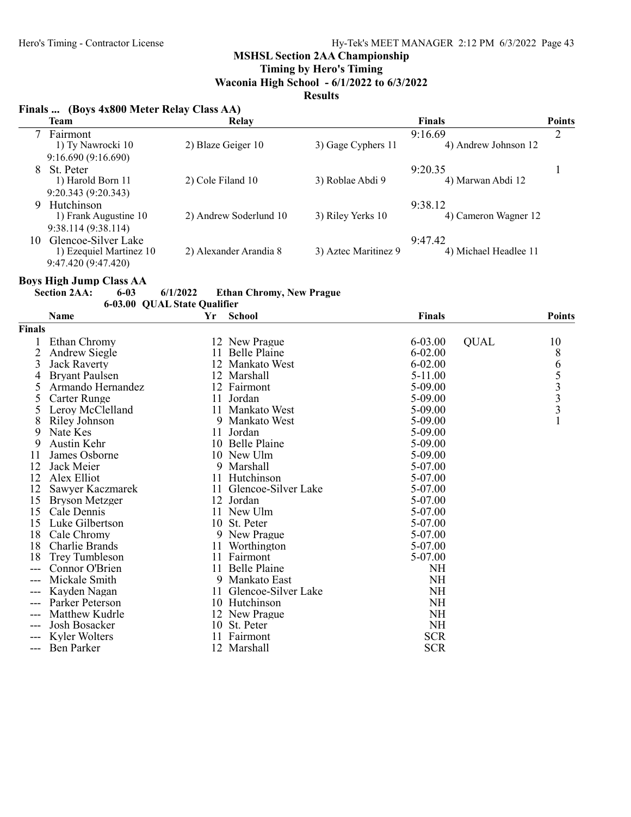Timing by Hero's Timing

Waconia High School - 6/1/2022 to 6/3/2022

Results

# Finals ... (Boys 4x800 Meter Relay Class AA)

|    | <b>Team</b>                                                                 | Relay                  |                      | <b>Finals</b>                    | <b>Points</b> |
|----|-----------------------------------------------------------------------------|------------------------|----------------------|----------------------------------|---------------|
|    | Fairmont<br>1) Ty Nawrocki 10                                               | 2) Blaze Geiger 10     | 3) Gage Cyphers 11   | 9:16.69<br>4) Andrew Johnson 12  |               |
| 8  | 9:16.690(9:16.690)<br>St. Peter<br>1) Harold Born 11<br>9:20.343 (9:20.343) | 2) Cole Filand 10      | 3) Roblae Abdi 9     | 9:20.35<br>4) Marwan Abdi 12     |               |
| 9  | Hutchinson<br>1) Frank Augustine 10<br>9:38.114(9:38.114)                   | 2) Andrew Soderlund 10 | 3) Riley Yerks 10    | 9:38.12<br>4) Cameron Wagner 12  |               |
| 10 | Glencoe-Silver Lake<br>1) Ezequiel Martinez 10<br>9:47.420 (9:47.420)       | 2) Alexander Arandia 8 | 3) Aztec Maritinez 9 | 9:47.42<br>4) Michael Headlee 11 |               |

# Boys High Jump Class AA

| <b>Section 2AA:</b> | 6-03 | 6/1/2022 | <b>Ethan Chromy, New Prague</b> |
|---------------------|------|----------|---------------------------------|

6-03.00 QUAL State Qualifier Name  $\qquad \qquad \text{Yr} \qquad \text{School} \qquad \qquad \text{Finals} \qquad \qquad \text{Points}$ Finals

|       | Ethan Chromy          |     | 12 New Prague       | $6 - 03.00$ | <b>QUAL</b> | 10     |
|-------|-----------------------|-----|---------------------|-------------|-------------|--------|
|       | Andrew Siegle         |     | 11 Belle Plaine     | $6 - 02.00$ |             | 8      |
| 3     | <b>Jack Raverty</b>   |     | 12 Mankato West     | $6 - 02.00$ |             |        |
| 4     | <b>Bryant Paulsen</b> |     | 12 Marshall         | 5-11.00     |             |        |
| 5     | Armando Hernandez     |     | 12 Fairmont         | 5-09.00     |             |        |
| 5     | Carter Runge          | 11  | Jordan              | 5-09.00     |             |        |
| 5     | Leroy McClelland      |     | 11 Mankato West     | 5-09.00     |             | 653331 |
| 8     | Riley Johnson         |     | 9 Mankato West      | 5-09.00     |             |        |
| 9     | Nate Kes              | 11. | Jordan              | 5-09.00     |             |        |
| 9     | Austin Kehr           |     | 10 Belle Plaine     | 5-09.00     |             |        |
| 11    | James Osborne         |     | 10 New Ulm          | 5-09.00     |             |        |
|       | Jack Meier            |     | 9 Marshall          | 5-07.00     |             |        |
| 12    | Alex Elliot           |     | 11 Hutchinson       | 5-07.00     |             |        |
| 12    | Sawyer Kaczmarek      | 11  | Glencoe-Silver Lake | 5-07.00     |             |        |
| 15    | <b>Bryson Metzger</b> |     | 12 Jordan           | 5-07.00     |             |        |
| 15    | Cale Dennis           |     | 11 New Ulm          | 5-07.00     |             |        |
| 15    | Luke Gilbertson       |     | 10 St. Peter        | 5-07.00     |             |        |
| 18    | Cale Chromy           |     | 9 New Prague        | 5-07.00     |             |        |
| 18    | Charlie Brands        |     | 11 Worthington      | 5-07.00     |             |        |
| 18    | Trey Tumbleson        | 11  | Fairmont            | 5-07.00     |             |        |
|       | Connor O'Brien        |     | 11 Belle Plaine     | <b>NH</b>   |             |        |
|       | Mickale Smith         |     | 9 Mankato East      | <b>NH</b>   |             |        |
|       | Kayden Nagan          | 11  | Glencoe-Silver Lake | NH          |             |        |
|       | Parker Peterson       |     | 10 Hutchinson       | <b>NH</b>   |             |        |
|       | Matthew Kudrle        |     | 12 New Prague       | NH          |             |        |
|       | Josh Bosacker         |     | 10 St. Peter        | <b>NH</b>   |             |        |
|       | Kyler Wolters         |     | 11 Fairmont         | <b>SCR</b>  |             |        |
| $---$ | Ben Parker            |     | 12 Marshall         | <b>SCR</b>  |             |        |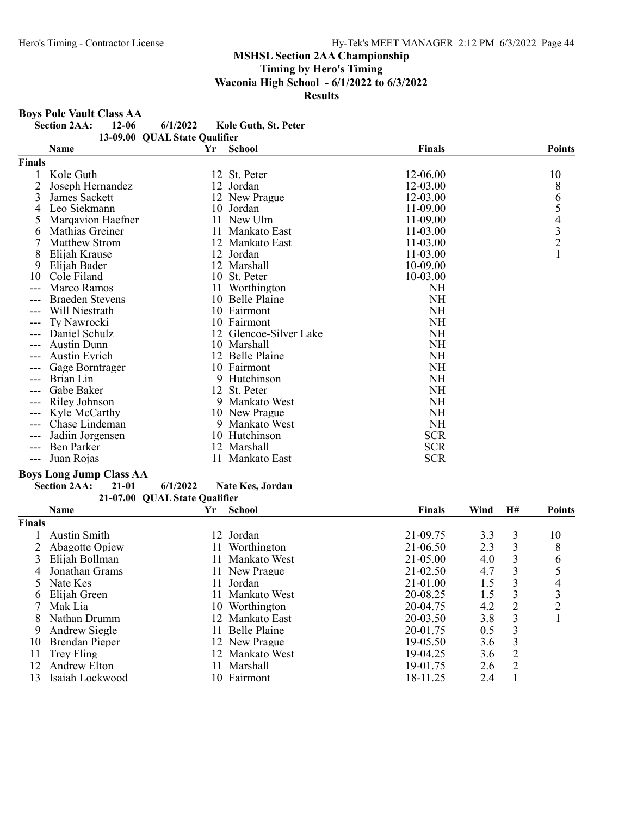Timing by Hero's Timing

Waconia High School - 6/1/2022 to 6/3/2022

Results

Boys Pole Vault Class AA

| <b>Section 2AA:</b> | 12-06 | 6/1/2022 | Kole Guth, St. Peter |
|---------------------|-------|----------|----------------------|
|                     |       |          |                      |

13-09.00 QUAL State Qualifier

|                | Name                                         | Yr | <b>School</b>          | <b>Finals</b> |      |                         | <b>Points</b>  |
|----------------|----------------------------------------------|----|------------------------|---------------|------|-------------------------|----------------|
| Finals         |                                              |    |                        |               |      |                         |                |
|                | Kole Guth                                    |    | 12 St. Peter           | 12-06.00      |      |                         | 10             |
| $\overline{2}$ | Joseph Hernandez                             |    | 12 Jordan              | 12-03.00      |      |                         | 8              |
| 3              | James Sackett                                |    | 12 New Prague          | 12-03.00      |      |                         | 6              |
| 4              | Leo Siekmann                                 |    | 10 Jordan              | 11-09.00      |      |                         |                |
| 5              | Marqavion Haefner                            |    | 11 New Ulm             | 11-09.00      |      |                         | 54321          |
| 6              | Mathias Greiner                              | 11 | Mankato East           | 11-03.00      |      |                         |                |
| 7              | Matthew Strom                                |    | 12 Mankato East        | 11-03.00      |      |                         |                |
| 8              | Elijah Krause                                |    | 12 Jordan              | 11-03.00      |      |                         |                |
| 9              | Elijah Bader                                 |    | 12 Marshall            | 10-09.00      |      |                         |                |
| 10             | Cole Filand                                  |    | 10 St. Peter           | 10-03.00      |      |                         |                |
| $---$          | Marco Ramos                                  |    | 11 Worthington         | <b>NH</b>     |      |                         |                |
| $---$          | <b>Braeden Stevens</b>                       |    | 10 Belle Plaine        | <b>NH</b>     |      |                         |                |
|                | Will Niestrath                               |    | 10 Fairmont            | <b>NH</b>     |      |                         |                |
|                | Ty Nawrocki                                  |    | 10 Fairmont            | <b>NH</b>     |      |                         |                |
|                | Daniel Schulz                                |    | 12 Glencoe-Silver Lake | <b>NH</b>     |      |                         |                |
|                | <b>Austin Dunn</b>                           |    | 10 Marshall            | <b>NH</b>     |      |                         |                |
| ---            | Austin Eyrich                                |    | 12 Belle Plaine        | <b>NH</b>     |      |                         |                |
|                | Gage Borntrager                              |    | 10 Fairmont            | <b>NH</b>     |      |                         |                |
|                | Brian Lin                                    |    | 9 Hutchinson           | <b>NH</b>     |      |                         |                |
|                | Gabe Baker                                   |    | 12 St. Peter           | <b>NH</b>     |      |                         |                |
|                | Riley Johnson                                |    | 9 Mankato West         | <b>NH</b>     |      |                         |                |
|                | Kyle McCarthy                                |    | 10 New Prague          | NH            |      |                         |                |
|                | Chase Lindeman                               |    | 9 Mankato West         | NH            |      |                         |                |
|                | Jadiin Jorgensen                             |    | 10 Hutchinson          | <b>SCR</b>    |      |                         |                |
|                | Ben Parker                                   |    | 12 Marshall            | <b>SCR</b>    |      |                         |                |
| $---$          | Juan Rojas                                   |    | 11 Mankato East        | <b>SCR</b>    |      |                         |                |
|                | <b>Boys Long Jump Class AA</b>               |    |                        |               |      |                         |                |
|                | <b>Section 2AA:</b><br>$21 - 01$<br>6/1/2022 |    | Nate Kes, Jordan       |               |      |                         |                |
|                | 21-07.00 QUAL State Qualifier                |    |                        |               |      |                         |                |
|                | <b>Name</b>                                  | Yr | <b>School</b>          | <b>Finals</b> | Wind | H#                      | <b>Points</b>  |
| <b>Finals</b>  |                                              |    |                        |               |      |                         |                |
| 1              | Austin Smith                                 |    | 12 Jordan              | 21-09.75      | 3.3  | 3                       | 10             |
| $\overline{2}$ | Abagotte Opiew                               |    | 11 Worthington         | 21-06.50      | 2.3  | $\mathfrak{Z}$          | 8              |
| 3              | Elijah Bollman                               |    | 11 Mankato West        | 21-05.00      | 4.0  | 3                       | 6              |
| 4              | Jonathan Grams                               |    | 11 New Prague          | 21-02.50      | 4.7  | $\overline{\mathbf{3}}$ | 5              |
| 5              | Nate Kes                                     |    | 11 Jordan              | 21-01.00      | 1.5  | $\overline{\mathbf{3}}$ | $\overline{4}$ |
| 6              | Elijah Green                                 |    | 11 Mankato West        | 20-08.25      | 1.5  | 3                       | 3              |
| 7              | Mak Lia                                      |    | 10 Worthington         | 20-04.75      | 4.2  | $\overline{c}$          | $\overline{2}$ |
| 8              | Nathan Drumm                                 |    | 12 Mankato East        | 20-03.50      | 3.8  | $\overline{\mathbf{3}}$ | $\mathbf{1}$   |
| 9              | Andrew Siegle                                |    | 11 Belle Plaine        | 20-01.75      | 0.5  | $\overline{\mathbf{3}}$ |                |
| 10             | <b>Brendan Pieper</b>                        |    | 12 New Prague          | 19-05.50      | 3.6  | $\overline{3}$          |                |
| 11             | Trey Fling                                   |    | 12 Mankato West        | 19-04.25      | 3.6  |                         |                |
| 12             | Andrew Elton                                 |    | 11 Marshall            | 19-01.75      | 2.6  | $\frac{2}{2}$           |                |
| 13             | Isaiah Lockwood                              |    | 10 Fairmont            | 18-11.25      | 2.4  | 1                       |                |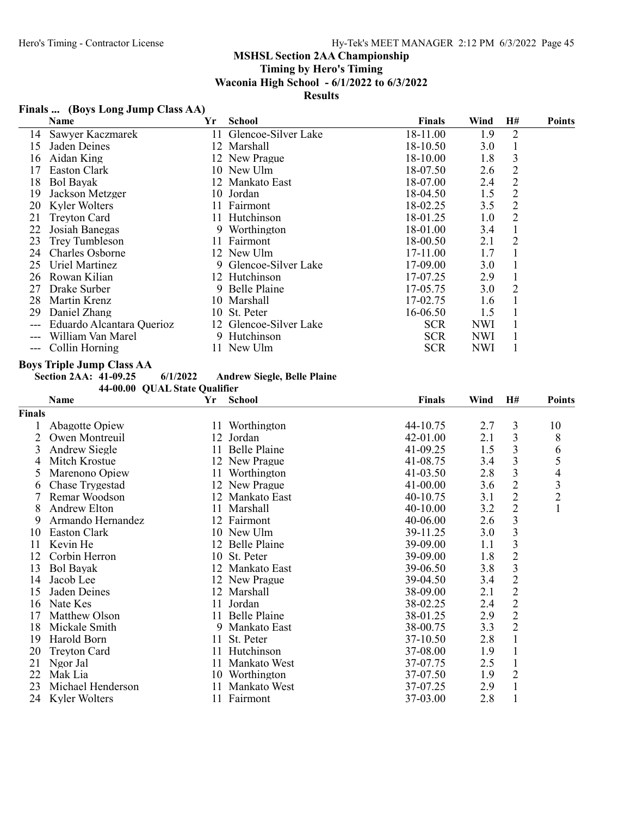Timing by Hero's Timing

Waconia High School - 6/1/2022 to 6/3/2022

#### **Results**

#### Finals ... (Boys Long Jump Class AA)

|    | Name                      | Yr | <b>School</b>          | Finals     | Wind       | <b>H#</b>      | <b>Points</b> |
|----|---------------------------|----|------------------------|------------|------------|----------------|---------------|
| 14 | Sawyer Kaczmarek          |    | 11 Glencoe-Silver Lake | 18-11.00   | 1.9        | 2              |               |
| 15 | Jaden Deines              |    | 12 Marshall            | 18-10.50   | 3.0        |                |               |
| 16 | Aidan King                |    | 12 New Prague          | 18-10.00   | 1.8        | 3              |               |
| 17 | Easton Clark              |    | 10 New Ulm             | 18-07.50   | 2.6        | $\overline{2}$ |               |
| 18 | <b>Bol Bayak</b>          |    | 12 Mankato East        | 18-07.00   | 2.4        | $\overline{2}$ |               |
| 19 | Jackson Metzger           | 10 | Jordan                 | 18-04.50   | 1.5        | $\overline{2}$ |               |
| 20 | Kyler Wolters             |    | 11 Fairmont            | 18-02.25   | 3.5        | $\overline{2}$ |               |
| 21 | <b>Treyton Card</b>       |    | 11 Hutchinson          | 18-01.25   | 1.0        | 2              |               |
| 22 | Josiah Banegas            |    | 9 Worthington          | 18-01.00   | 3.4        |                |               |
| 23 | Trey Tumbleson            | 11 | Fairmont               | 18-00.50   | 2.1        | 2              |               |
| 24 | Charles Osborne           |    | 12 New Ulm             | 17-11.00   | 1.7        |                |               |
| 25 | Uriel Martinez            |    | 9 Glencoe-Silver Lake  | 17-09.00   | 3.0        |                |               |
| 26 | Rowan Kilian              |    | 12 Hutchinson          | 17-07.25   | 2.9        |                |               |
| 27 | Drake Surber              |    | 9 Belle Plaine         | 17-05.75   | 3.0        | 2              |               |
| 28 | Martin Krenz              |    | 10 Marshall            | 17-02.75   | 1.6        |                |               |
| 29 | Daniel Zhang              |    | 10 St. Peter           | 16-06.50   | 1.5        |                |               |
|    | Eduardo Alcantara Querioz |    | 12 Glencoe-Silver Lake | <b>SCR</b> | <b>NWI</b> |                |               |
|    | William Van Marel         |    | 9 Hutchinson           | <b>SCR</b> | <b>NWI</b> |                |               |
|    | Collin Horning            |    | 11 New Ulm             | <b>SCR</b> | NWI        |                |               |

# Boys Triple Jump Class AA

6/1/2022 Andrew Siegle, Belle Plaine

44-00.00 QUAL State Qualifier Name Yr School Finals Wind H# Points Finals 1 Abagotte Opiew 11 Worthington 12 44-10.75 2.7 3 10<br>2 Owen Montreuil 12 Jordan 12 42-01.00 2.1 3 8 2 Owen Montreuil 12 Jordan 12 42-01.00 2.1 3<br>3 Andrew Siegle 11 Belle Plaine 41-09.25 1.5 3 3 Andrew Siegle 11 Belle Plaine 41-09.25 1.5 3 6<br>4 Mitch Krostue 12 New Prague 41-08.75 3.4 3 5 4 Mitch Krostue 12 New Prague 41-08.75 3.4 3 5<br>5 Marenono Opiew 11 Worthington 41-03.50 2.8 3 4 5 Marenono Opiew 11 Worthington 41-03.50 2.8 3 4 6 Chase Trygestad 12 New Prague 41-00.00 3.6 2 3 7 Remar Woodson 12 Mankato East 40-10.75 3.1 2 2 8 Andrew Elton 11 Marshall 40-10.00 9 Armando Hernandez 12 Fairmont 40-06.00 2.6 3 10 Easton Clark 10 New Ulm 39-11.25 3.0 3<br>11 Kevin He 12 Belle Plaine 39-09.00 1.1 3 11 Kevin He 12 Belle Plaine 39-09.00 1.1 3<br>12 Corbin Herron 10 St. Peter 39-09.00 1.8 2 12 Corbin Herron 10 St. Peter 39-09.00 1.8 2<br>13 Bol Bayak 12 Mankato East 39-06.50 3.8 3 13 Bol Bayak 12 Mankato East 39-06.50 3.8 3<br>14 Jacob Lee 12 New Prague 39-04.50 3.4 2 12 New Prague 39-04.50 3.4 2<br>12 Marshall 38-09.00 2.1 2 15 Jaden Deines 12 Marshall 38-09.00 2.1 2<br>16 Nate Kes 11 Jordan 38-02.25 2.4 2 16 Nate Kes 11 Jordan 38-02.25 2.4 2<br>17 Matthew Olson 11 Belle Plaine 38-01.25 2.9 2  $17$  Matthew Olson  $11$  Belle Plaine  $38-01.25$ 18 Mickale Smith 9 Mankato East 38-00.75 3.3 2 19 Harold Born 11 St. Peter 37-10.50 2.8 1<br>20 Trevton Card 11 Hutchinson 37-08.00 1.9 1 20 Treyton Card 11 Hutchinson 37-08.00 1.9 1<br>21 Ngor Jal 11 Mankato West 37-07.75 2.5 1 21 Ngor Jal 11 Mankato West 37-07.75 2.5 1<br>22 Mak Lia 10 Worthington 37-07.50 1.9 2 10 Worthington 37-07.50 23 Michael Henderson 11 Mankato West 37-07.25 2.9 1<br>24 Kyler Wolters 11 Fairmont 37-03.00 2.8 1 24 Kyler Wolters 11 Fairmont 37-03.00 2.8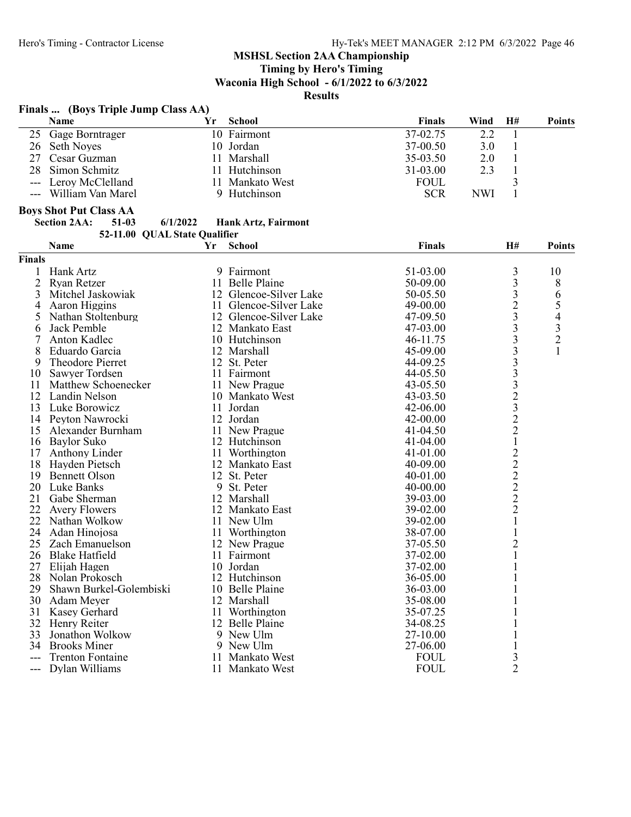Timing by Hero's Timing

Waconia High School - 6/1/2022 to 6/3/2022

Results

# Finals ... (Boys Triple Jump Class AA)

|                | Name                                       | Yr | <b>School</b>          | Finals        | Wind       | H#                      | <b>Points</b> |
|----------------|--------------------------------------------|----|------------------------|---------------|------------|-------------------------|---------------|
|                | 25 Gage Borntrager                         |    | 10 Fairmont            | 37-02.75      | 2.2        | $\mathbf{1}$            |               |
|                | 26 Seth Noyes                              |    | 10 Jordan              | 37-00.50      | 3.0        | $\mathbf{1}$            |               |
| 27             | Cesar Guzman                               |    | 11 Marshall            | 35-03.50      | 2.0        | $\mathbf{1}$            |               |
| 28             | Simon Schmitz                              |    | 11 Hutchinson          | 31-03.00      | 2.3        | $\mathbf{1}$            |               |
| ---            | Leroy McClelland                           |    | 11 Mankato West        | <b>FOUL</b>   |            | 3                       |               |
|                | --- William Van Marel                      |    | 9 Hutchinson           | <b>SCR</b>    | <b>NWI</b> | $\mathbf{1}$            |               |
|                |                                            |    |                        |               |            |                         |               |
|                | <b>Boys Shot Put Class AA</b>              |    |                        |               |            |                         |               |
|                | <b>Section 2AA:</b><br>6/1/2022<br>$51-03$ |    | Hank Artz, Fairmont    |               |            |                         |               |
|                | 52-11.00 QUAL State Qualifier              |    |                        |               |            |                         |               |
|                | Name                                       | Yr | <b>School</b>          | <b>Finals</b> |            | H#                      | <b>Points</b> |
| <b>Finals</b>  |                                            |    |                        |               |            |                         |               |
| 1              | Hank Artz                                  |    | 9 Fairmont             | 51-03.00      |            | 3                       | 10            |
| $\overline{2}$ | <b>Ryan Retzer</b>                         |    | 11 Belle Plaine        | 50-09.00      |            | 3                       | 8             |
| 3              | Mitchel Jaskowiak                          |    | 12 Glencoe-Silver Lake | 50-05.50      |            | $\frac{3}{2}$           | 6             |
| 4              | Aaron Higgins                              |    | 11 Glencoe-Silver Lake | 49-00.00      |            |                         | $\frac{5}{4}$ |
| 5              | Nathan Stoltenburg                         |    | 12 Glencoe-Silver Lake | 47-09.50      |            |                         |               |
| 6              | Jack Pemble                                |    | 12 Mankato East        | 47-03.00      |            | 3                       |               |
| 7              | Anton Kadlec                               |    | 10 Hutchinson          | 46-11.75      |            |                         | $\frac{3}{2}$ |
| 8              | Eduardo Garcia                             |    | 12 Marshall            | 45-09.00      |            |                         |               |
| 9              | Theodore Pierret                           |    | 12 St. Peter           | 44-09.25      |            |                         |               |
| 10             | Sawyer Tordsen                             |    | 11 Fairmont            | 44-05.50      |            |                         |               |
| 11             | Matthew Schoenecker                        |    | 11 New Prague          | 43-05.50      |            |                         |               |
| 12             | Landin Nelson                              |    | 10 Mankato West        | 43-03.50      |            | 333323221               |               |
| 13             | Luke Borowicz                              |    | 11 Jordan              | 42-06.00      |            |                         |               |
| 14             | Peyton Nawrocki                            |    | 12 Jordan              | 42-00.00      |            |                         |               |
| 15             | Alexander Burnham                          |    | 11 New Prague          | 41-04.50      |            |                         |               |
| 16             | Baylor Suko                                |    | 12 Hutchinson          | 41-04.00      |            |                         |               |
| 17             | Anthony Linder                             |    | 11 Worthington         | 41-01.00      |            |                         |               |
| 18             | Hayden Pietsch                             |    | 12 Mankato East        | 40-09.00      |            |                         |               |
| 19             | <b>Bennett Olson</b>                       |    | 12 St. Peter           | 40-01.00      |            |                         |               |
| 20             | Luke Banks                                 |    | 9 St. Peter            | 40-00.00      |            |                         |               |
| 21             | Gabe Sherman                               |    | 12 Marshall            | 39-03.00      |            | $22222$<br>$2221$       |               |
| 22             | <b>Avery Flowers</b>                       |    | 12 Mankato East        | 39-02.00      |            |                         |               |
| 22             | Nathan Wolkow                              |    | 11 New Ulm             | 39-02.00      |            |                         |               |
| 24             | Adan Hinojosa                              |    | 11 Worthington         | 38-07.00      |            | $\mathbf{1}$            |               |
| 25             | Zach Emanuelson                            |    | 12 New Prague          | 37-05.50      |            | $\overline{\mathbf{c}}$ |               |
| 26             | Blake Hatfield                             |    | 11 Fairmont            | 37-02.00      |            | $\mathbf{1}$            |               |
| 27             | Elijah Hagen                               |    | 10 Jordan              | 37-02.00      |            | $\mathbf{1}$            |               |
|                | 28 Nolan Prokosch                          |    | 12 Hutchinson          | 36-05.00      |            |                         |               |
| 29             | Shawn Burkel-Golembiski                    |    | 10 Belle Plaine        | 36-03.00      |            |                         |               |
| 30             | Adam Meyer                                 |    | 12 Marshall            | 35-08.00      |            |                         |               |
| 31             | Kasey Gerhard                              |    | 11 Worthington         | 35-07.25      |            |                         |               |
|                | 32 Henry Reiter                            |    | 12 Belle Plaine        | 34-08.25      |            |                         |               |
| 33             | Jonathon Wolkow                            |    | 9 New Ulm              | 27-10.00      |            |                         |               |
|                | 34 Brooks Miner                            |    | 9 New Ulm              | 27-06.00      |            |                         |               |
| $---$          | <b>Trenton Fontaine</b>                    |    | 11 Mankato West        | <b>FOUL</b>   |            | 3                       |               |
| ---            | Dylan Williams                             |    | 11 Mankato West        | <b>FOUL</b>   |            | 2                       |               |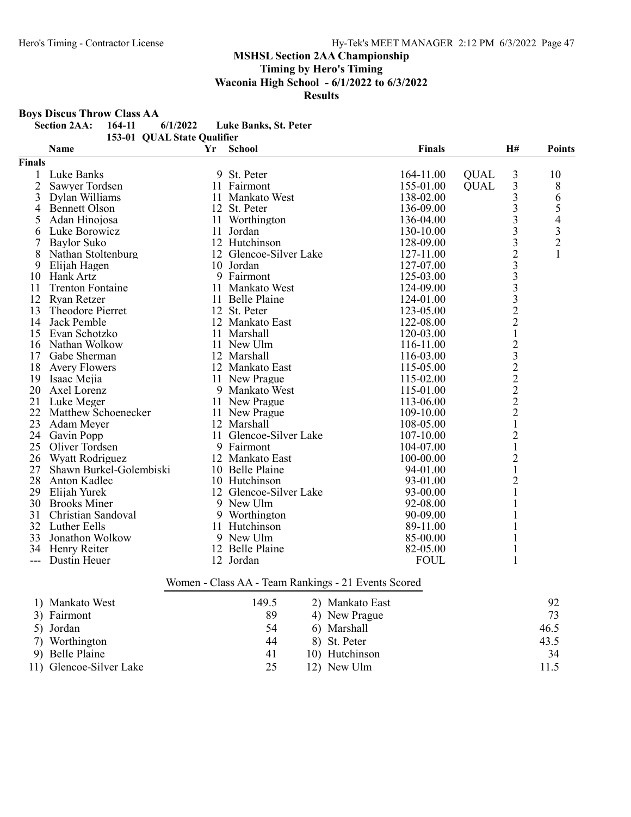Timing by Hero's Timing

Waconia High School - 6/1/2022 to 6/3/2022

Results

Boys Discus Throw Class AA<br>Section 2AA: 164-11 6/1/2022 Luke Banks, St. Peter

153-01 QUAL State Qualifier

|                | Name                    | Yr | <b>School</b>          | <b>Finals</b> |             | H#                      | <b>Points</b>            |
|----------------|-------------------------|----|------------------------|---------------|-------------|-------------------------|--------------------------|
| <b>Finals</b>  |                         |    |                        |               |             |                         |                          |
| 1              | Luke Banks              | 9  | St. Peter              | 164-11.00     | <b>QUAL</b> | 3                       | 10                       |
| $\overline{2}$ | Sawyer Tordsen          |    | 11 Fairmont            | 155-01.00     | <b>QUAL</b> |                         | 8                        |
| 3              | Dylan Williams          | 11 | Mankato West           | 138-02.00     |             | $\frac{3}{3}$           | 6                        |
| 4              | <b>Bennett Olson</b>    | 12 | St. Peter              | 136-09.00     |             |                         | 5                        |
| 5              | Adan Hinojosa           |    | 11 Worthington         | 136-04.00     |             | $\frac{3}{3}$           | $\overline{\mathcal{A}}$ |
| 6              | Luke Borowicz           | 11 | Jordan                 | 130-10.00     |             | $\overline{3}$          | $\frac{3}{2}$            |
| 7              | <b>Baylor Suko</b>      |    | 12 Hutchinson          | 128-09.00     |             | $\overline{\mathbf{3}}$ |                          |
| 8              | Nathan Stoltenburg      |    | 12 Glencoe-Silver Lake | 127-11.00     |             | $2333$<br>$332$<br>$22$ | $\mathbf{1}$             |
| 9              | Elijah Hagen            |    | 10 Jordan              | 127-07.00     |             |                         |                          |
| 10             | Hank Artz               |    | 9 Fairmont             | 125-03.00     |             |                         |                          |
| 11             | <b>Trenton Fontaine</b> | 11 | Mankato West           | 124-09.00     |             |                         |                          |
| 12             | <b>Ryan Retzer</b>      |    | 11 Belle Plaine        | 124-01.00     |             |                         |                          |
| 13             | Theodore Pierret        |    | 12 St. Peter           | 123-05.00     |             |                         |                          |
| 14             | Jack Pemble             |    | 12 Mankato East        | 122-08.00     |             |                         |                          |
| 15             | Evan Schotzko           |    | 11 Marshall            | 120-03.00     |             | 12322221                |                          |
| 16             | Nathan Wolkow           |    | 11 New Ulm             | 116-11.00     |             |                         |                          |
| 17             | Gabe Sherman            |    | 12 Marshall            | 116-03.00     |             |                         |                          |
| 18             | <b>Avery Flowers</b>    |    | 12 Mankato East        | 115-05.00     |             |                         |                          |
| 19             | Isaac Mejia             |    | 11 New Prague          | 115-02.00     |             |                         |                          |
| 20             | Axel Lorenz             |    | 9 Mankato West         | 115-01.00     |             |                         |                          |
| 21             | Luke Meger              |    | 11 New Prague          | 113-06.00     |             |                         |                          |
| 22             | Matthew Schoenecker     |    | 11 New Prague          | 109-10.00     |             |                         |                          |
| 23             | Adam Meyer              |    | 12 Marshall            | 108-05.00     |             |                         |                          |
| 24             | Gavin Popp              |    | 11 Glencoe-Silver Lake | 107-10.00     |             |                         |                          |
| 25             | Oliver Tordsen          |    | 9 Fairmont             | 104-07.00     |             | $\frac{2}{1}$           |                          |
| 26             | Wyatt Rodriguez         |    | 12 Mankato East        | 100-00.00     |             | $\frac{2}{1}$           |                          |
| 27             | Shawn Burkel-Golembiski |    | 10 Belle Plaine        | 94-01.00      |             |                         |                          |
| 28             | <b>Anton Kadlec</b>     |    | 10 Hutchinson          | 93-01.00      |             | $\overline{c}$          |                          |
| 29             | Elijah Yurek            |    | 12 Glencoe-Silver Lake | 93-00.00      |             | $\mathbf{1}$            |                          |
| 30             | <b>Brooks Miner</b>     |    | 9 New Ulm              | 92-08.00      |             |                         |                          |
| 31             | Christian Sandoval      |    | 9 Worthington          | 90-09.00      |             |                         |                          |
| 32             | Luther Eells            |    | 11 Hutchinson          | 89-11.00      |             |                         |                          |
| 33             | Jonathon Wolkow         |    | 9 New Ulm              | 85-00.00      |             |                         |                          |
| 34             | Henry Reiter            |    | 12 Belle Plaine        | 82-05.00      |             |                         |                          |
| ---            | Dustin Heuer            |    | 12 Jordan              | <b>FOUL</b>   |             |                         |                          |

#### Women - Class AA - Team Rankings - 21 Events Scored

| 1) Mankato West<br>3) Fairmont |                         | 149.5<br>89 | 2) Mankato East<br>4) New Prague | 92<br>73 |
|--------------------------------|-------------------------|-------------|----------------------------------|----------|
| 5) Jordan                      |                         | 54          | 6) Marshall                      | 46.5     |
| 7) Worthington                 |                         | 44          | 8) St. Peter                     | 43.5     |
| 9) Belle Plaine                |                         | 41          | 10) Hutchinson                   | 34       |
|                                | 11) Glencoe-Silver Lake | 25          | 12) New Ulm                      | 11.5     |